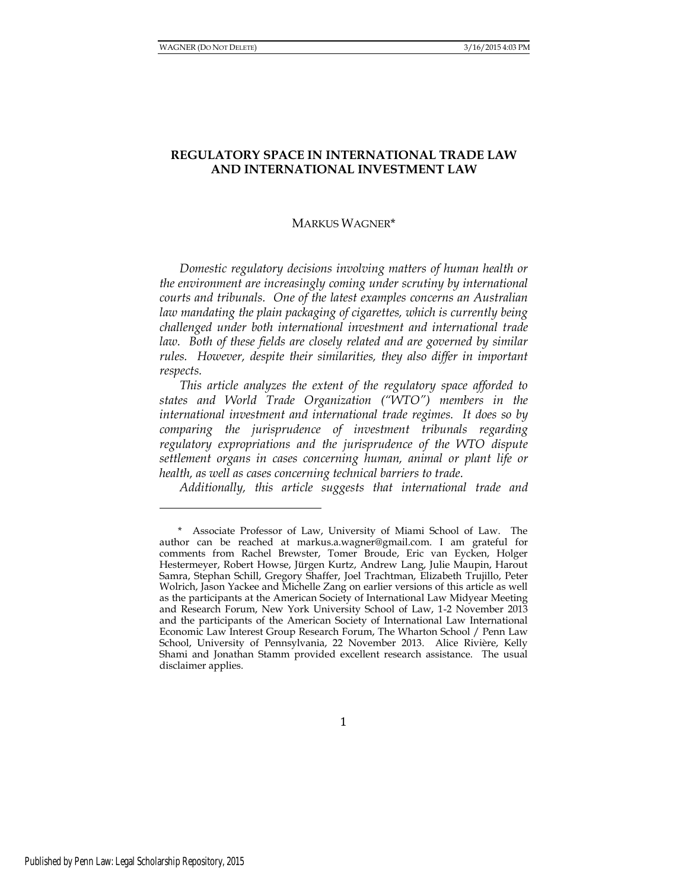# **REGULATORY SPACE IN INTERNATIONAL TRADE LAW AND INTERNATIONAL INVESTMENT LAW**

#### MARKUS WAGNER\*

*Domestic regulatory decisions involving matters of human health or the environment are increasingly coming under scrutiny by international courts and tribunals. One of the latest examples concerns an Australian law mandating the plain packaging of cigarettes, which is currently being challenged under both international investment and international trade*  law. Both of these fields are closely related and are governed by similar *rules. However, despite their similarities, they also differ in important respects.* 

*This article analyzes the extent of the regulatory space afforded to states and World Trade Organization ("WTO") members in the international investment and international trade regimes. It does so by comparing the jurisprudence of investment tribunals regarding regulatory expropriations and the jurisprudence of the WTO dispute settlement organs in cases concerning human, animal or plant life or health, as well as cases concerning technical barriers to trade.*

*Additionally, this article suggests that international trade and* 

<sup>\*</sup> Associate Professor of Law, University of Miami School of Law. The author can be reached at [markus.a.wagner@gmail.com.](mailto:markus.a.wagner@gmail.com) I am grateful for comments from Rachel Brewster, Tomer Broude, Eric van Eycken, Holger Hestermeyer, Robert Howse, Jürgen Kurtz, Andrew Lang, Julie Maupin, Harout Samra, Stephan Schill, Gregory Shaffer, Joel Trachtman, Elizabeth Trujillo, Peter Wolrich, Jason Yackee and Michelle Zang on earlier versions of this article as well as the participants at the American Society of International Law Midyear Meeting and Research Forum, New York University School of Law, 1-2 November 2013 and the participants of the American Society of International Law International Economic Law Interest Group Research Forum, The Wharton School / Penn Law School, University of Pennsylvania, 22 November 2013. Alice Rivière, Kelly Shami and Jonathan Stamm provided excellent research assistance. The usual disclaimer applies.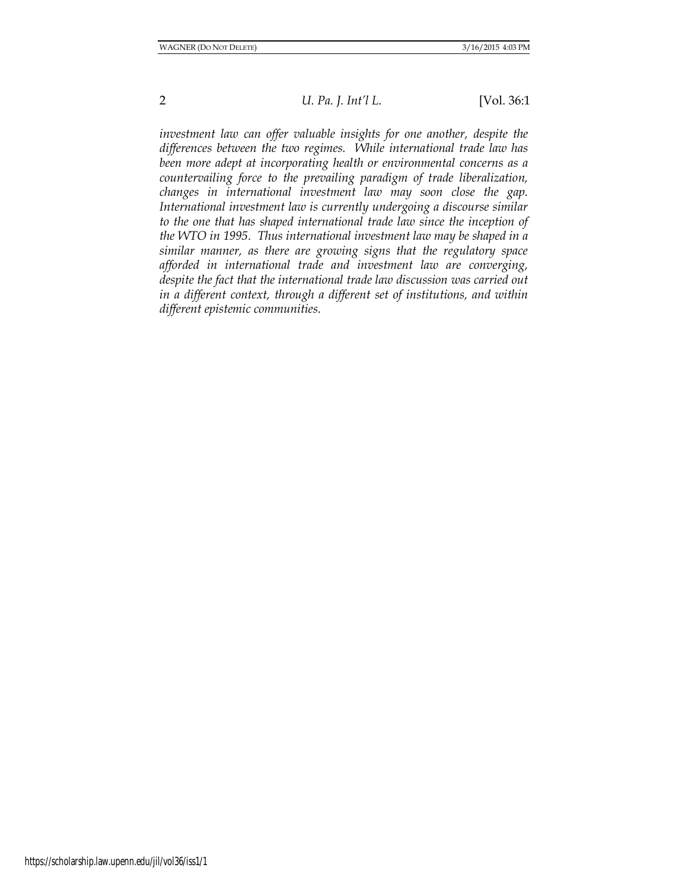*investment law can offer valuable insights for one another, despite the differences between the two regimes. While international trade law has been more adept at incorporating health or environmental concerns as a countervailing force to the prevailing paradigm of trade liberalization, changes in international investment law may soon close the gap. International investment law is currently undergoing a discourse similar to the one that has shaped international trade law since the inception of the WTO in 1995. Thus international investment law may be shaped in a similar manner, as there are growing signs that the regulatory space afforded in international trade and investment law are converging, despite the fact that the international trade law discussion was carried out in a different context, through a different set of institutions, and within different epistemic communities.*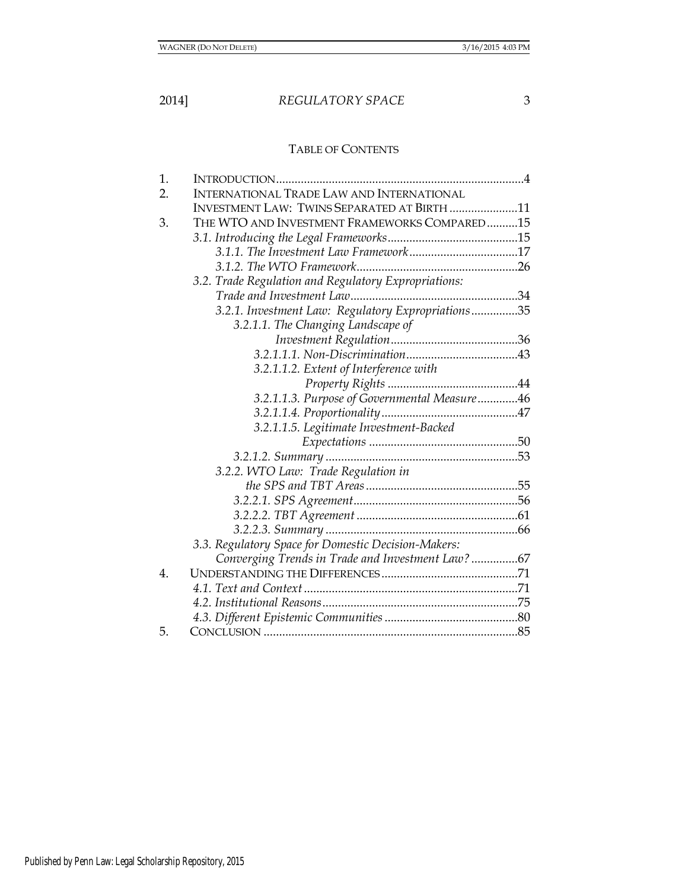# TABLE OF CONTENTS

| 1. |                                                      |  |
|----|------------------------------------------------------|--|
| 2. | <b>INTERNATIONAL TRADE LAW AND INTERNATIONAL</b>     |  |
|    | <b>INVESTMENT LAW: TWINS SEPARATED AT BIRTH 11</b>   |  |
| 3. | THE WTO AND INVESTMENT FRAMEWORKS COMPARED15         |  |
|    |                                                      |  |
|    |                                                      |  |
|    |                                                      |  |
|    | 3.2. Trade Regulation and Regulatory Expropriations: |  |
|    |                                                      |  |
|    | 3.2.1. Investment Law: Regulatory Expropriations35   |  |
|    | 3.2.1.1. The Changing Landscape of                   |  |
|    |                                                      |  |
|    |                                                      |  |
|    | 3.2.1.1.2. Extent of Interference with               |  |
|    |                                                      |  |
|    | 3.2.1.1.3. Purpose of Governmental Measure46         |  |
|    |                                                      |  |
|    | 3.2.1.1.5. Legitimate Investment-Backed              |  |
|    |                                                      |  |
|    |                                                      |  |
|    | 3.2.2. WTO Law: Trade Regulation in                  |  |
|    |                                                      |  |
|    |                                                      |  |
|    |                                                      |  |
|    |                                                      |  |
|    | 3.3. Regulatory Space for Domestic Decision-Makers:  |  |
|    | Converging Trends in Trade and Investment Law? 67    |  |
| 4. |                                                      |  |
|    |                                                      |  |
|    |                                                      |  |
|    |                                                      |  |
| 5. |                                                      |  |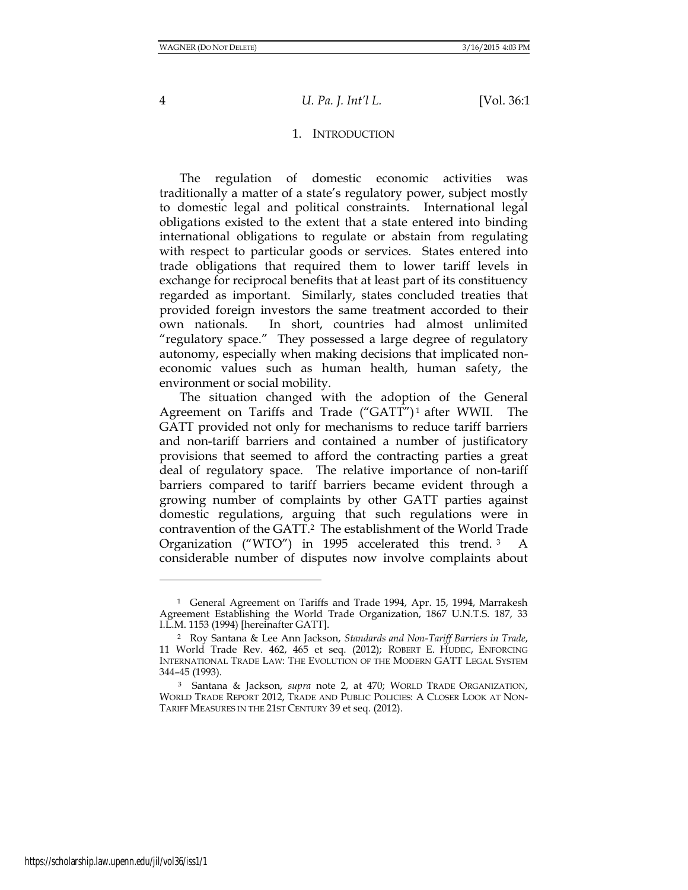#### 1. INTRODUCTION

The regulation of domestic economic activities was traditionally a matter of a state's regulatory power, subject mostly to domestic legal and political constraints. International legal obligations existed to the extent that a state entered into binding international obligations to regulate or abstain from regulating with respect to particular goods or services. States entered into trade obligations that required them to lower tariff levels in exchange for reciprocal benefits that at least part of its constituency regarded as important. Similarly, states concluded treaties that provided foreign investors the same treatment accorded to their own nationals. In short, countries had almost unlimited "regulatory space." They possessed a large degree of regulatory autonomy, especially when making decisions that implicated noneconomic values such as human health, human safety, the environment or social mobility.

The situation changed with the adoption of the General Agreement on Tariffs and Trade ("GATT")<sup>1</sup> after WWII. The GATT provided not only for mechanisms to reduce tariff barriers and non-tariff barriers and contained a number of justificatory provisions that seemed to afford the contracting parties a great deal of regulatory space. The relative importance of non-tariff barriers compared to tariff barriers became evident through a growing number of complaints by other GATT parties against domestic regulations, arguing that such regulations were in contravention of the GATT.<sup>2</sup> The establishment of the World Trade Organization ("WTO") in 1995 accelerated this trend. <sup>3</sup> A considerable number of disputes now involve complaints about

l

<sup>1</sup> General Agreement on Tariffs and Trade 1994, Apr. 15, 1994, Marrakesh Agreement Establishing the World Trade Organization, 1867 U.N.T.S. 187, 33 I.L.M. 1153 (1994) [hereinafter GATT].

<sup>2</sup> Roy Santana & Lee Ann Jackson, *[Standards and Non-Tariff Barriers in Trade](http://search.proquest.com/pubidlinkhandler/sng/pubtitle/World+Trade+Review/$N/43033/DocView/1023785630/abstract/$B/1?accountid=14585)*, 11 World Trade Rev. 462, 465 et seq. (2012); ROBERT E. HUDEC, ENFORCING INTERNATIONAL TRADE LAW: THE EVOLUTION OF THE MODERN GATT LEGAL SYSTEM 344–45 (1993).

<sup>3</sup> Santana & Jackson, *supra* note 2, at 470; WORLD TRADE ORGANIZATION, WORLD TRADE REPORT 2012, TRADE AND PUBLIC POLICIES: A CLOSER LOOK AT NON-TARIFF MEASURES IN THE 21ST CENTURY 39 et seq. (2012).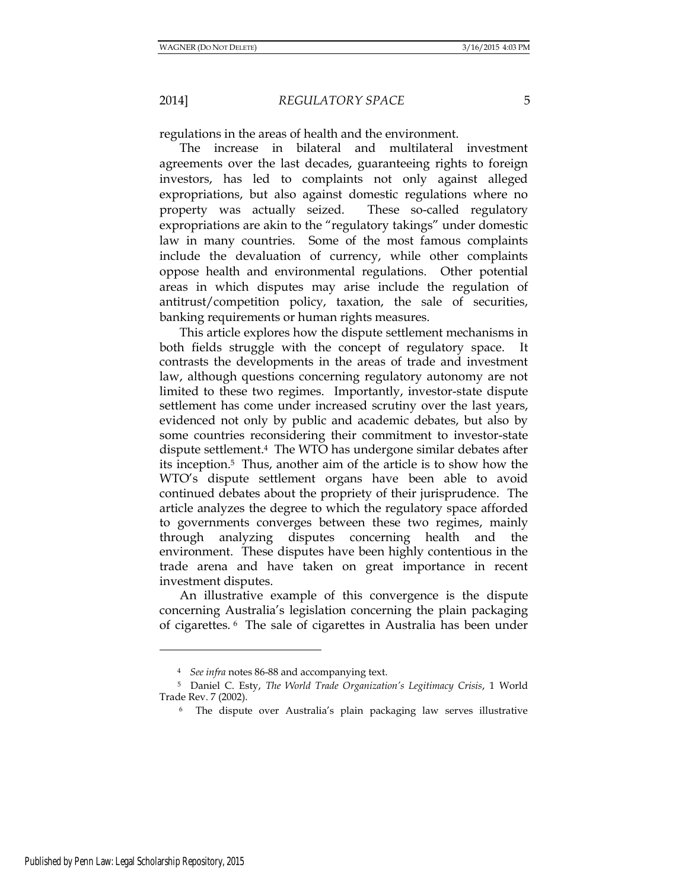regulations in the areas of health and the environment.

The increase in bilateral and multilateral investment agreements over the last decades, guaranteeing rights to foreign investors, has led to complaints not only against alleged expropriations, but also against domestic regulations where no property was actually seized. These so-called regulatory expropriations are akin to the "regulatory takings" under domestic law in many countries. Some of the most famous complaints include the devaluation of currency, while other complaints oppose health and environmental regulations. Other potential areas in which disputes may arise include the regulation of antitrust/competition policy, taxation, the sale of securities, banking requirements or human rights measures.

This article explores how the dispute settlement mechanisms in both fields struggle with the concept of regulatory space. It contrasts the developments in the areas of trade and investment law, although questions concerning regulatory autonomy are not limited to these two regimes. Importantly, investor-state dispute settlement has come under increased scrutiny over the last years, evidenced not only by public and academic debates, but also by some countries reconsidering their commitment to investor-state dispute settlement.4 The WTO has undergone similar debates after its inception.5 Thus, another aim of the article is to show how the WTO's dispute settlement organs have been able to avoid continued debates about the propriety of their jurisprudence. The article analyzes the degree to which the regulatory space afforded to governments converges between these two regimes, mainly through analyzing disputes concerning health and the environment. These disputes have been highly contentious in the trade arena and have taken on great importance in recent investment disputes.

An illustrative example of this convergence is the dispute concerning Australia's legislation concerning the plain packaging of cigarettes. 6 The sale of cigarettes in Australia has been under

<sup>4</sup> *See infra* note[s 86](#page-23-0)[-88](#page-24-0) and accompanying text.

<sup>5</sup> Daniel C. Esty, *The World Trade Organization's Legitimacy Crisis*, 1 World Trade Rev. 7 (2002).

<sup>6</sup> The dispute over Australia's plain packaging law serves illustrative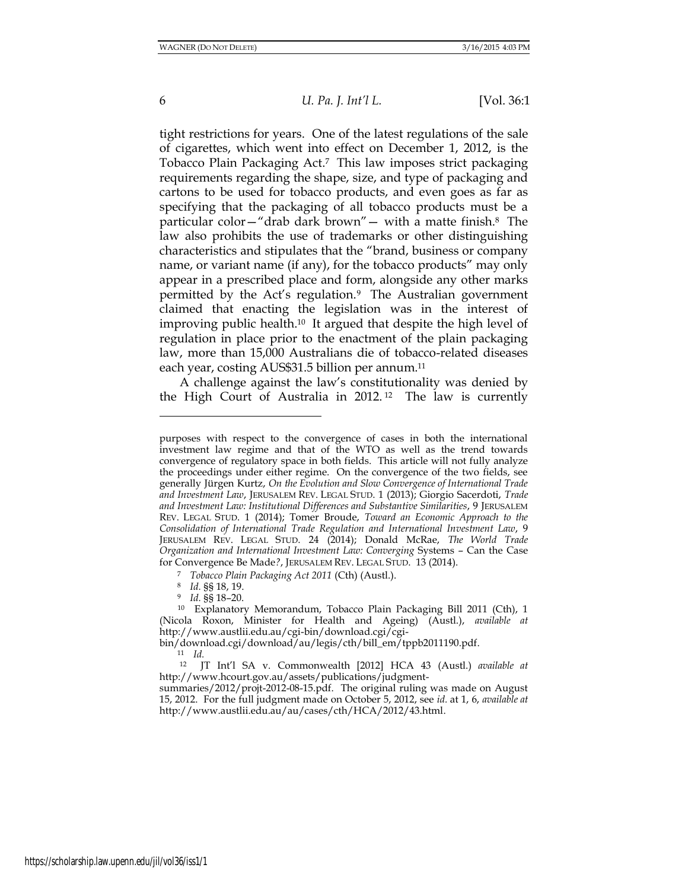6 *U. Pa. J. Int'l L.* [Vol. 36:1

tight restrictions for years. One of the latest regulations of the sale of cigarettes, which went into effect on December 1, 2012, is the Tobacco Plain Packaging Act.7 This law imposes strict packaging requirements regarding the shape, size, and type of packaging and cartons to be used for tobacco products, and even goes as far as specifying that the packaging of all tobacco products must be a particular color—"drab dark brown"— with a matte finish.8 The law also prohibits the use of trademarks or other distinguishing characteristics and stipulates that the "brand, business or company name, or variant name (if any), for the tobacco products" may only appear in a prescribed place and form, alongside any other marks permitted by the Act's regulation.9 The Australian government claimed that enacting the legislation was in the interest of improving public health.10 It argued that despite the high level of regulation in place prior to the enactment of the plain packaging law, more than 15,000 Australians die of tobacco-related diseases each year, costing AUS\$31.5 billion per annum.<sup>11</sup>

A challenge against the law's constitutionality was denied by the High Court of Australia in 2012. <sup>12</sup> The law is currently

<sup>8</sup> *Id.* §§ 18, 19.

<sup>9</sup> *Id.* §§ 18–20.

 $\frac{11}{12}$  *Id.* 

purposes with respect to the convergence of cases in both the international investment law regime and that of the WTO as well as the trend towards convergence of regulatory space in both fields. This article will not fully analyze the proceedings under either regime. On the convergence of the two fields, see generally Jürgen Kurtz, *On the Evolution and Slow Convergence of International Trade and Investment Law*, JERUSALEM REV. LEGAL STUD. 1 (2013); Giorgio Sacerdoti, *Trade and Investment Law: Institutional Differences and Substantive Similarities*, 9 JERUSALEM REV. LEGAL STUD. 1 (2014); Tomer Broude, *Toward an Economic Approach to the Consolidation of International Trade Regulation and International Investment Law*, 9 JERUSALEM REV. LEGAL STUD. 24 (2014); Donald McRae, *The World Trade Organization and International Investment Law: Converging* Systems – Can the Case for Convergence Be Made*?*, JERUSALEM REV. LEGAL STUD. 13 (2014).

<sup>7</sup> *Tobacco Plain Packaging Act 2011* (Cth) (Austl.).

<sup>10</sup> Explanatory Memorandum, Tobacco Plain Packaging Bill 2011 (Cth), 1 (Nicola Roxon, Minister for Health and Ageing) (Austl.), *available at* [http://www.austlii.edu.au/cgi-bin/download.cgi/cgi-](http://www.austlii.edu.au/cgi-bin/download.cgi/cgi-bin/download.cgi/download/au/legis/cth/bill_em/tppb2011190.pdf)

[bin/download.cgi/download/au/legis/cth/bill\\_em/tppb2011190.pdf.](http://www.austlii.edu.au/cgi-bin/download.cgi/cgi-bin/download.cgi/download/au/legis/cth/bill_em/tppb2011190.pdf)

<sup>12</sup> JT Int'l SA v. Commonwealth [2012] HCA 43 (Austl.) *available at* [http://www.hcourt.gov.au/assets/publications/judgment-](http://www.hcourt.gov.au/assets/publications/judgment-summaries/2012/projt-2012-08-15.pdf)

[summaries/2012/projt-2012-08-15.pdf.](http://www.hcourt.gov.au/assets/publications/judgment-summaries/2012/projt-2012-08-15.pdf) The original ruling was made on August 15, 2012. For the full judgment made on October 5, 2012, see *id.* at 1, 6, *available at* [http://www.austlii.edu.au/au/cases/cth/HCA/2012/43.html.](http://www.austlii.edu.au/au/cases/cth/HCA/2012/43.html)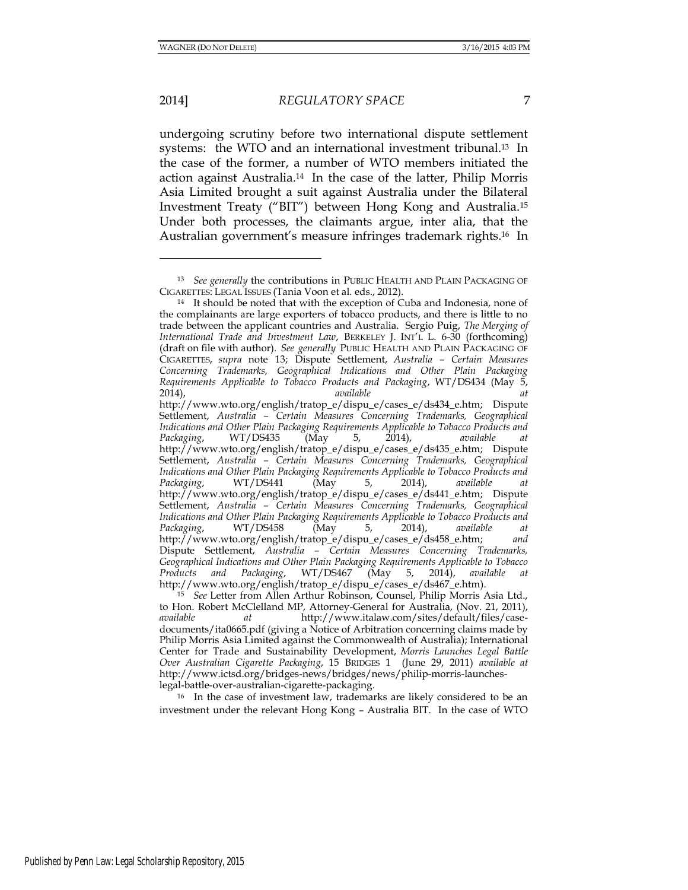l

# 2014] *REGULATORY SPACE* 7

undergoing scrutiny before two international dispute settlement systems: the WTO and an international investment tribunal.13 In the case of the former, a number of WTO members initiated the action against Australia.14 In the case of the latter, Philip Morris Asia Limited brought a suit against Australia under the Bilateral Investment Treaty ("BIT") between Hong Kong and Australia.<sup>15</sup> Under both processes, the claimants argue, inter alia, that the Australian government's measure infringes trademark rights.16 In

<sup>16</sup> In the case of investment law, trademarks are likely considered to be an investment under the relevant Hong Kong – Australia BIT. In the case of WTO

<sup>13</sup> *See generally* the contributions in PUBLIC HEALTH AND PLAIN PACKAGING OF CIGARETTES: LEGAL ISSUES (Tania Voon et al. eds., 2012).

<sup>14</sup> It should be noted that with the exception of Cuba and Indonesia, none of the complainants are large exporters of tobacco products, and there is little to no trade between the applicant countries and Australia. Sergio Puig, *The Merging of International Trade and Investment Law*, BERKELEY J. INT'L L. 6-30 (forthcoming) (draft on file with author). *See generally* PUBLIC HEALTH AND PLAIN PACKAGING OF CIGARETTES, *supra* note 13; Dispute Settlement, *Australia – Certain Measures Concerning Trademarks, Geographical Indications and Other Plain Packaging Requirements Applicable to Tobacco Products and Packaging*, WT/DS434 (May 5, 2014), *available at*  [http://www.wto.org/english/tratop\\_e/dispu\\_e/cases\\_e/ds434\\_e.htm;](http://www.wto.org/english/tratop_e/dispu_e/cases_e/ds434_e.htm) Dispute Settlement, *Australia – Certain Measures Concerning Trademarks, Geographical Indications and Other Plain Packaging Requirements Applicable to Tobacco Products and*  Packaging, WT/DS435 (May 5, 2014), *available* [http://www.wto.org/english/tratop\\_e/dispu\\_e/cases\\_e/ds435\\_e.htm;](http://www.wto.org/english/tratop_e/dispu_e/cases_e/ds435_e.htm) Dispute Settlement, *Australia – Certain Measures Concerning Trademarks, Geographical Indications and Other Plain Packaging Requirements Applicable to Tobacco Products and Packaging*, WT/DS441 (May 5, 2014), *available at*  [http://www.wto.org/english/tratop\\_e/dispu\\_e/cases\\_e/ds441\\_e.htm;](http://www.wto.org/english/tratop_e/dispu_e/cases_e/ds441_e.htm) Dispute Settlement, *Australia – Certain Measures Concerning Trademarks, Geographical Indications and Other Plain Packaging Requirements Applicable to Tobacco Products and Packaging*, WT/DS458 (May 5, 2014), *available at*  [http://www.wto.org/english/tratop\\_e/dispu\\_e/cases\\_e/ds458\\_e.htm;](http://www.wto.org/english/tratop_e/dispu_e/cases_e/ds458_e.htm) *and*  Dispute Settlement, *Australia – Certain Measures Concerning Trademarks, Geographical Indications and Other Plain Packaging Requirements Applicable to Tobacco Products and Packaging*, WT/DS467 (May 5, 2014), *available at* [http://www.wto.org/english/tratop\\_e/dispu\\_e/cases\\_e/ds467\\_e.htm\)](http://www.wto.org/english/tratop_e/dispu_e/cases_e/ds467_e.htm).

<sup>15</sup> *See* Letter from Allen Arthur Robinson, Counsel, Philip Morris Asia Ltd., to Hon. Robert McClelland MP, Attorney-General for Australia, (Nov. 21, 2011), *available at* [http://www.italaw.com/sites/default/files/case](http://www.italaw.com/sites/default/files/case-documents/ita0665.pdf)[documents/ita0665.pdf](http://www.italaw.com/sites/default/files/case-documents/ita0665.pdf) (giving a Notice of Arbitration concerning claims made by Philip Morris Asia Limited against the Commonwealth of Australia); International Center for Trade and Sustainability Development, *Morris Launches Legal Battle Over Australian Cigarette Packaging*, 15 BRIDGES 1(June 29, 2011) *available at*  [http://www.ictsd.org/bridges-news/bridges/news/philip-morris-launches](http://www.ictsd.org/bridges-news/bridges/news/philip-morris-launches-legal-battle-over-australian-cigarette-packaging)[legal-battle-over-australian-cigarette-packaging.](http://www.ictsd.org/bridges-news/bridges/news/philip-morris-launches-legal-battle-over-australian-cigarette-packaging)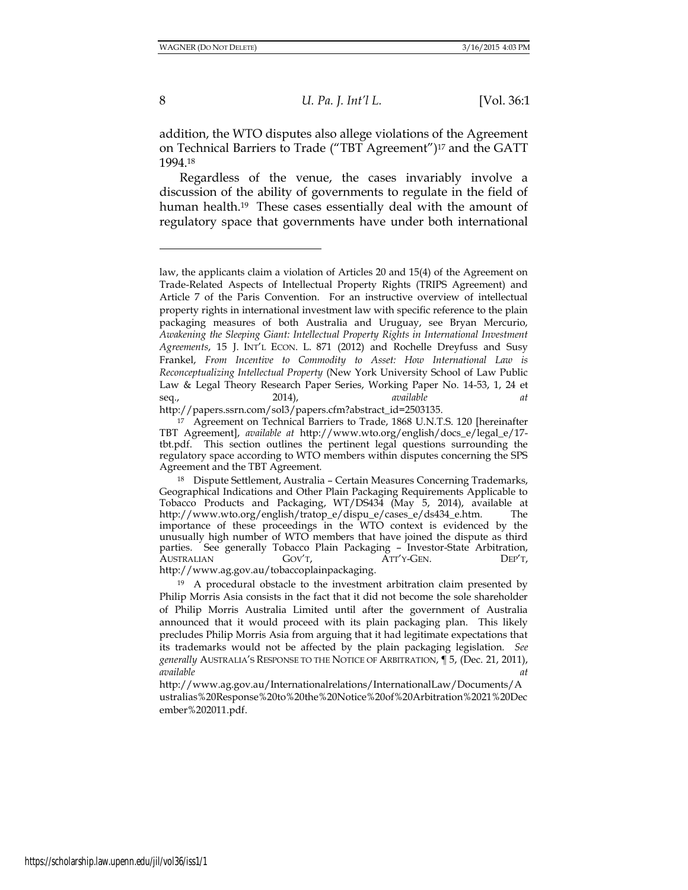8 *U. Pa. J. Int'l L.* [Vol. 36:1

addition, the WTO disputes also allege violations of the Agreement on Technical Barriers to Trade ("TBT Agreement")<sup>17</sup> and the GATT 1994.<sup>18</sup>

Regardless of the venue, the cases invariably involve a discussion of the ability of governments to regulate in the field of human health.<sup>19</sup> These cases essentially deal with the amount of regulatory space that governments have under both international

http://papers.ssrn.com/sol3/papers.cfm?abstract\_id=2503135.

[http://www.ag.gov.au/tobaccoplainpackaging.](http://www.ag.gov.au/tobaccoplainpackaging)

law, the applicants claim a violation of Articles 20 and 15(4) of the Agreement on Trade-Related Aspects of Intellectual Property Rights (TRIPS Agreement) and Article 7 of the Paris Convention. For an instructive overview of intellectual property rights in international investment law with specific reference to the plain packaging measures of both Australia and Uruguay, see Bryan Mercurio, *Awakening the Sleeping Giant: Intellectual Property Rights in International Investment Agreements*, 15 J. INT'L ECON. L. 871 (2012) and Rochelle Dreyfuss and Susy Frankel, *From Incentive to Commodity to Asset: How International Law is Reconceptualizing Intellectual Property* (New York University School of Law Public Law & Legal Theory Research Paper Series, Working Paper No. 14-53, 1, 24 et seq., 2014), *available at*

<sup>17</sup> Agreement on Technical Barriers to Trade, 1868 U.N.T.S. 120 [hereinafter TBT Agreement], *available at* http://www.wto.org/english/docs\_e/legal\_e/17 tbt.pdf. This section outlines the pertinent legal questions surrounding the regulatory space according to WTO members within disputes concerning the SPS Agreement and the TBT Agreement.

<sup>18</sup> Dispute Settlement, Australia – Certain Measures Concerning Trademarks, Geographical Indications and Other Plain Packaging Requirements Applicable to Tobacco Products and Packaging, WT/DS434 (May 5, 2014), available at http://www.wto.org/english/tratop\_e/dispu\_e/cases\_e/ds434\_e.htm. The importance of these proceedings in the WTO context is evidenced by the unusually high number of WTO members that have joined the dispute as third parties. See generally Tobacco Plain Packaging – Investor-State Arbitration, AUSTRALIAN GOV'T, ATT'Y-GEN. DEP'T,

<sup>&</sup>lt;sup>19</sup> A procedural obstacle to the investment arbitration claim presented by Philip Morris Asia consists in the fact that it did not become the sole shareholder of Philip Morris Australia Limited until after the government of Australia announced that it would proceed with its plain packaging plan. This likely precludes Philip Morris Asia from arguing that it had legitimate expectations that its trademarks would not be affected by the plain packaging legislation. *See generally* AUSTRALIA'S RESPONSE TO THE NOTICE OF ARBITRATION, ¶ 5, (Dec. 21, 2011), *available at*

http://www.ag.gov.au/Internationalrelations/InternationalLaw/Documents/A ustralias%20Response%20to%20the%20Notice%20of%20Arbitration%2021%20Dec ember%202011.pdf.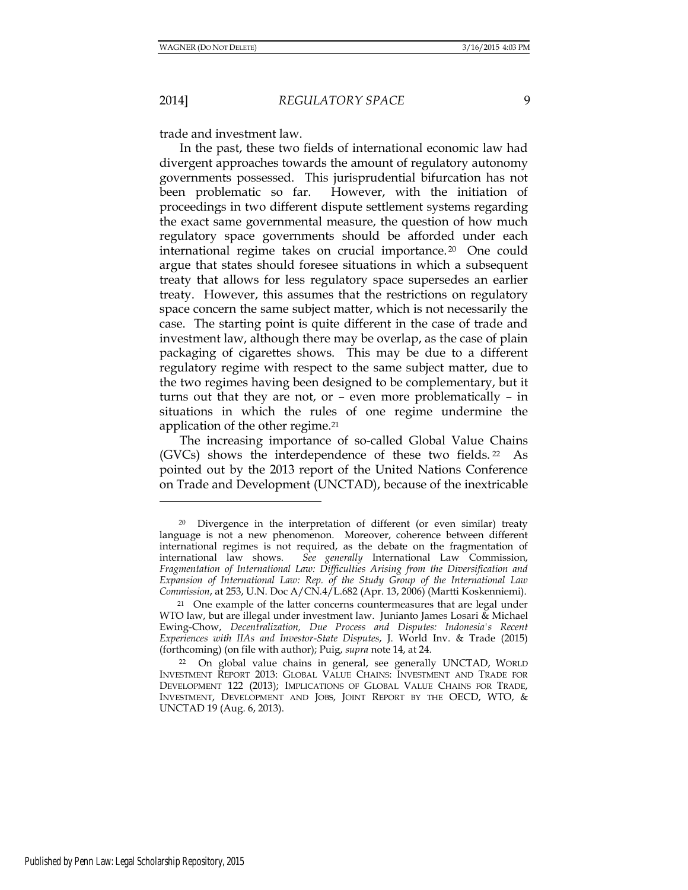2014] *REGULATORY SPACE* 9

trade and investment law.

In the past, these two fields of international economic law had divergent approaches towards the amount of regulatory autonomy governments possessed. This jurisprudential bifurcation has not been problematic so far. However, with the initiation of proceedings in two different dispute settlement systems regarding the exact same governmental measure, the question of how much regulatory space governments should be afforded under each international regime takes on crucial importance. <sup>20</sup> One could argue that states should foresee situations in which a subsequent treaty that allows for less regulatory space supersedes an earlier treaty. However, this assumes that the restrictions on regulatory space concern the same subject matter, which is not necessarily the case. The starting point is quite different in the case of trade and investment law, although there may be overlap, as the case of plain packaging of cigarettes shows. This may be due to a different regulatory regime with respect to the same subject matter, due to the two regimes having been designed to be complementary, but it turns out that they are not, or – even more problematically – in situations in which the rules of one regime undermine the application of the other regime.<sup>21</sup>

<span id="page-8-0"></span>The increasing importance of so-called Global Value Chains (GVCs) shows the interdependence of these two fields. <sup>22</sup> As pointed out by the 2013 report of the United Nations Conference on Trade and Development (UNCTAD), because of the inextricable

<sup>20</sup> Divergence in the interpretation of different (or even similar) treaty language is not a new phenomenon. Moreover, coherence between different international regimes is not required, as the debate on the fragmentation of international law shows. See generally International Law Commission, See generally International Law Commission, *Fragmentation of International Law: Difficulties Arising from the Diversification and Expansion of International Law: Rep. of the Study Group of the International Law Commission*, at 253, U.N. Doc A/CN.4/L.682 (Apr. 13, 2006) (Martti Koskenniemi).

<sup>21</sup> One example of the latter concerns countermeasures that are legal under WTO law, but are illegal under investment law. Junianto James Losari & Michael Ewing-Chow, *Decentralization, Due Process and Disputes: Indonesia's Recent Experiences with IIAs and Investor-State Disputes*, J. World Inv. & Trade (2015) (forthcoming) (on file with author); Puig, *supra* note 14, at 24.

<sup>22</sup> On global value chains in general, see generally UNCTAD, WORLD INVESTMENT REPORT 2013: GLOBAL VALUE CHAINS: INVESTMENT AND TRADE FOR DEVELOPMENT 122 (2013); IMPLICATIONS OF GLOBAL VALUE CHAINS FOR TRADE, INVESTMENT, DEVELOPMENT AND JOBS, JOINT REPORT BY THE OECD, WTO, & UNCTAD 19 (Aug. 6, 2013).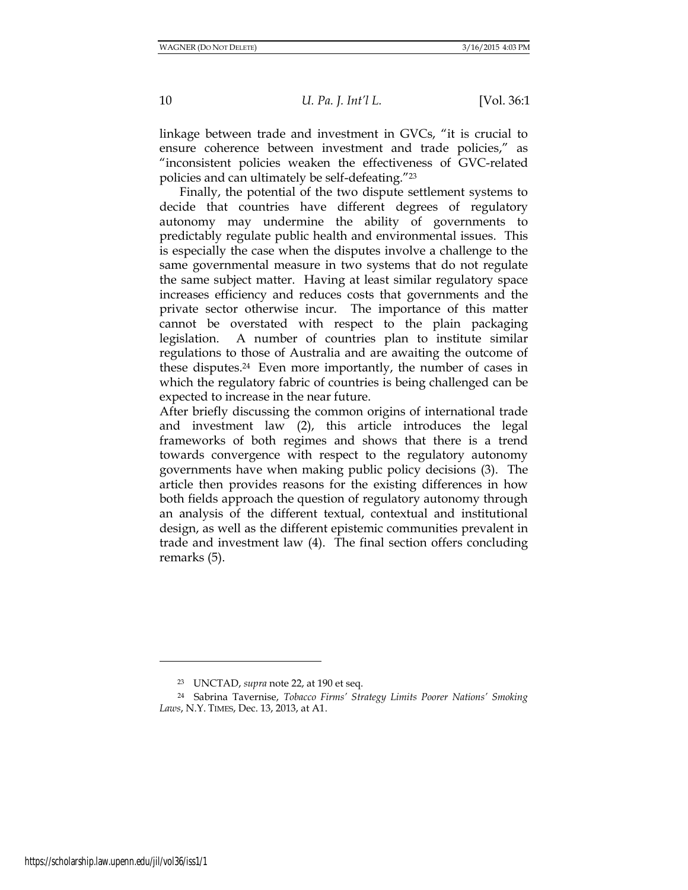linkage between trade and investment in GVCs, "it is crucial to ensure coherence between investment and trade policies," as "inconsistent policies weaken the effectiveness of GVC-related policies and can ultimately be self-defeating."<sup>23</sup>

Finally, the potential of the two dispute settlement systems to decide that countries have different degrees of regulatory autonomy may undermine the ability of governments to predictably regulate public health and environmental issues. This is especially the case when the disputes involve a challenge to the same governmental measure in two systems that do not regulate the same subject matter. Having at least similar regulatory space increases efficiency and reduces costs that governments and the private sector otherwise incur. The importance of this matter cannot be overstated with respect to the plain packaging legislation. A number of countries plan to institute similar regulations to those of Australia and are awaiting the outcome of these disputes.24 Even more importantly, the number of cases in which the regulatory fabric of countries is being challenged can be expected to increase in the near future.

After briefly discussing the common origins of international trade and investment law (2), this article introduces the legal frameworks of both regimes and shows that there is a trend towards convergence with respect to the regulatory autonomy governments have when making public policy decisions (3). The article then provides reasons for the existing differences in how both fields approach the question of regulatory autonomy through an analysis of the different textual, contextual and institutional design, as well as the different epistemic communities prevalent in trade and investment law (4). The final section offers concluding remarks (5).

l

<sup>23</sup> UNCTAD, *supra* not[e 22,](#page-8-0) at 190 et seq.

<sup>24</sup> Sabrina Tavernise, *Tobacco Firms' Strategy Limits Poorer Nations' Smoking Laws*, N.Y. TIMES, Dec. 13, 2013, at A1.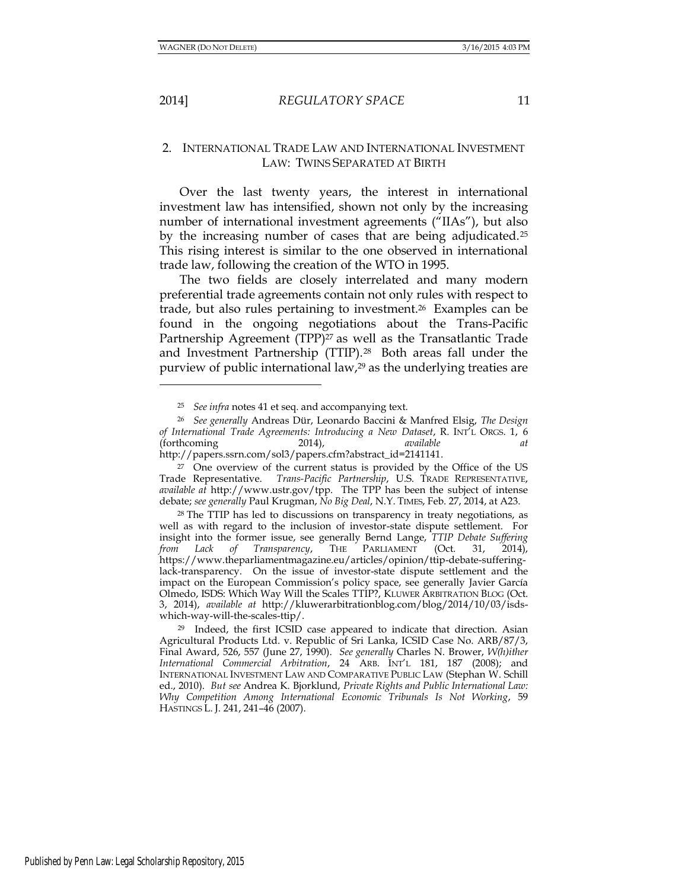l

#### 2014] *REGULATORY SPACE* 11

# 2. INTERNATIONAL TRADE LAW AND INTERNATIONAL INVESTMENT LAW: TWINS SEPARATED AT BIRTH

Over the last twenty years, the interest in international investment law has intensified, shown not only by the increasing number of international investment agreements ("IIAs"), but also by the increasing number of cases that are being adjudicated.<sup>25</sup> This rising interest is similar to the one observed in international trade law, following the creation of the WTO in 1995.

The two fields are closely interrelated and many modern preferential trade agreements contain not only rules with respect to trade, but also rules pertaining to investment.26 Examples can be found in the ongoing negotiations about the Trans-Pacific Partnership Agreement (TPP)<sup>27</sup> as well as the Transatlantic Trade and Investment Partnership (TTIP).28 Both areas fall under the purview of public international law,<sup>29</sup> as the underlying treaties are

<sup>25</sup> *See infra* notes 41 et seq. and accompanying text.

<sup>26</sup> *See generally* Andreas Dür, Leonardo Baccini & Manfred Elsig, *The Design of International Trade Agreements: Introducing a New Dataset*, R. INT'L ORGS. 1, 6 (forthcoming 2014), *available at*  [http://papers.ssrn.com/sol3/papers.cfm?abstract\\_id=2141141.](http://papers.ssrn.com/sol3/papers.cfm?abstract_id=2141141)

<sup>&</sup>lt;sup>27</sup> One overview of the current status is provided by the Office of the US Trade Representative. *Trans-Pacific Partnership*, U.S. TRADE REPRESENTATIVE, *available at* [http://www.ustr.gov/tpp.](http://www.ustr.gov/tpp) The TPP has been the subject of intense debate; *see generally* Paul Krugman, *No Big Deal*, N.Y. TIMES, Feb. 27, 2014, at A23.

<sup>28</sup> The TTIP has led to discussions on transparency in treaty negotiations, as well as with regard to the inclusion of investor-state dispute settlement. For insight into the former issue, see generally Bernd Lange, *TTIP Debate Suffering from Lack of Transparency*, THE PARLIAMENT (Oct. 31, 2014), [https://www.theparliamentmagazine.eu/articles/opinion/ttip-debate-suffering](https://www.theparliamentmagazine.eu/articles/opinion/ttip-debate-suffering-lack-transparency)[lack-transparency.](https://www.theparliamentmagazine.eu/articles/opinion/ttip-debate-suffering-lack-transparency) On the issue of investor-state dispute settlement and the impact on the European Commission's policy space, see generally [Javier García](http://kluwerarbitrationblog.com/blog/author/javiergarciaolmedo/)  [Olmedo,](http://kluwerarbitrationblog.com/blog/author/javiergarciaolmedo/) ISDS: Which Way Will the Scales TTIP?, KLUWER ARBITRATION BLOG (Oct. 3, 2014), *available at* [http://kluwerarbitrationblog.com/blog/2014/10/03/isds](http://kluwerarbitrationblog.com/blog/2014/10/03/isds-which-way-will-the-scales-ttip/)[which-way-will-the-scales-ttip/.](http://kluwerarbitrationblog.com/blog/2014/10/03/isds-which-way-will-the-scales-ttip/)

<sup>29</sup> Indeed, the first ICSID case appeared to indicate that direction. Asian Agricultural Products Ltd. v. Republic of Sri Lanka, ICSID Case No. ARB/87/3, Final Award, 526, 557 (June 27, 1990). *See generally* Charles N. Brower, *W(h)ither International Commercial Arbitration*, 24 ARB. INT'L 181, 187 (2008); and INTERNATIONAL INVESTMENT LAW AND COMPARATIVE PUBLIC LAW (Stephan W. Schill ed., 2010). *But see* Andrea K. Bjorklund, *Private Rights and Public International Law: Why Competition Among International Economic Tribunals Is Not Working*, 59 HASTINGS L. J. 241, 241–46 (2007).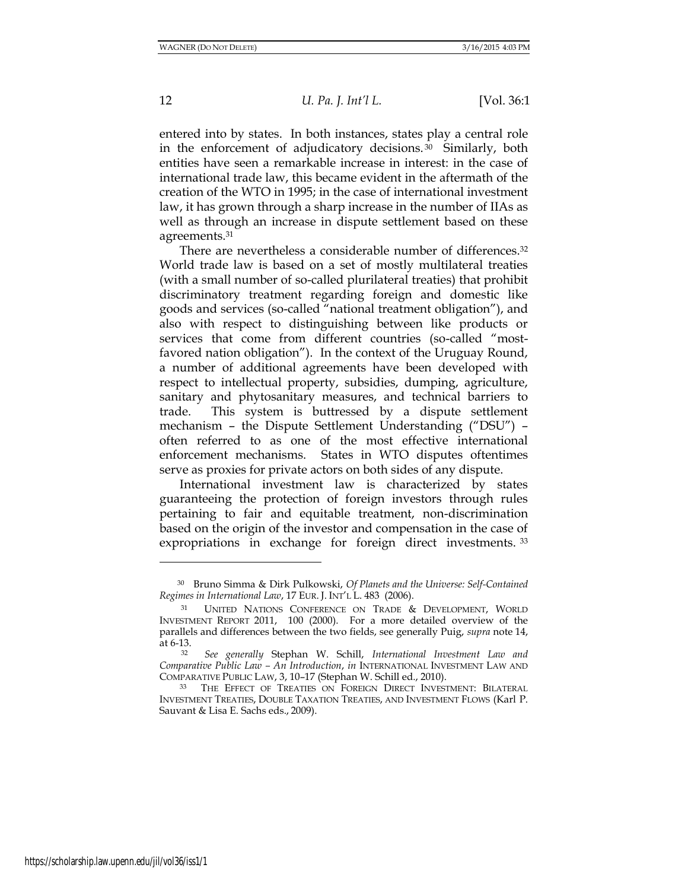entered into by states. In both instances, states play a central role in the enforcement of adjudicatory decisions. <sup>30</sup> Similarly, both entities have seen a remarkable increase in interest: in the case of international trade law, this became evident in the aftermath of the creation of the WTO in 1995; in the case of international investment law, it has grown through a sharp increase in the number of IIAs as well as through an increase in dispute settlement based on these agreements.<sup>31</sup>

There are nevertheless a considerable number of differences.<sup>32</sup> World trade law is based on a set of mostly multilateral treaties (with a small number of so-called plurilateral treaties) that prohibit discriminatory treatment regarding foreign and domestic like goods and services (so-called "national treatment obligation"), and also with respect to distinguishing between like products or services that come from different countries (so-called "mostfavored nation obligation"). In the context of the Uruguay Round, a number of additional agreements have been developed with respect to intellectual property, subsidies, dumping, agriculture, sanitary and phytosanitary measures, and technical barriers to trade. This system is buttressed by a dispute settlement mechanism – the Dispute Settlement Understanding ("DSU") – often referred to as one of the most effective international enforcement mechanisms. States in WTO disputes oftentimes serve as proxies for private actors on both sides of any dispute.

International investment law is characterized by states guaranteeing the protection of foreign investors through rules pertaining to fair and equitable treatment, non-discrimination based on the origin of the investor and compensation in the case of expropriations in exchange for foreign direct investments. <sup>33</sup>

<sup>30</sup> Bruno Simma & Dirk Pulkowski, *Of Planets and the Universe: Self-Contained Regimes in International Law*, 17 EUR. J. INT'L L. 483 (2006).

<sup>31</sup> UNITED NATIONS CONFERENCE ON TRADE & DEVELOPMENT, WORLD INVESTMENT REPORT 2011, 100 (2000). For a more detailed overview of the parallels and differences between the two fields, see generally Puig, *supra* note 14, at 6-13.

<sup>32</sup> *See generally* Stephan W. Schill, *International Investment Law and Comparative Public Law – An Introduction*, *in* INTERNATIONAL INVESTMENT LAW AND COMPARATIVE PUBLIC LAW, 3, 10–17 (Stephan W. Schill ed., 2010).

<sup>33</sup> THE EFFECT OF TREATIES ON FOREIGN DIRECT INVESTMENT: BILATERAL INVESTMENT TREATIES, DOUBLE TAXATION TREATIES, AND INVESTMENT FLOWS (Karl P. Sauvant & Lisa E. Sachs eds., 2009).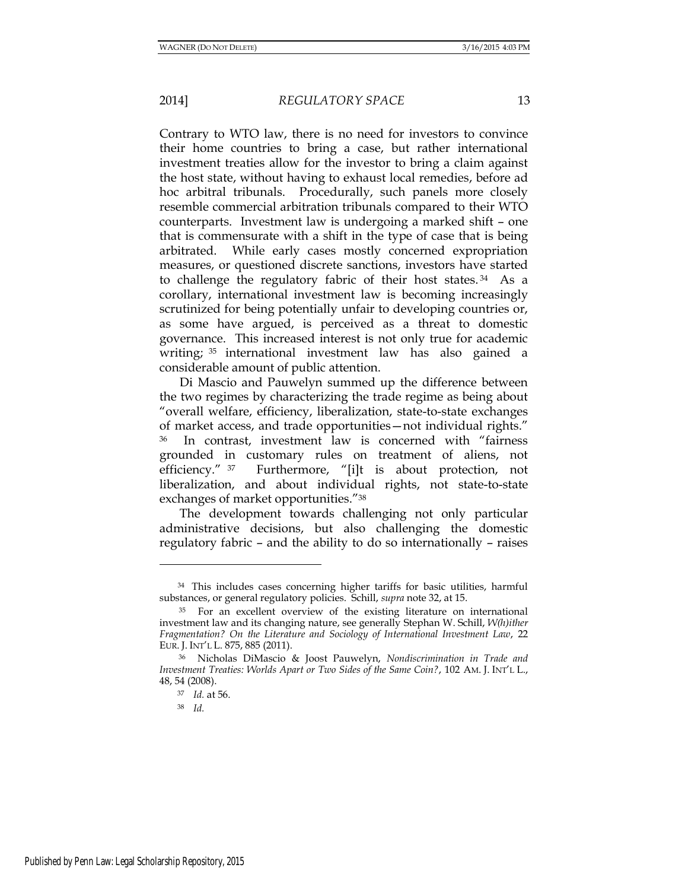Contrary to WTO law, there is no need for investors to convince their home countries to bring a case, but rather international investment treaties allow for the investor to bring a claim against the host state, without having to exhaust local remedies, before ad hoc arbitral tribunals. Procedurally, such panels more closely resemble commercial arbitration tribunals compared to their WTO counterparts. Investment law is undergoing a marked shift – one that is commensurate with a shift in the type of case that is being arbitrated. While early cases mostly concerned expropriation measures, or questioned discrete sanctions, investors have started to challenge the regulatory fabric of their host states. <sup>34</sup> As a corollary, international investment law is becoming increasingly scrutinized for being potentially unfair to developing countries or, as some have argued, is perceived as a threat to domestic governance. This increased interest is not only true for academic writing; <sup>35</sup> international investment law has also gained a considerable amount of public attention.

Di Mascio and Pauwelyn summed up the difference between the two regimes by characterizing the trade regime as being about "overall welfare, efficiency, liberalization, state-to-state exchanges of market access, and trade opportunities—not individual rights." <sup>36</sup> In contrast, investment law is concerned with "fairness grounded in customary rules on treatment of aliens, not efficiency." <sup>37</sup> Furthermore, "[i]t is about protection, not liberalization, and about individual rights, not state-to-state exchanges of market opportunities."<sup>38</sup>

The development towards challenging not only particular administrative decisions, but also challenging the domestic regulatory fabric – and the ability to do so internationally – raises

<sup>34</sup> This includes cases concerning higher tariffs for basic utilities, harmful substances, or general regulatory policies. Schill, *supra* note 32, at 15.

<sup>&</sup>lt;sup>35</sup> For an excellent overview of the existing literature on international investment law and its changing nature, see generally Stephan W. Schill, *W(h)ither Fragmentation? On the Literature and Sociology of International Investment Law*, 22 EUR. J. INT'L L. 875, 885 (2011).

<sup>36</sup> Nicholas DiMascio & Joost Pauwelyn, *Nondiscrimination in Trade and Investment Treaties: Worlds Apart or Two Sides of the Same Coin?*, 102 AM. J. INT'L L., 48, 54 (2008).

<sup>37</sup> *Id.* at 56.

<sup>38</sup> *Id.*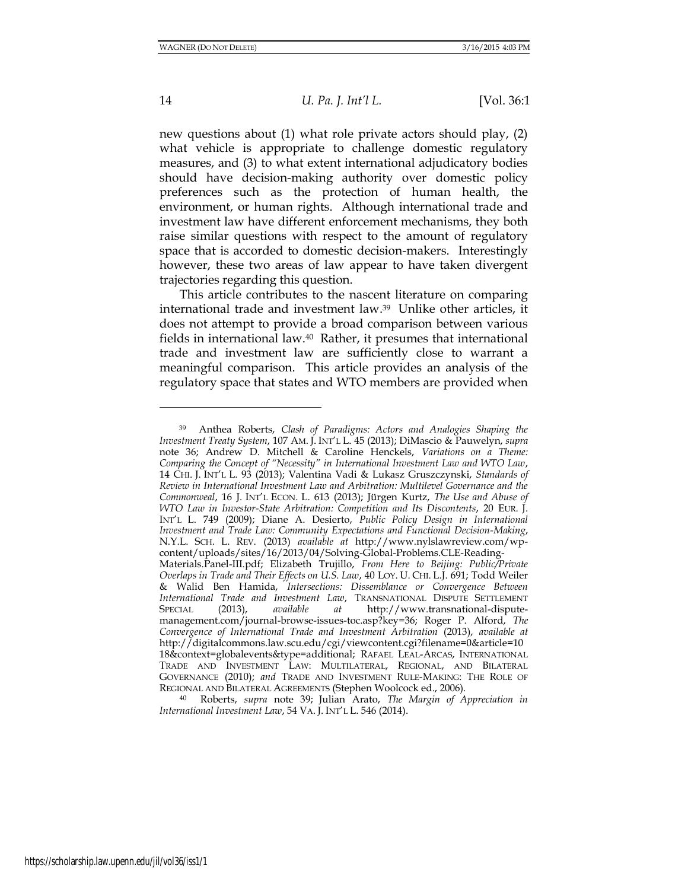new questions about (1) what role private actors should play, (2) what vehicle is appropriate to challenge domestic regulatory measures, and (3) to what extent international adjudicatory bodies should have decision-making authority over domestic policy preferences such as the protection of human health, the environment, or human rights. Although international trade and investment law have different enforcement mechanisms, they both raise similar questions with respect to the amount of regulatory space that is accorded to domestic decision-makers. Interestingly however, these two areas of law appear to have taken divergent trajectories regarding this question.

This article contributes to the nascent literature on comparing international trade and investment law.39 Unlike other articles, it does not attempt to provide a broad comparison between various fields in international law.40 Rather, it presumes that international trade and investment law are sufficiently close to warrant a meaningful comparison. This article provides an analysis of the regulatory space that states and WTO members are provided when

<sup>40</sup> Roberts, *supra* note 39; Julian Arato, *The Margin of Appreciation in International Investment Law*, 54 VA. J. INT'L L. 546 (2014).

<sup>39</sup> Anthea Roberts, *Clash of Paradigms: Actors and Analogies Shaping the Investment Treaty System*, 107 AM. J. INT'L L. 45 (2013); DiMascio & Pauwelyn, *supra* note 36; Andrew D. Mitchell & Caroline Henckels, *Variations on a Theme: Comparing the Concept of "Necessity" in International Investment Law and WTO Law*, 14 CHI. J. INT'L L. 93 (2013); Valentina Vadi & Lukasz Gruszczynski, *Standards of Review in International Investment Law and Arbitration: Multilevel Governance and the Commonweal*, 16 J. INT'L ECON. L. 613 (2013); Jürgen Kurtz, *The Use and Abuse of WTO Law in Investor-State Arbitration: Competition and Its Discontents*, 20 EUR. J. INT'L L. 749 (2009); Diane A. Desierto, *Public Policy Design in International Investment and Trade Law: Community Expectations and Functional Decision-Making*, N.Y.L. SCH. L. REV. (2013) *available at* http://www.nylslawreview.com/wpcontent/uploads/sites/16/2013/04/Solving-Global-Problems.CLE-Reading-

Materials.Panel-III.pdf; Elizabeth Trujillo, *From Here to Beijing: Public/Private Overlaps in Trade and Their Effects on U.S. Law*, 40 LOY. U. CHI. L.J. 691; Todd Weiler & Walid Ben Hamida, *Intersections: Dissemblance or Convergence Between International Trade and Investment Law*, TRANSNATIONAL DISPUTE SETTLEMENT SPECIAL (2013), *available at* http://www.transnational-disputemanagement.com/journal-browse-issues-toc.asp?key=36; Roger P. Alford, *The Convergence of International Trade and Investment Arbitration* (2013), *available at* [http://digitalcommons.law.scu.edu/cgi/viewcontent.cgi?filename=0&article=10](http://digitalcommons.law.scu.edu/cgi/viewcontent.cgi?filename=0&article=1018&context=globalevents&type=additional) [18&context=globalevents&type=additional;](http://digitalcommons.law.scu.edu/cgi/viewcontent.cgi?filename=0&article=1018&context=globalevents&type=additional) RAFAEL LEAL-ARCAS, INTERNATIONAL TRADE AND INVESTMENT LAW: MULTILATERAL, REGIONAL, AND BILATERAL GOVERNANCE (2010); *and* TRADE AND INVESTMENT RULE-MAKING: THE ROLE OF REGIONAL AND BILATERAL AGREEMENTS (Stephen Woolcock ed., 2006).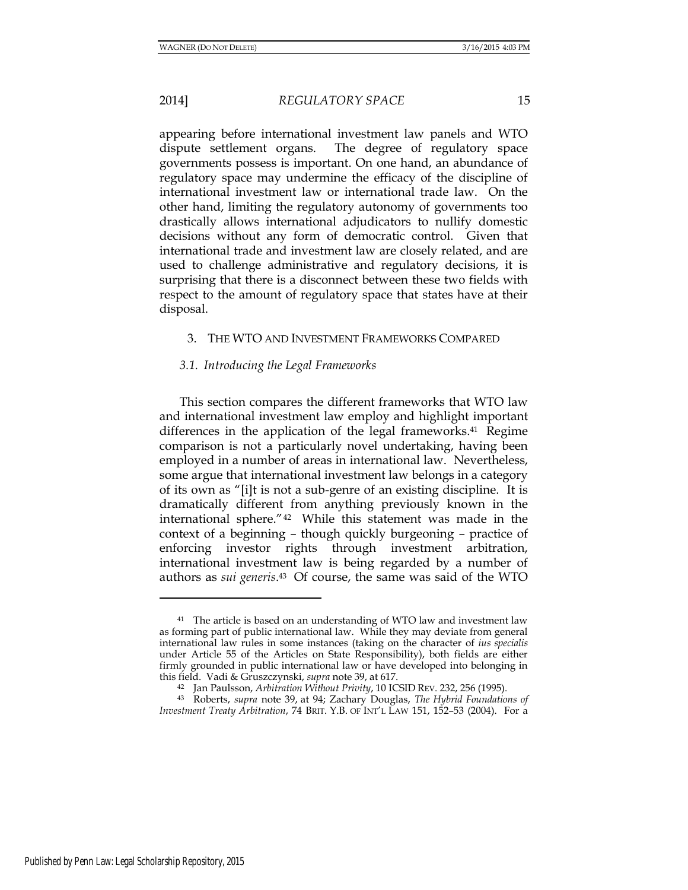appearing before international investment law panels and WTO dispute settlement organs. The degree of regulatory space governments possess is important. On one hand, an abundance of regulatory space may undermine the efficacy of the discipline of international investment law or international trade law. On the other hand, limiting the regulatory autonomy of governments too drastically allows international adjudicators to nullify domestic decisions without any form of democratic control. Given that international trade and investment law are closely related, and are used to challenge administrative and regulatory decisions, it is surprising that there is a disconnect between these two fields with respect to the amount of regulatory space that states have at their disposal.

#### 3. THE WTO AND INVESTMENT FRAMEWORKS COMPARED

### *3.1. Introducing the Legal Frameworks*

This section compares the different frameworks that WTO law and international investment law employ and highlight important differences in the application of the legal frameworks.<sup>41</sup> Regime comparison is not a particularly novel undertaking, having been employed in a number of areas in international law. Nevertheless, some argue that international investment law belongs in a category of its own as "[i]t is not a sub-genre of an existing discipline. It is dramatically different from anything previously known in the international sphere."42 While this statement was made in the context of a beginning – though quickly burgeoning – practice of enforcing investor rights through investment arbitration, international investment law is being regarded by a number of authors as *sui generis*. <sup>43</sup> Of course, the same was said of the WTO

<sup>&</sup>lt;sup>41</sup> The article is based on an understanding of WTO law and investment law as forming part of public international law. While they may deviate from general international law rules in some instances (taking on the character of *ius specialis*  under Article 55 of the Articles on State Responsibility), both fields are either firmly grounded in public international law or have developed into belonging in this field. Vadi & Gruszczynski, *supra* note 39, at 617.

<sup>42</sup> Jan Paulsson, *Arbitration Without Privity*, 10 ICSID REV. 232, 256 (1995).

<sup>43</sup> Roberts, *supra* note 39, at 94; Zachary Douglas, *The Hybrid Foundations of Investment Treaty Arbitration*, 74 BRIT. Y.B. OF INT'L LAW 151, 152–53 (2004). For a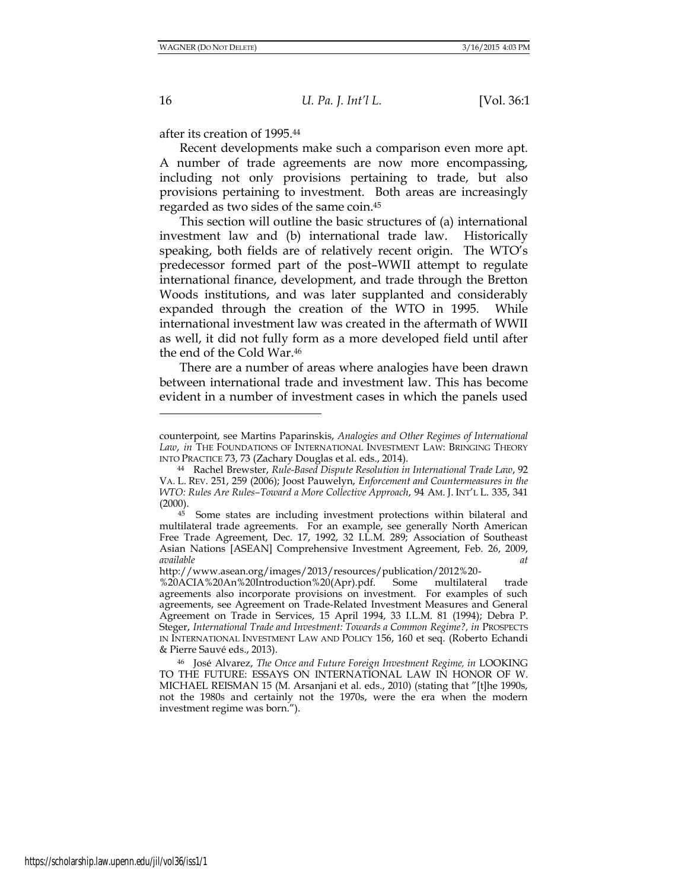after its creation of 1995.<sup>44</sup>

Recent developments make such a comparison even more apt. A number of trade agreements are now more encompassing, including not only provisions pertaining to trade, but also provisions pertaining to investment. Both areas are increasingly regarded as two sides of the same coin.<sup>45</sup>

This section will outline the basic structures of (a) international investment law and (b) international trade law. Historically speaking, both fields are of relatively recent origin. The WTO's predecessor formed part of the post–WWII attempt to regulate international finance, development, and trade through the Bretton Woods institutions, and was later supplanted and considerably expanded through the creation of the WTO in 1995. While international investment law was created in the aftermath of WWII as well, it did not fully form as a more developed field until after the end of the Cold War.<sup>46</sup>

There are a number of areas where analogies have been drawn between international trade and investment law. This has become evident in a number of investment cases in which the panels used

counterpoint, see Martins Paparinskis, *Analogies and Other Regimes of International Law*, *in* THE FOUNDATIONS OF INTERNATIONAL INVESTMENT LAW: BRINGING THEORY INTO PRACTICE 73, 73 (Zachary Douglas et al. eds., 2014).

<sup>44</sup> Rachel Brewster, *Rule-Based Dispute Resolution in International Trade Law*, 92 VA. L. REV. 251, 259 (2006); Joost Pauwelyn, *Enforcement and Countermeasures in the WTO: Rules Are Rules–Toward a More Collective Approach*, 94 AM. J. INT'L L. 335, 341  $(2000)$ .

<sup>&</sup>lt;sup>45</sup> Some states are including investment protections within bilateral and multilateral trade agreements. For an example, see generally North American Free Trade Agreement, Dec. 17, 1992, 32 I.L.M. 289; Association of Southeast Asian Nations [ASEAN] Comprehensive Investment Agreement, Feb. 26, 2009, *available at* 

http://www.asean.org/images/2013/resources/publication/2012%20-

<sup>%20</sup>ACIA%20An%20Introduction%20(Apr).pdf. Some multilateral trade agreements also incorporate provisions on investment. For examples of such agreements, see Agreement on Trade-Related Investment Measures and General Agreement on Trade in Services, 15 April 1994, 33 I.L.M. 81 (1994); Debra P. Steger, *International Trade and Investment: Towards a Common Regime?*, *in PROSPECTS* IN INTERNATIONAL INVESTMENT LAW AND POLICY 156, 160 et seq. (Roberto Echandi & Pierre Sauvé eds., 2013).

<sup>46</sup> José Alvarez, *The Once and Future Foreign Investment Regime, in* LOOKING TO THE FUTURE: ESSAYS ON INTERNATIONAL LAW IN HONOR OF W. MICHAEL REISMAN 15 (M. Arsanjani et al. eds., 2010) (stating that "[t]he 1990s, not the 1980s and certainly not the 1970s, were the era when the modern investment regime was born.").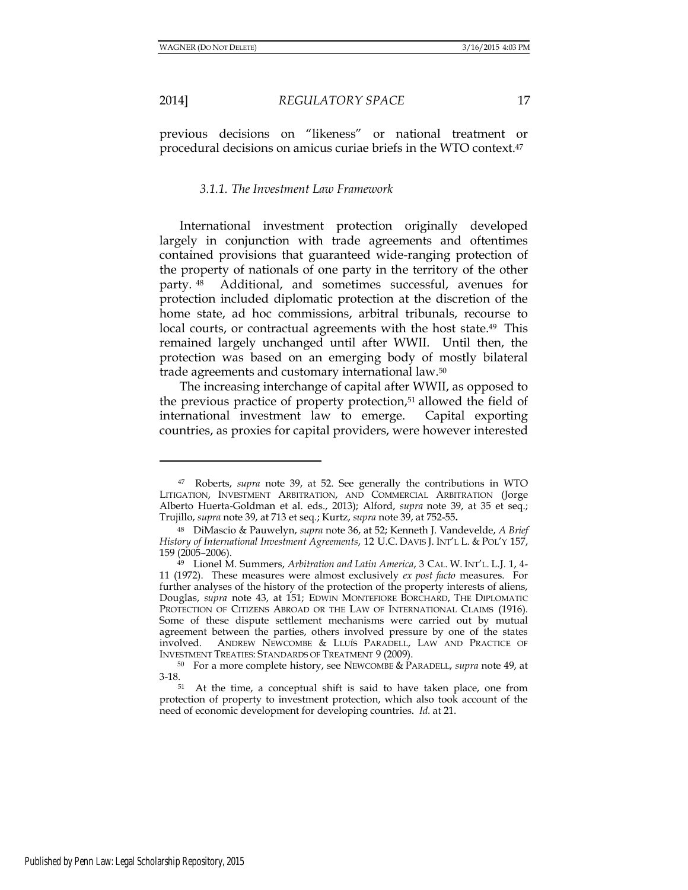2014] *REGULATORY SPACE* 17

previous decisions on "likeness" or national treatment or procedural decisions on amicus curiae briefs in the WTO context.<sup>47</sup>

#### *3.1.1. The Investment Law Framework*

International investment protection originally developed largely in conjunction with trade agreements and oftentimes contained provisions that guaranteed wide-ranging protection of the property of nationals of one party in the territory of the other party. <sup>48</sup> Additional, and sometimes successful, avenues for protection included diplomatic protection at the discretion of the home state, ad hoc commissions, arbitral tribunals, recourse to local courts, or contractual agreements with the host state.<sup>49</sup> This remained largely unchanged until after WWII. Until then, the protection was based on an emerging body of mostly bilateral trade agreements and customary international law.<sup>50</sup>

The increasing interchange of capital after WWII, as opposed to the previous practice of property protection,<sup>51</sup> allowed the field of international investment law to emerge. Capital exporting countries, as proxies for capital providers, were however interested

<sup>47</sup> Roberts, *supra* note 39, at 52. See generally the contributions in WTO LITIGATION, INVESTMENT ARBITRATION, AND COMMERCIAL ARBITRATION (Jorge Alberto Huerta-Goldman et al. eds., 2013); Alford, *supra* note 39, at 35 et seq.; Trujillo, *supra* note 39, at 713 et seq*.*; Kurtz, *supra* note 39, at 752-55**.**

<sup>48</sup> DiMascio & Pauwelyn, *supra* note 36, at 52; Kenneth J. Vandevelde, *A Brief History of International Investment Agreements*, 12 U.C. DAVIS J. INT'L L. & POL'Y 157, 159 (2005–2006).

<sup>49</sup> Lionel M. Summers, *Arbitration and Latin America*, 3 CAL. W. INT'L. L.J. 1, 4- 11 (1972). These measures were almost exclusively *ex post facto* measures. For further analyses of the history of the protection of the property interests of aliens, Douglas, *supra* note 43, at 151; EDWIN MONTEFIORE BORCHARD, THE DIPLOMATIC PROTECTION OF CITIZENS ABROAD OR THE LAW OF INTERNATIONAL CLAIMS (1916). Some of these dispute settlement mechanisms were carried out by mutual agreement between the parties, others involved pressure by one of the states involved. ANDREW NEWCOMBE & LLUÍS PARADELL, LAW AND PRACTICE OF INVESTMENT TREATIES: STANDARDS OF TREATMENT 9 (2009).

<sup>50</sup> For a more complete history, see NEWCOMBE & PARADELL, *supra* note 49, at 3-18.

<sup>51</sup> At the time, a conceptual shift is said to have taken place, one from protection of property to investment protection, which also took account of the need of economic development for developing countries. *Id.* at 21.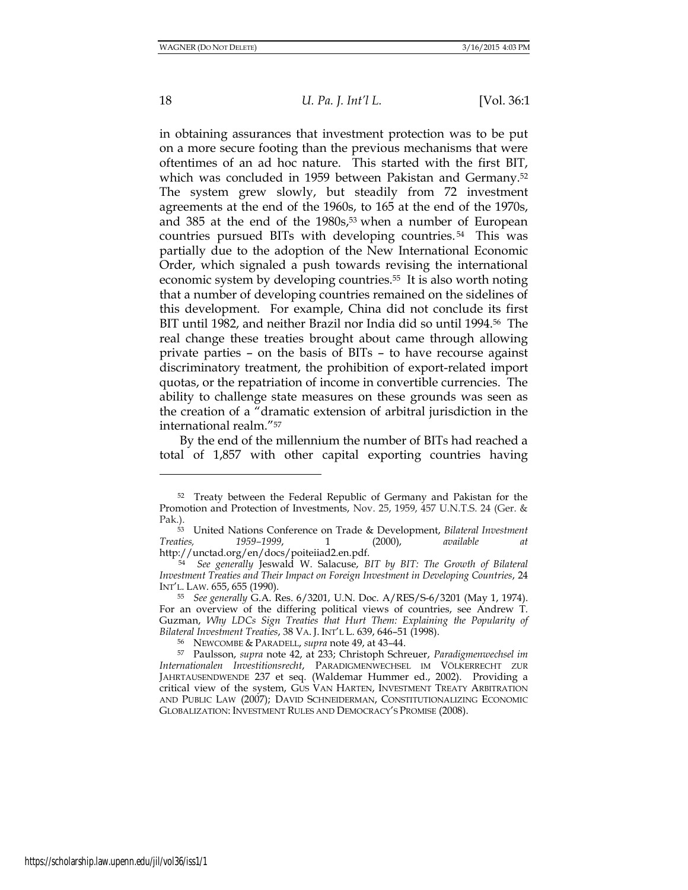18 *U. Pa. J. Int'l L.* [Vol. 36:1

in obtaining assurances that investment protection was to be put on a more secure footing than the previous mechanisms that were oftentimes of an ad hoc nature. This started with the first BIT, which was concluded in 1959 between Pakistan and Germany.<sup>52</sup> The system grew slowly, but steadily from 72 investment agreements at the end of the 1960s, to 165 at the end of the 1970s, and 385 at the end of the 1980s,<sup>53</sup> when a number of European countries pursued BITs with developing countries. <sup>54</sup> This was partially due to the adoption of the New International Economic Order, which signaled a push towards revising the international economic system by developing countries.55 It is also worth noting that a number of developing countries remained on the sidelines of this development. For example, China did not conclude its first BIT until 1982, and neither Brazil nor India did so until 1994.56 The real change these treaties brought about came through allowing private parties – on the basis of BITs – to have recourse against discriminatory treatment, the prohibition of export-related import quotas, or the repatriation of income in convertible currencies. The ability to challenge state measures on these grounds was seen as the creation of a "dramatic extension of arbitral jurisdiction in the international realm."<sup>57</sup>

By the end of the millennium the number of BITs had reached a total of 1,857 with other capital exporting countries having

<sup>52</sup> Treaty between the Federal Republic of Germany and Pakistan for the Promotion and Protection of Investments, Nov. 25, 1959, 457 U.N.T.S. 24 (Ger. & Pak.).

<sup>53</sup> United Nations Conference on Trade & Development, *Bilateral Investment Treaties, 1959–1999*, 1 (2000), *available at* http://unctad.org/en/docs/poiteiiad2.en.pdf.

<sup>54</sup> *See generally* Jeswald W. Salacuse, *BIT by BIT: The Growth of Bilateral Investment Treaties and Their Impact on Foreign Investment in Developing Countries*, 24 INT'L. LAW. 655, 655 (1990).

<sup>55</sup> *See generally* G.A. Res. 6/3201, U.N. Doc. A/RES/S-6/3201 (May 1, 1974). For an overview of the differing political views of countries, see Andrew T. Guzman, *Why LDCs Sign Treaties that Hurt Them: Explaining the Popularity of Bilateral Investment Treaties*, 38 VA. J. INT'L L. 639, 646–51 (1998).

<sup>56</sup> NEWCOMBE & PARADELL, *supra* note 49, at 43–44.

<sup>57</sup> Paulsson, *supra* note 42, at 233; Christoph Schreuer, *Paradigmenwechsel im Internationalen Investitionsrecht*, PARADIGMENWECHSEL IM VÖLKERRECHT ZUR JAHRTAUSENDWENDE 237 et seq. (Waldemar Hummer ed., 2002). Providing a critical view of the system, GUS VAN HARTEN, INVESTMENT TREATY ARBITRATION AND PUBLIC LAW (2007); DAVID SCHNEIDERMAN, CONSTITUTIONALIZING ECONOMIC GLOBALIZATION: INVESTMENT RULES AND DEMOCRACY'S PROMISE (2008).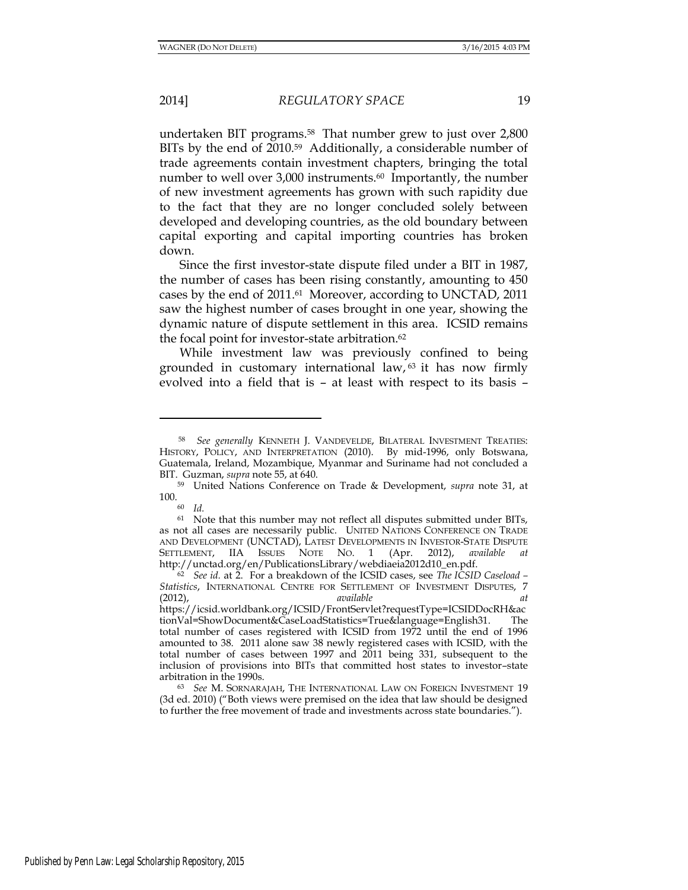undertaken BIT programs.58 That number grew to just over 2,800 BITs by the end of 2010.<sup>59</sup> Additionally, a considerable number of trade agreements contain investment chapters, bringing the total number to well over 3,000 instruments.<sup>60</sup> Importantly, the number of new investment agreements has grown with such rapidity due to the fact that they are no longer concluded solely between developed and developing countries, as the old boundary between capital exporting and capital importing countries has broken down.

Since the first investor-state dispute filed under a BIT in 1987, the number of cases has been rising constantly, amounting to 450 cases by the end of 2011.61 Moreover, according to UNCTAD, 2011 saw the highest number of cases brought in one year, showing the dynamic nature of dispute settlement in this area. ICSID remains the focal point for investor-state arbitration.<sup>62</sup>

While investment law was previously confined to being grounded in customary international law,  $63$  it has now firmly evolved into a field that is – at least with respect to its basis –

<sup>60</sup> *Id.* 

l

<sup>58</sup> *See generally* KENNETH J. VANDEVELDE, BILATERAL INVESTMENT TREATIES: HISTORY, POLICY, AND INTERPRETATION (2010). By mid-1996, only Botswana, Guatemala, Ireland, Mozambique, Myanmar and Suriname had not concluded a BIT. Guzman, *supra* note 55, at 640.

<sup>59</sup> United Nations Conference on Trade & Development, *supra* note 31, at  $100.$  60

<sup>&</sup>lt;sup>61</sup> Note that this number may not reflect all disputes submitted under BITs, as not all cases are necessarily public. UNITED NATIONS CONFERENCE ON TRADE AND DEVELOPMENT (UNCTAD), LATEST DEVELOPMENTS IN INVESTOR-STATE DISPUTE SETTLEMENT, IIA ISSUES NOTE NO. 1 (Apr. 2012), *available at* http://unctad.org/en/PublicationsLibrary/webdiaeia2012d10\_en.pdf.

<sup>62</sup> *See id.* at 2. For a breakdown of the ICSID cases, see *The ICSID Caseload – Statistics*, INTERNATIONAL CENTRE FOR SETTLEMENT OF INVESTMENT DISPUTES, 7 (2012), *available at*  https://icsid.worldbank.org/ICSID/FrontServlet?requestType=ICSIDDocRH&ac tionVal=ShowDocument&CaseLoadStatistics=True&language=English31. The total number of cases registered with ICSID from 1972 until the end of 1996 amounted to 38. 2011 alone saw 38 newly registered cases with ICSID, with the total number of cases between 1997 and 2011 being 331, subsequent to the inclusion of provisions into BITs that committed host states to investor–state arbitration in the 1990s.

<sup>63</sup> *See* M. SORNARAJAH, THE INTERNATIONAL LAW ON FOREIGN INVESTMENT 19 (3d ed. 2010) ("Both views were premised on the idea that law should be designed to further the free movement of trade and investments across state boundaries.").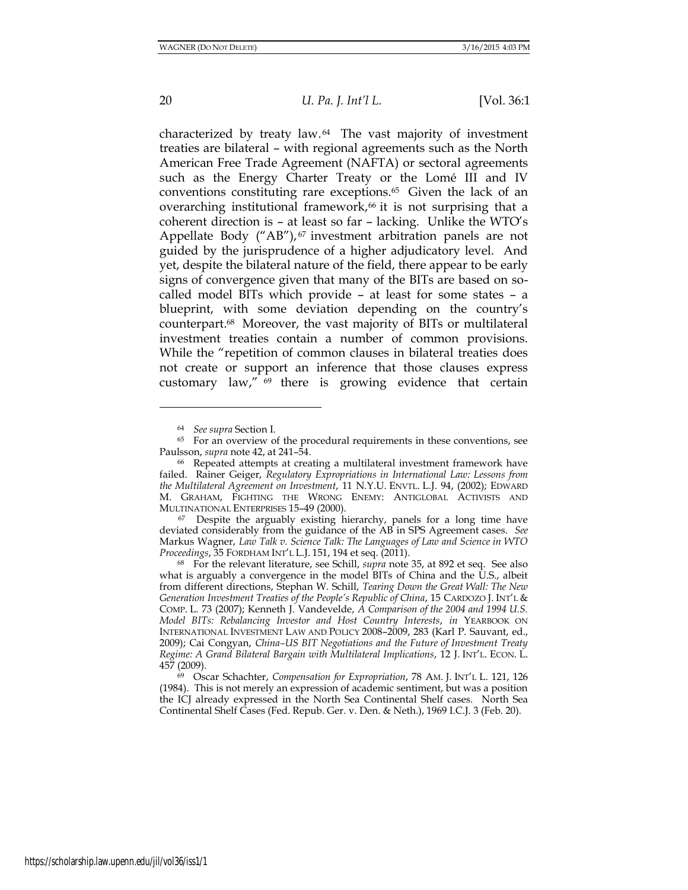20 *U. Pa. J. Int'l L.* [Vol. 36:1

characterized by treaty law. <sup>64</sup> The vast majority of investment treaties are bilateral – with regional agreements such as the North American Free Trade Agreement (NAFTA) or sectoral agreements such as the Energy Charter Treaty or the Lomé III and IV conventions constituting rare exceptions.65 Given the lack of an overarching institutional framework, $66$  it is not surprising that a coherent direction is – at least so far – lacking. Unlike the WTO's Appellate Body ("AB"), <sup>67</sup> investment arbitration panels are not guided by the jurisprudence of a higher adjudicatory level. And yet, despite the bilateral nature of the field, there appear to be early signs of convergence given that many of the BITs are based on socalled model BITs which provide – at least for some states – a blueprint, with some deviation depending on the country's counterpart.68 Moreover, the vast majority of BITs or multilateral investment treaties contain a number of common provisions. While the "repetition of common clauses in bilateral treaties does not create or support an inference that those clauses express customary law," <sup>69</sup> there is growing evidence that certain

<sup>67</sup> Despite the arguably existing hierarchy, panels for a long time have deviated considerably from the guidance of the AB in SPS Agreement cases. *See* Markus Wagner, *Law Talk v. Science Talk: The Languages of Law and Science in WTO Proceedings*, 35 FORDHAM INT'L L.J. 151, 194 et seq. (2011).

<sup>64</sup> *See supra* Section I.

<sup>&</sup>lt;sup>65</sup> For an overview of the procedural requirements in these conventions, see Paulsson, *supra* note 42, at 241–54.

<sup>66</sup> Repeated attempts at creating a multilateral investment framework have failed. Rainer Geiger, *Regulatory Expropriations in International Law: Lessons from the Multilateral Agreement on Investment*, 11 N.Y.U. ENVTL. L.J. 94, (2002); EDWARD M. GRAHAM, FIGHTING THE WRONG ENEMY: ANTIGLOBAL ACTIVISTS AND MULTINATIONAL ENTERPRISES 15–49 (2000).

<sup>68</sup> For the relevant literature, see Schill, *supra* note 35, at 892 et seq. See also what is arguably a convergence in the model BITs of China and the U.S., albeit from different directions, Stephan W. Schill, *Tearing Down the Great Wall: The New Generation Investment Treaties of the People's Republic of China, 15 CARDOZO J. INT'L &* COMP. L. 73 (2007); Kenneth J. Vandevelde, *A Comparison of the 2004 and 1994 U.S. Model BITs: Rebalancing Investor and Host Country Interests*, *in* YEARBOOK ON INTERNATIONAL INVESTMENT LAW AND POLICY 2008–2009, 283 (Karl P. Sauvant, ed., 2009); Cai Congyan, *China–US BIT Negotiations and the Future of Investment Treaty Regime: A Grand Bilateral Bargain with Multilateral Implications*, 12 J. INT'L. ECON. L. 457 (2009).

<sup>69</sup> Oscar Schachter, *Compensation for Expropriation*, 78 AM. J. INT'L L. 121, 126 (1984). This is not merely an expression of academic sentiment, but was a position the ICJ already expressed in the North Sea Continental Shelf cases. North Sea Continental Shelf Cases (Fed. Repub. Ger. v. Den. & Neth.), 1969 I.C.J. 3 (Feb. 20).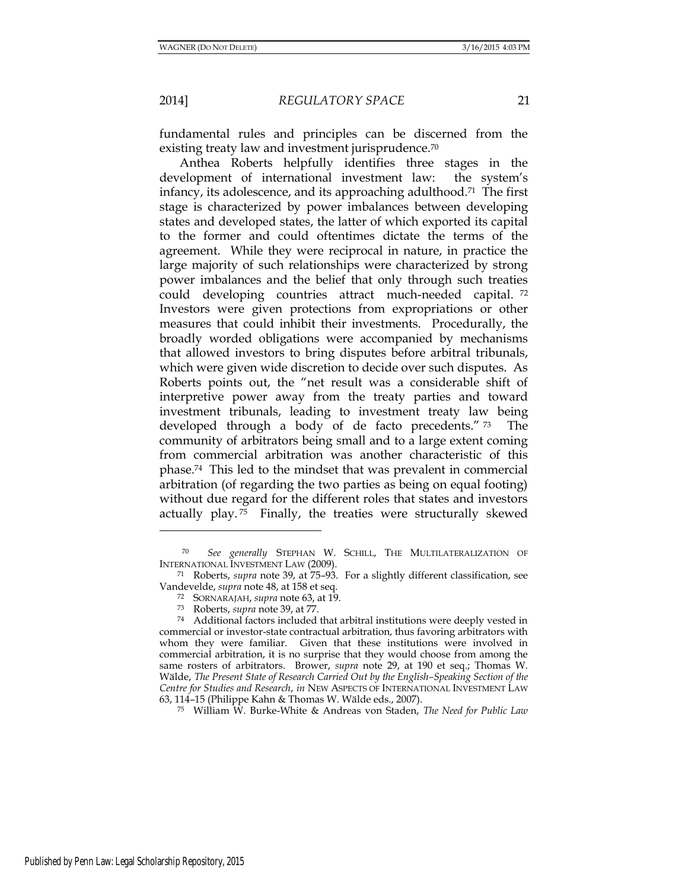fundamental rules and principles can be discerned from the existing treaty law and investment jurisprudence.<sup>70</sup>

Anthea Roberts helpfully identifies three stages in the development of international investment law: the system's infancy, its adolescence, and its approaching adulthood.71 The first stage is characterized by power imbalances between developing states and developed states, the latter of which exported its capital to the former and could oftentimes dictate the terms of the agreement. While they were reciprocal in nature, in practice the large majority of such relationships were characterized by strong power imbalances and the belief that only through such treaties could developing countries attract much-needed capital. <sup>72</sup> Investors were given protections from expropriations or other measures that could inhibit their investments. Procedurally, the broadly worded obligations were accompanied by mechanisms that allowed investors to bring disputes before arbitral tribunals, which were given wide discretion to decide over such disputes. As Roberts points out, the "net result was a considerable shift of interpretive power away from the treaty parties and toward investment tribunals, leading to investment treaty law being developed through a body of de facto precedents." <sup>73</sup> The community of arbitrators being small and to a large extent coming from commercial arbitration was another characteristic of this phase.74 This led to the mindset that was prevalent in commercial arbitration (of regarding the two parties as being on equal footing) without due regard for the different roles that states and investors actually play. <sup>75</sup> Finally, the treaties were structurally skewed

<sup>71</sup> Roberts, *supra* note 39, at 75–93. For a slightly different classification, see Vandevelde, *supra* note 48, at 158 et seq.

- <sup>72</sup> SORNARAJAH, *supra* note 63, at 19.
- <sup>73</sup> Roberts, *supra* note 39, at 77.

<sup>75</sup> William W. Burke-White & Andreas von Staden, *The Need for Public Law* 

<sup>70</sup> *See generally* STEPHAN W. SCHILL, THE MULTILATERALIZATION OF INTERNATIONAL INVESTMENT LAW (2009).

<sup>74</sup> Additional factors included that arbitral institutions were deeply vested in commercial or investor-state contractual arbitration, thus favoring arbitrators with whom they were familiar. Given that these institutions were involved in commercial arbitration, it is no surprise that they would choose from among the same rosters of arbitrators. Brower, *supra* note 29, at 190 et seq.; Thomas W. Wälde, *The Present State of Research Carried Out by the English–Speaking Section of the Centre for Studies and Research*, *in* NEW ASPECTS OF INTERNATIONAL INVESTMENT LAW 63, 114–15 (Philippe Kahn & Thomas W. Wälde eds., 2007).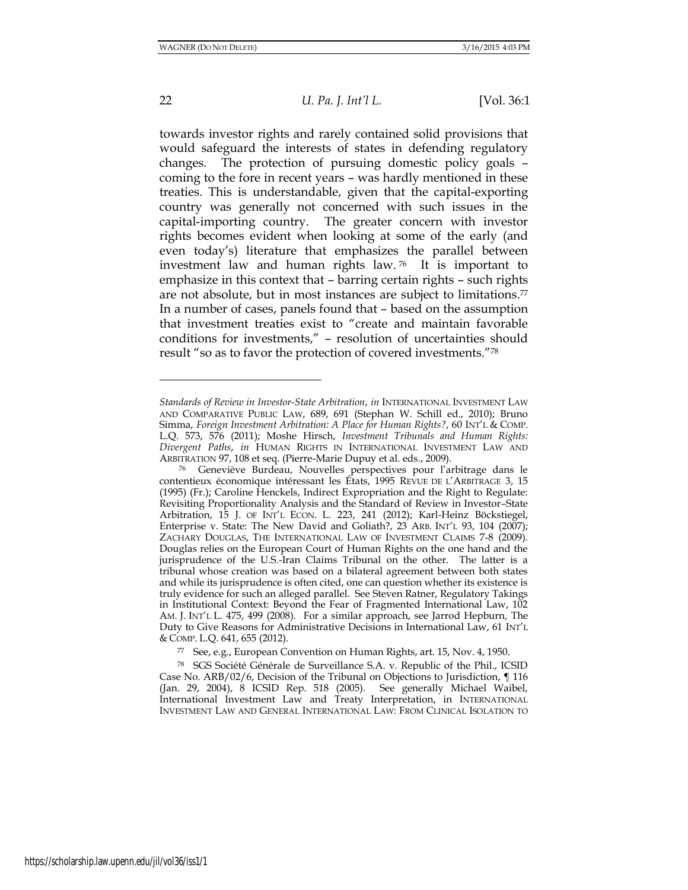22 *U. Pa. J. Int'l L.* [Vol. 36:1

towards investor rights and rarely contained solid provisions that would safeguard the interests of states in defending regulatory changes. The protection of pursuing domestic policy goals – coming to the fore in recent years – was hardly mentioned in these treaties. This is understandable, given that the capital-exporting country was generally not concerned with such issues in the capital-importing country. The greater concern with investor rights becomes evident when looking at some of the early (and even today's) literature that emphasizes the parallel between investment law and human rights law. <sup>76</sup> It is important to emphasize in this context that – barring certain rights – such rights are not absolute, but in most instances are subject to limitations.<sup>77</sup> In a number of cases, panels found that – based on the assumption that investment treaties exist to "create and maintain favorable conditions for investments," – resolution of uncertainties should result "so as to favor the protection of covered investments."<sup>78</sup>

*Standards of Review in Investor-State Arbitration*, *in* INTERNATIONAL INVESTMENT LAW AND COMPARATIVE PUBLIC LAW, 689, 691 (Stephan W. Schill ed., 2010); Bruno Simma, *Foreign Investment Arbitration: A Place for Human Rights?*, 60 INT'L & COMP. L.Q. 573, 576 (2011); Moshe Hirsch, *Investment Tribunals and Human Rights: Divergent Paths*, *in* HUMAN RIGHTS IN INTERNATIONAL INVESTMENT LAW AND ARBITRATION 97, 108 et seq. (Pierre-Marie Dupuy et al. eds., 2009).

<sup>76</sup> Geneviève Burdeau, Nouvelles perspectives pour l'arbitrage dans le contentieux économique intéressant les États, 1995 REVUE DE L'ARBITRAGE 3, 15 (1995) (Fr.); Caroline Henckels, Indirect Expropriation and the Right to Regulate: Revisiting Proportionality Analysis and the Standard of Review in Investor–State Arbitration, 15 J. OF INT'L ECON. L. 223, 241 (2012); Karl-Heinz Böckstiegel, Enterprise v. State: The New David and Goliath?, 23 ARB. INT'L 93, 104 (2007); ZACHARY DOUGLAS, THE INTERNATIONAL LAW OF INVESTMENT CLAIMS 7-8 (2009). Douglas relies on the European Court of Human Rights on the one hand and the jurisprudence of the U.S.-Iran Claims Tribunal on the other. The latter is a tribunal whose creation was based on a bilateral agreement between both states and while its jurisprudence is often cited, one can question whether its existence is truly evidence for such an alleged parallel. See Steven Ratner, Regulatory Takings in Institutional Context: Beyond the Fear of Fragmented International Law, 102 AM. J. INT'L L. 475, 499 (2008). For a similar approach, see Jarrod Hepburn, The Duty to Give Reasons for Administrative Decisions in International Law, 61 INT'L & COMP. L.Q. 641, 655 (2012).

<sup>77</sup> See, e.g., European Convention on Human Rights, art. 15, Nov. 4, 1950.

<sup>78</sup> SGS Société Générale de Surveillance S.A. v. Republic of the Phil., ICSID Case No. ARB/02/6, Decision of the Tribunal on Objections to Jurisdiction, ¶ 116 (Jan. 29, 2004), 8 ICSID Rep. 518 (2005). See generally Michael Waibel, International Investment Law and Treaty Interpretation, in INTERNATIONAL INVESTMENT LAW AND GENERAL INTERNATIONAL LAW: FROM CLINICAL ISOLATION TO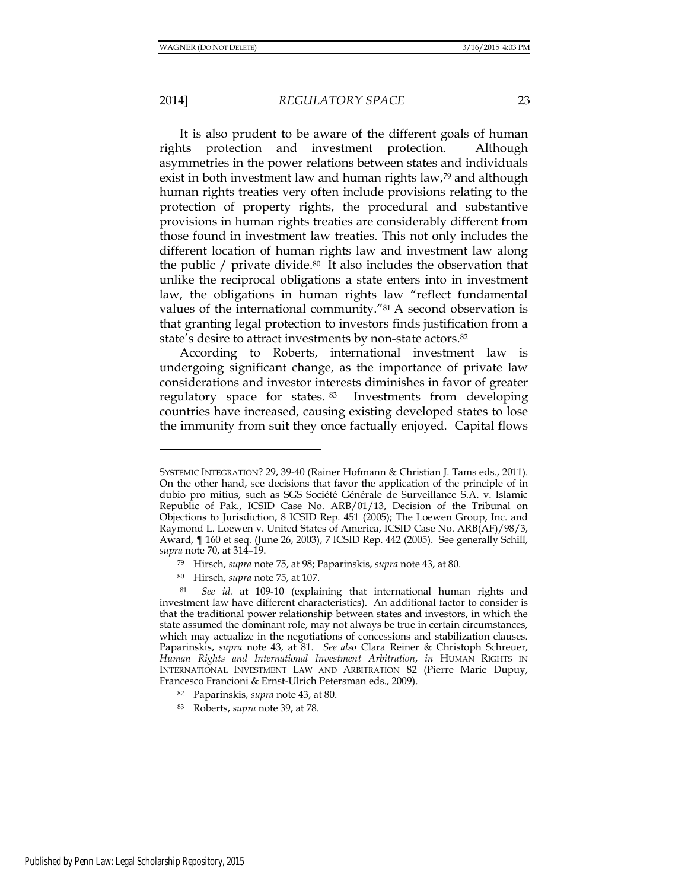2014] *REGULATORY SPACE* 23

It is also prudent to be aware of the different goals of human rights protection and investment protection. Although asymmetries in the power relations between states and individuals exist in both investment law and human rights law,<sup>79</sup> and although human rights treaties very often include provisions relating to the protection of property rights, the procedural and substantive provisions in human rights treaties are considerably different from those found in investment law treaties. This not only includes the different location of human rights law and investment law along the public  $/$  private divide.<sup>80</sup> It also includes the observation that unlike the reciprocal obligations a state enters into in investment law, the obligations in human rights law "reflect fundamental values of the international community."<sup>81</sup> A second observation is that granting legal protection to investors finds justification from a state's desire to attract investments by non-state actors.<sup>82</sup>

According to Roberts, international investment law is undergoing significant change, as the importance of private law considerations and investor interests diminishes in favor of greater regulatory space for states. <sup>83</sup> Investments from developing countries have increased, causing existing developed states to lose the immunity from suit they once factually enjoyed. Capital flows

SYSTEMIC INTEGRATION? 29, 39-40 (Rainer Hofmann & Christian J. Tams eds., 2011). On the other hand, see decisions that favor the application of the principle of in dubio pro mitius, such as SGS Société Générale de Surveillance S.A. v. Islamic Republic of Pak., ICSID Case No. ARB/01/13, Decision of the Tribunal on Objections to Jurisdiction, 8 ICSID Rep. 451 (2005); The Loewen Group, Inc. and Raymond L. Loewen v. United States of America, ICSID Case No. ARB(AF)/98/3, Award, ¶ 160 et seq. (June 26, 2003), 7 ICSID Rep. 442 (2005). See generally Schill, *supra* note 70, at 314–19.

<sup>79</sup> Hirsch, *supra* note 75, at 98; Paparinskis, *supra* note 43, at 80.

<sup>80</sup> Hirsch, *supra* note 75, at 107.

See id. at 109-10 (explaining that international human rights and investment law have different characteristics). An additional factor to consider is that the traditional power relationship between states and investors, in which the state assumed the dominant role, may not always be true in certain circumstances, which may actualize in the negotiations of concessions and stabilization clauses. Paparinskis, *supra* note 43, at 81. *See also* Clara Reiner & Christoph Schreuer, *Human Rights and International Investment Arbitration*, *in* HUMAN RIGHTS IN INTERNATIONAL INVESTMENT LAW AND ARBITRATION 82 (Pierre Marie Dupuy, Francesco Francioni & Ernst-Ulrich Petersman eds., 2009).

<sup>82</sup> Paparinskis, *supra* note 43, at 80.

<sup>83</sup> Roberts, *supra* note 39, at 78.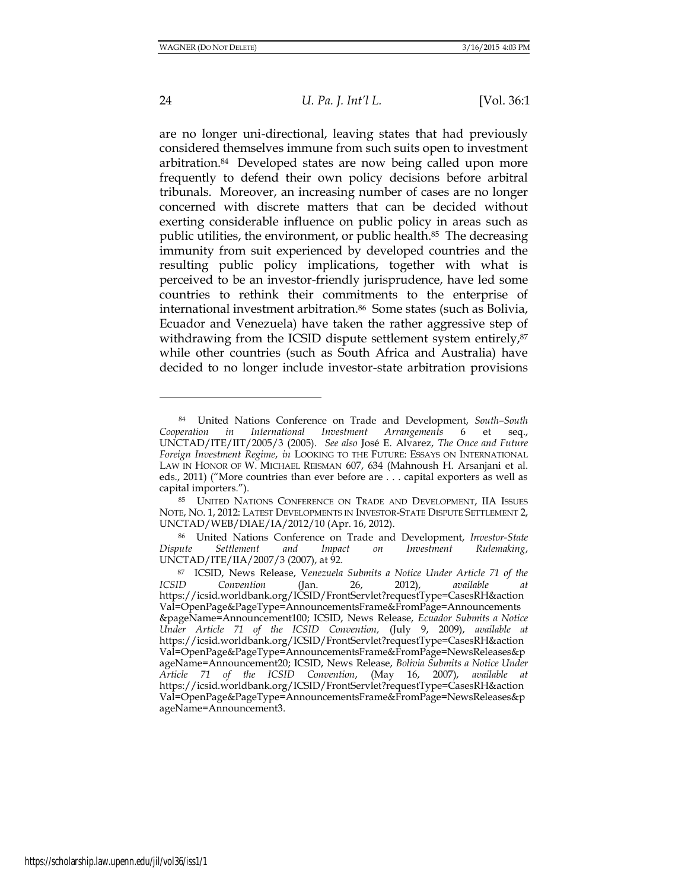<span id="page-23-0"></span>l

### 24 *U. Pa. J. Int'l L.* [Vol. 36:1

are no longer uni-directional, leaving states that had previously considered themselves immune from such suits open to investment arbitration.84 Developed states are now being called upon more frequently to defend their own policy decisions before arbitral tribunals. Moreover, an increasing number of cases are no longer concerned with discrete matters that can be decided without exerting considerable influence on public policy in areas such as public utilities, the environment, or public health.<sup>85</sup> The decreasing immunity from suit experienced by developed countries and the resulting public policy implications, together with what is perceived to be an investor-friendly jurisprudence, have led some countries to rethink their commitments to the enterprise of international investment arbitration.86 Some states (such as Bolivia, Ecuador and Venezuela) have taken the rather aggressive step of withdrawing from the ICSID dispute settlement system entirely,<sup>87</sup> while other countries (such as South Africa and Australia) have decided to no longer include investor-state arbitration provisions

<sup>84</sup> United Nations Conference on Trade and Development, *South–South Cooperation in International Investment Arrangements* 6 et seq., UNCTAD/ITE/IIT/2005/3 (2005). *See also* José E. Alvarez, *The Once and Future Foreign Investment Regime*, *in* LOOKING TO THE FUTURE: ESSAYS ON INTERNATIONAL LAW IN HONOR OF W. MICHAEL REISMAN 607, 634 (Mahnoush H. Arsanjani et al. eds., 2011) ("More countries than ever before are . . . capital exporters as well as capital importers.").

<sup>85</sup> UNITED NATIONS CONFERENCE ON TRADE AND DEVELOPMENT, IIA ISSUES NOTE, NO. 1, 2012: LATEST DEVELOPMENTS IN INVESTOR-STATE DISPUTE SETTLEMENT 2, UNCTAD/WEB/DIAE/IA/2012/10 (Apr. 16, 2012).

<sup>86</sup> United Nations Conference on Trade and Development, *Investor-State Dispute Settlement and Impact on Investment Rulemaking*, UNCTAD/ITE/IIA/2007/3 (2007), at 92.

<sup>87</sup> ICSID, News Release, V*enezuela Submits a Notice Under Article 71 of the ICSID Convention* (Jan. 26, 2012), *available at*  [https://icsid.worldbank.org/ICSID/FrontServlet?requestType=CasesRH&action](https://icsid.worldbank.org/ICSID/FrontServlet?requestType=CasesRH&actionVal=OpenPage&PageType=AnnouncementsFrame&FromPage=Announcements&pageName=Announcement100) [Val=OpenPage&PageType=AnnouncementsFrame&FromPage=Announcements](https://icsid.worldbank.org/ICSID/FrontServlet?requestType=CasesRH&actionVal=OpenPage&PageType=AnnouncementsFrame&FromPage=Announcements&pageName=Announcement100) [&pageName=Announcement100;](https://icsid.worldbank.org/ICSID/FrontServlet?requestType=CasesRH&actionVal=OpenPage&PageType=AnnouncementsFrame&FromPage=Announcements&pageName=Announcement100) ICSID, News Release, *Ecuador Submits a Notice Under Article 71 of the ICSID Convention,* (July 9, 2009), *available at*  [https://icsid.worldbank.org/ICSID/FrontServlet?requestType=CasesRH&action](https://icsid.worldbank.org/ICSID/FrontServlet?requestType=CasesRH&actionVal=OpenPage&PageType=AnnouncementsFrame&FromPage=NewsReleases&pageName=Announcement20) [Val=OpenPage&PageType=AnnouncementsFrame&FromPage=NewsReleases&p](https://icsid.worldbank.org/ICSID/FrontServlet?requestType=CasesRH&actionVal=OpenPage&PageType=AnnouncementsFrame&FromPage=NewsReleases&pageName=Announcement20) [ageName=Announcement20;](https://icsid.worldbank.org/ICSID/FrontServlet?requestType=CasesRH&actionVal=OpenPage&PageType=AnnouncementsFrame&FromPage=NewsReleases&pageName=Announcement20) ICSID, News Release, *Bolivia Submits a Notice Under Article 71 of the ICSID Convention*, (May 16, 2007), *available at*  [https://icsid.worldbank.org/ICSID/FrontServlet?requestType=CasesRH&action](https://icsid.worldbank.org/ICSID/FrontServlet?requestType=CasesRH&actionVal=OpenPage&PageType=AnnouncementsFrame&FromPage=NewsReleases&pageName=Announcement3) [Val=OpenPage&PageType=AnnouncementsFrame&FromPage=NewsReleases&p](https://icsid.worldbank.org/ICSID/FrontServlet?requestType=CasesRH&actionVal=OpenPage&PageType=AnnouncementsFrame&FromPage=NewsReleases&pageName=Announcement3) [ageName=Announcement3.](https://icsid.worldbank.org/ICSID/FrontServlet?requestType=CasesRH&actionVal=OpenPage&PageType=AnnouncementsFrame&FromPage=NewsReleases&pageName=Announcement3)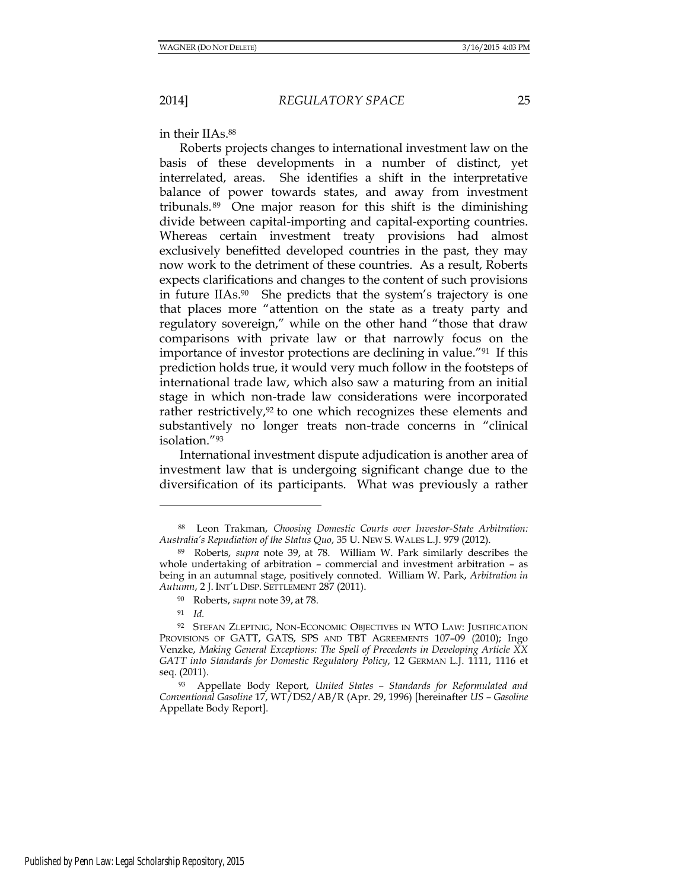<span id="page-24-0"></span>in their IIAs.<sup>88</sup>

Roberts projects changes to international investment law on the basis of these developments in a number of distinct, yet interrelated, areas. She identifies a shift in the interpretative balance of power towards states, and away from investment tribunals. <sup>89</sup> One major reason for this shift is the diminishing divide between capital-importing and capital-exporting countries. Whereas certain investment treaty provisions had almost exclusively benefitted developed countries in the past, they may now work to the detriment of these countries. As a result, Roberts expects clarifications and changes to the content of such provisions in future IIAs.90 She predicts that the system's trajectory is one that places more "attention on the state as a treaty party and regulatory sovereign," while on the other hand "those that draw comparisons with private law or that narrowly focus on the importance of investor protections are declining in value."91 If this prediction holds true, it would very much follow in the footsteps of international trade law, which also saw a maturing from an initial stage in which non-trade law considerations were incorporated rather restrictively, $92$  to one which recognizes these elements and substantively no longer treats non-trade concerns in "clinical isolation."<sup>93</sup>

International investment dispute adjudication is another area of investment law that is undergoing significant change due to the diversification of its participants. What was previously a rather

l

<sup>88</sup> Leon Trakman, *Choosing Domestic Courts over Investor-State Arbitration: Australia's Repudiation of the Status Quo*, 35 U. NEW S. WALES L.J. 979 (2012).

<sup>89</sup> Roberts, *supra* note 39, at 78. William W. Park similarly describes the whole undertaking of arbitration – commercial and investment arbitration – as being in an autumnal stage, positively connoted. William W. Park, *Arbitration in Autumn*, 2 J. INT'L DISP. SETTLEMENT 287 (2011).

<sup>90</sup> Roberts, *supra* note 39, at 78.

<sup>91</sup> *Id.*

<sup>92</sup> STEFAN ZLEPTNIG, NON-ECONOMIC OBJECTIVES IN WTO LAW: JUSTIFICATION PROVISIONS OF GATT, GATS, SPS AND TBT AGREEMENTS 107–09 (2010); Ingo Venzke, *Making General Exceptions: The Spell of Precedents in Developing Article XX GATT into Standards for Domestic Regulatory Policy*, 12 GERMAN L.J. 1111, 1116 et seq. (2011).

<sup>93</sup> Appellate Body Report, *United States – Standards for Reformulated and Conventional Gasoline* 17, WT/DS2/AB/R (Apr. 29, 1996) [hereinafter *US – Gasoline* Appellate Body Report].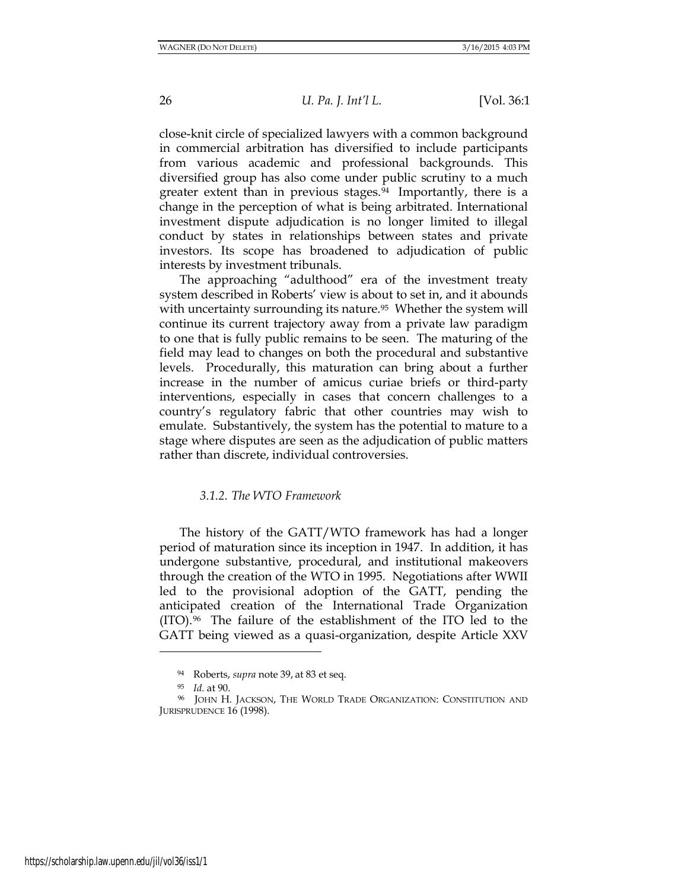close-knit circle of specialized lawyers with a common background in commercial arbitration has diversified to include participants from various academic and professional backgrounds. This diversified group has also come under public scrutiny to a much greater extent than in previous stages.<sup>94</sup> Importantly, there is a change in the perception of what is being arbitrated. International investment dispute adjudication is no longer limited to illegal conduct by states in relationships between states and private investors. Its scope has broadened to adjudication of public interests by investment tribunals.

The approaching "adulthood" era of the investment treaty system described in Roberts' view is about to set in, and it abounds with uncertainty surrounding its nature.<sup>95</sup> Whether the system will continue its current trajectory away from a private law paradigm to one that is fully public remains to be seen. The maturing of the field may lead to changes on both the procedural and substantive levels. Procedurally, this maturation can bring about a further increase in the number of amicus curiae briefs or third-party interventions, especially in cases that concern challenges to a country's regulatory fabric that other countries may wish to emulate. Substantively, the system has the potential to mature to a stage where disputes are seen as the adjudication of public matters rather than discrete, individual controversies.

# *3.1.2. The WTO Framework*

The history of the GATT/WTO framework has had a longer period of maturation since its inception in 1947. In addition, it has undergone substantive, procedural, and institutional makeovers through the creation of the WTO in 1995. Negotiations after WWII led to the provisional adoption of the GATT, pending the anticipated creation of the International Trade Organization  $(TTO).$ <sup>96</sup> The failure of the establishment of the ITO led to the GATT being viewed as a quasi-organization, despite Article XXV

 $\overline{a}$ 

https://scholarship.law.upenn.edu/jil/vol36/iss1/1

<sup>94</sup> Roberts, *supra* note 39, at 83 et seq.

<sup>95</sup> *Id.* at 90.

<sup>96</sup> JOHN H. JACKSON, THE WORLD TRADE ORGANIZATION: CONSTITUTION AND JURISPRUDENCE 16 (1998).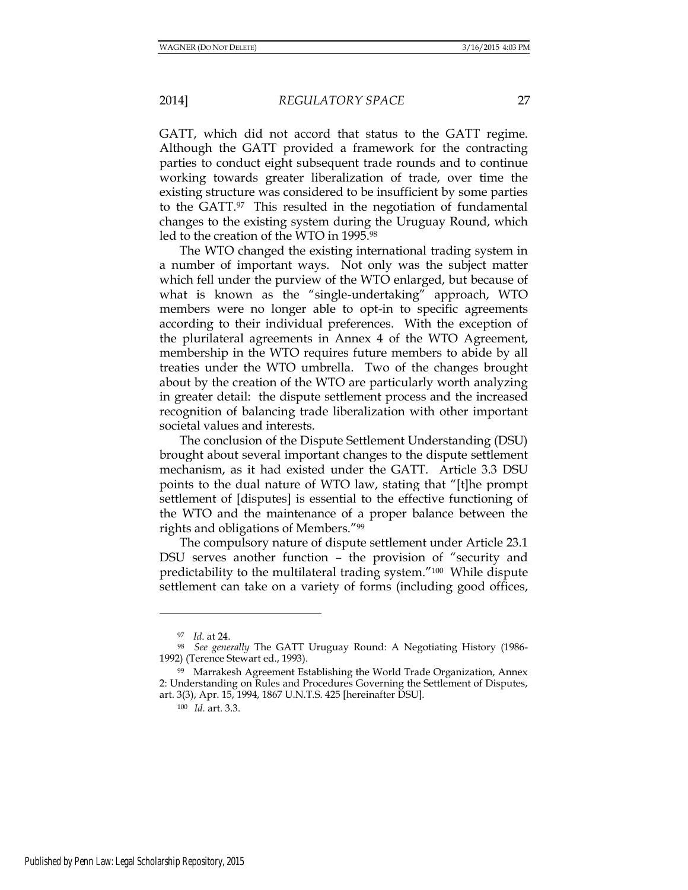GATT, which did not accord that status to the GATT regime. Although the GATT provided a framework for the contracting parties to conduct eight subsequent trade rounds and to continue working towards greater liberalization of trade, over time the existing structure was considered to be insufficient by some parties to the GATT.97 This resulted in the negotiation of fundamental changes to the existing system during the Uruguay Round, which led to the creation of the WTO in 1995.<sup>98</sup>

The WTO changed the existing international trading system in a number of important ways. Not only was the subject matter which fell under the purview of the WTO enlarged, but because of what is known as the "single-undertaking" approach, WTO members were no longer able to opt-in to specific agreements according to their individual preferences. With the exception of the plurilateral agreements in Annex 4 of the WTO Agreement, membership in the WTO requires future members to abide by all treaties under the WTO umbrella. Two of the changes brought about by the creation of the WTO are particularly worth analyzing in greater detail: the dispute settlement process and the increased recognition of balancing trade liberalization with other important societal values and interests.

The conclusion of the Dispute Settlement Understanding (DSU) brought about several important changes to the dispute settlement mechanism, as it had existed under the GATT. Article 3.3 DSU points to the dual nature of WTO law, stating that "[t]he prompt settlement of [disputes] is essential to the effective functioning of the WTO and the maintenance of a proper balance between the rights and obligations of Members."<sup>99</sup>

The compulsory nature of dispute settlement under Article 23.1 DSU serves another function – the provision of "security and predictability to the multilateral trading system."100 While dispute settlement can take on a variety of forms (including good offices,

l

<sup>97</sup> *Id*. at 24.

<sup>98</sup> *See generally* The GATT Uruguay Round: A Negotiating History (1986- 1992) (Terence Stewart ed., 1993).

<sup>99</sup> Marrakesh Agreement Establishing the World Trade Organization, Annex 2: Understanding on Rules and Procedures Governing the Settlement of Disputes, art. 3(3), Apr. 15, 1994, 1867 U.N.T.S. 425 [hereinafter DSU].

<sup>100</sup> *Id.* art. 3.3.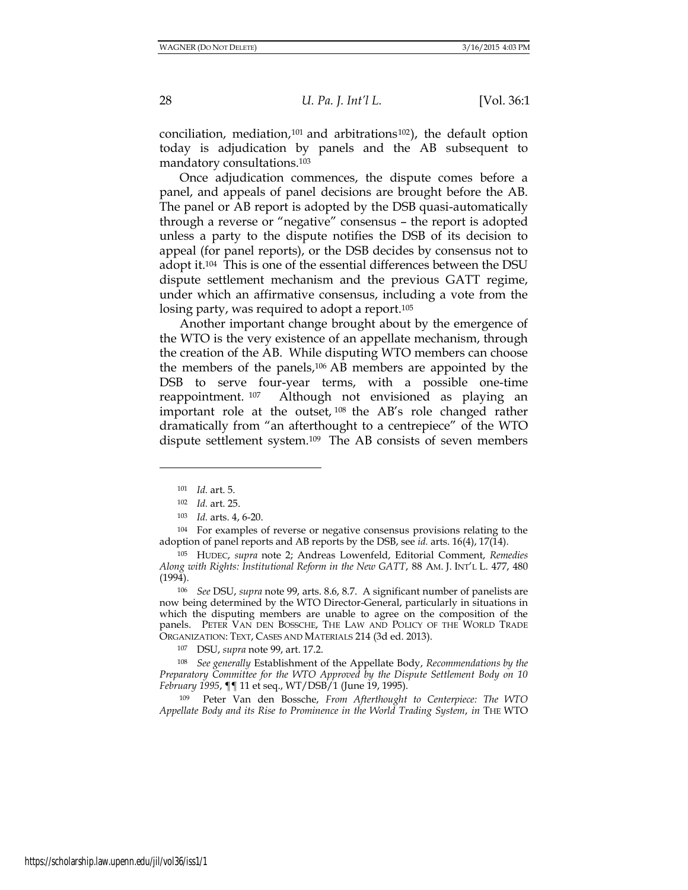conciliation, mediation,<sup>101</sup> and arbitrations<sup>102</sup>), the default option today is adjudication by panels and the AB subsequent to mandatory consultations.<sup>103</sup>

Once adjudication commences, the dispute comes before a panel, and appeals of panel decisions are brought before the AB. The panel or AB report is adopted by the DSB quasi-automatically through a reverse or "negative" consensus – the report is adopted unless a party to the dispute notifies the DSB of its decision to appeal (for panel reports), or the DSB decides by consensus not to adopt it.104 This is one of the essential differences between the DSU dispute settlement mechanism and the previous GATT regime, under which an affirmative consensus, including a vote from the losing party, was required to adopt a report.<sup>105</sup>

Another important change brought about by the emergence of the WTO is the very existence of an appellate mechanism, through the creation of the AB. While disputing WTO members can choose the members of the panels,<sup>106</sup> AB members are appointed by the DSB to serve four-year terms, with a possible one-time reappointment. <sup>107</sup> Although not envisioned as playing an important role at the outset, <sup>108</sup> the AB's role changed rather dramatically from "an afterthought to a centrepiece" of the WTO dispute settlement system.109 The AB consists of seven members

 $\overline{a}$ 

<sup>104</sup> For examples of reverse or negative consensus provisions relating to the adoption of panel reports and AB reports by the DSB, see *id.* arts. 16(4), 17(14).

<sup>105</sup> HUDEC, *supra* note 2; Andreas Lowenfeld, Editorial Comment, *Remedies Along with Rights: Institutional Reform in the New GATT*, 88 AM. J. INT'L L. 477, 480 (1994).

<sup>106</sup> *See* DSU, *supra* note 99, arts. 8.6, 8.7. A significant number of panelists are now being determined by the WTO Director-General, particularly in situations in which the disputing members are unable to agree on the composition of the panels. PETER VAN DEN BOSSCHE, THE LAW AND POLICY OF THE WORLD TRADE ORGANIZATION: TEXT, CASES AND MATERIALS 214 (3d ed. 2013).

<sup>107</sup> DSU, *supra* note 99, art. 17.2.

<sup>108</sup> *See generally* Establishment of the Appellate Body, *Recommendations by the Preparatory Committee for the WTO Approved by the Dispute Settlement Body on 10 February 1995*, ¶¶ 11 et seq., WT/DSB/1 (June 19, 1995).

<sup>109</sup> Peter Van den Bossche, *From Afterthought to Centerpiece: The WTO Appellate Body and its Rise to Prominence in the World Trading System*, *in* THE WTO

<sup>101</sup> *Id.* art. 5.

<sup>102</sup> *Id.* art. 25.

<sup>103</sup> *Id.* arts. 4, 6-20.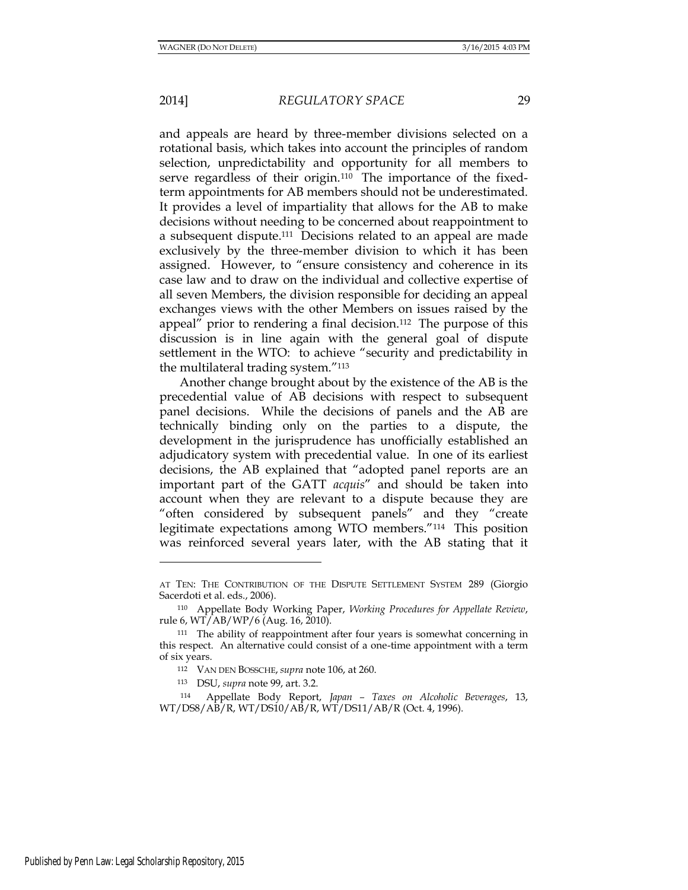and appeals are heard by three-member divisions selected on a rotational basis, which takes into account the principles of random selection, unpredictability and opportunity for all members to serve regardless of their origin.<sup>110</sup> The importance of the fixedterm appointments for AB members should not be underestimated. It provides a level of impartiality that allows for the AB to make decisions without needing to be concerned about reappointment to a subsequent dispute.111 Decisions related to an appeal are made exclusively by the three-member division to which it has been assigned. However, to "ensure consistency and coherence in its case law and to draw on the individual and collective expertise of all seven Members, the division responsible for deciding an appeal exchanges views with the other Members on issues raised by the appeal" prior to rendering a final decision.112 The purpose of this discussion is in line again with the general goal of dispute settlement in the WTO: to achieve "security and predictability in the multilateral trading system."<sup>113</sup>

Another change brought about by the existence of the AB is the precedential value of AB decisions with respect to subsequent panel decisions. While the decisions of panels and the AB are technically binding only on the parties to a dispute, the development in the jurisprudence has unofficially established an adjudicatory system with precedential value. In one of its earliest decisions, the AB explained that "adopted panel reports are an important part of the GATT *acquis*" and should be taken into account when they are relevant to a dispute because they are "often considered by subsequent panels" and they "create legitimate expectations among WTO members."114 This position was reinforced several years later, with the AB stating that it

<sup>113</sup> DSU, *supra* note 99, art. 3.2.

AT TEN: THE CONTRIBUTION OF THE DISPUTE SETTLEMENT SYSTEM 289 (Giorgio Sacerdoti et al. eds., 2006).

<sup>110</sup> Appellate Body Working Paper, *Working Procedures for Appellate Review*, rule 6,  $WT/AB/WP/6$  (Aug. 16, 2010).

<sup>&</sup>lt;sup>111</sup> The ability of reappointment after four years is somewhat concerning in this respect. An alternative could consist of a one-time appointment with a term of six years.

<sup>112</sup> VAN DEN BOSSCHE, *supra* note 106, at 260.

<sup>114</sup> Appellate Body Report, *Japan – Taxes on Alcoholic Beverages*, 13, WT/DS8/AB/R, WT/DS10/AB/R, WT/DS11/AB/R (Oct. 4, 1996).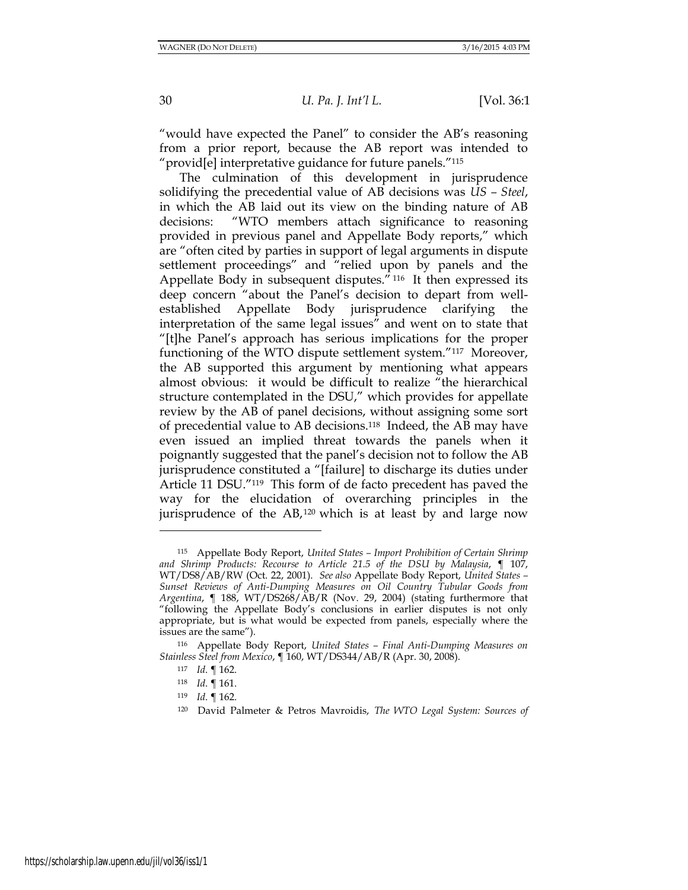"would have expected the Panel" to consider the AB's reasoning from a prior report, because the AB report was intended to "provid[e] interpretative guidance for future panels."<sup>115</sup>

The culmination of this development in jurisprudence solidifying the precedential value of AB decisions was *US – Steel*, in which the AB laid out its view on the binding nature of AB decisions: "WTO members attach significance to reasoning provided in previous panel and Appellate Body reports," which are "often cited by parties in support of legal arguments in dispute settlement proceedings" and "relied upon by panels and the Appellate Body in subsequent disputes." <sup>116</sup> It then expressed its deep concern "about the Panel's decision to depart from wellestablished Appellate Body jurisprudence clarifying the interpretation of the same legal issues" and went on to state that "[t]he Panel's approach has serious implications for the proper functioning of the WTO dispute settlement system."117 Moreover, the AB supported this argument by mentioning what appears almost obvious: it would be difficult to realize "the hierarchical structure contemplated in the DSU," which provides for appellate review by the AB of panel decisions, without assigning some sort of precedential value to AB decisions.118 Indeed, the AB may have even issued an implied threat towards the panels when it poignantly suggested that the panel's decision not to follow the AB jurisprudence constituted a "[failure] to discharge its duties under Article 11 DSU."119 This form of de facto precedent has paved the way for the elucidation of overarching principles in the jurisprudence of the  $AB$ ,<sup>120</sup> which is at least by and large now

<sup>115</sup> Appellate Body Report, *United States – Import Prohibition of Certain Shrimp and Shrimp Products: Recourse to Article 21.5 of the DSU by Malaysia*, ¶ 107, WT/DS8/AB/RW (Oct. 22, 2001). *See also* Appellate Body Report, *United States – Sunset Reviews of Anti-Dumping Measures on Oil Country Tubular Goods from Argentina*, ¶ 188, WT/DS268/AB/R (Nov. 29, 2004) (stating furthermore that "following the Appellate Body's conclusions in earlier disputes is not only appropriate, but is what would be expected from panels, especially where the issues are the same").

<sup>116</sup> Appellate Body Report, *United States – Final Anti-Dumping Measures on Stainless Steel from Mexico*, ¶ 160, WT/DS344/AB/R (Apr. 30, 2008).

<sup>117</sup> *Id*. ¶ 162.

<sup>118</sup> *Id*. ¶ 161.

<sup>119</sup> *Id*. ¶ 162.

<sup>120</sup> David Palmeter & Petros Mavroidis, *The WTO Legal System: Sources of*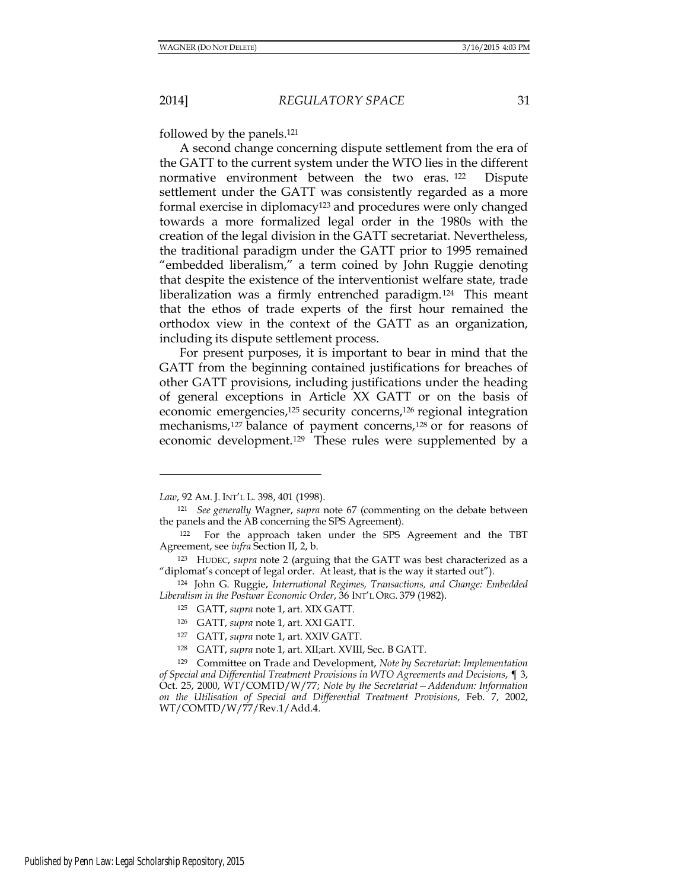followed by the panels.<sup>121</sup>

A second change concerning dispute settlement from the era of the GATT to the current system under the WTO lies in the different normative environment between the two eras. <sup>122</sup> Dispute settlement under the GATT was consistently regarded as a more formal exercise in diplomacy<sup>123</sup> and procedures were only changed towards a more formalized legal order in the 1980s with the creation of the legal division in the GATT secretariat. Nevertheless, the traditional paradigm under the GATT prior to 1995 remained "embedded liberalism," a term coined by John Ruggie denoting that despite the existence of the interventionist welfare state, trade liberalization was a firmly entrenched paradigm.124 This meant that the ethos of trade experts of the first hour remained the orthodox view in the context of the GATT as an organization, including its dispute settlement process.

For present purposes, it is important to bear in mind that the GATT from the beginning contained justifications for breaches of other GATT provisions, including justifications under the heading of general exceptions in Article XX GATT or on the basis of economic emergencies,<sup>125</sup> security concerns,<sup>126</sup> regional integration mechanisms,<sup>127</sup> balance of payment concerns,<sup>128</sup> or for reasons of economic development.129 These rules were supplemented by a

*Law*, 92 AM. J. INT'L L. 398, 401 (1998).

<sup>121</sup> *See generally* Wagner, *supra* note 67 (commenting on the debate between the panels and the AB concerning the SPS Agreement).

<sup>122</sup> For the approach taken under the SPS Agreement and the TBT Agreement, see *infra* Section II, 2, b.

<sup>123</sup> HUDEC, *supra* note 2 (arguing that the GATT was best characterized as a "diplomat's concept of legal order. At least, that is the way it started out").

<sup>124</sup> John G. Ruggie, *International Regimes, Transactions, and Change: Embedded Liberalism in the Postwar Economic Order*, 36 INT'L ORG. 379 (1982).

<sup>125</sup> GATT, *supra* note 1, art. XIX GATT.

<sup>126</sup> GATT, *supra* note 1, art. XXI GATT.

<sup>127</sup> GATT, *supra* note 1, art. XXIV GATT.

<sup>128</sup> GATT, *supra* note 1, art. XII;art. XVIII, Sec. B GATT.

<sup>129</sup> Committee on Trade and Development, *Note by Secretariat*: *Implementation of Special and Differential Treatment Provisions in WTO Agreements and Decisions*, ¶ 3, Oct. 25, 2000, WT/COMTD/W/77; *Note by the Secretariat—Addendum: Information on the Utilisation of Special and Differential Treatment Provisions*, Feb. 7, 2002, WT/COMTD/W/77/Rev.1/Add.4.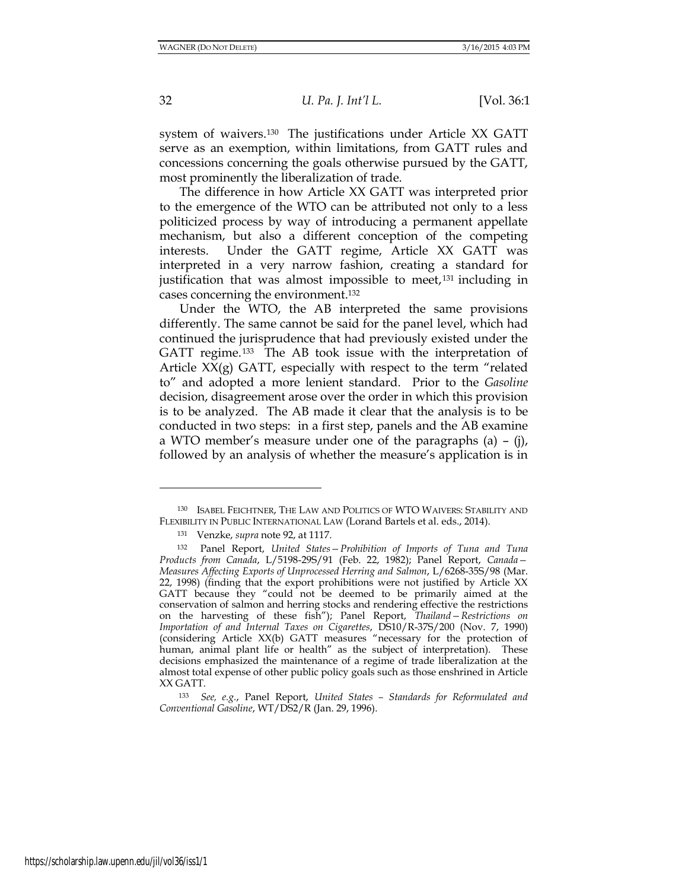system of waivers.<sup>130</sup> The justifications under Article XX GATT serve as an exemption, within limitations, from GATT rules and concessions concerning the goals otherwise pursued by the GATT, most prominently the liberalization of trade.

The difference in how Article XX GATT was interpreted prior to the emergence of the WTO can be attributed not only to a less politicized process by way of introducing a permanent appellate mechanism, but also a different conception of the competing interests. Under the GATT regime, Article XX GATT was interpreted in a very narrow fashion, creating a standard for justification that was almost impossible to meet,<sup>131</sup> including in cases concerning the environment.<sup>132</sup>

Under the WTO, the AB interpreted the same provisions differently. The same cannot be said for the panel level, which had continued the jurisprudence that had previously existed under the GATT regime.<sup>133</sup> The AB took issue with the interpretation of Article  $XX(g)$  GATT, especially with respect to the term "related" to" and adopted a more lenient standard. Prior to the *Gasoline*  decision, disagreement arose over the order in which this provision is to be analyzed. The AB made it clear that the analysis is to be conducted in two steps: in a first step, panels and the AB examine a WTO member's measure under one of the paragraphs (a) – (j), followed by an analysis of whether the measure's application is in

<sup>130</sup> ISABEL FEICHTNER, THE LAW AND POLITICS OF WTO WAIVERS: STABILITY AND FLEXIBILITY IN PUBLIC INTERNATIONAL LAW (Lorand Bartels et al. eds., 2014).

<sup>131</sup> Venzke, *supra* note 92, at 1117.

<sup>132</sup> Panel Report, *United States—Prohibition of Imports of Tuna and Tuna Products from Canada*, L/5198-29S/91 (Feb. 22, 1982); Panel Report, *Canada— Measures Affecting Exports of Unprocessed Herring and Salmon*, L/6268-35S/98 (Mar. 22, 1998) (finding that the export prohibitions were not justified by Article XX GATT because they "could not be deemed to be primarily aimed at the conservation of salmon and herring stocks and rendering effective the restrictions on the harvesting of these fish"); Panel Report, *Thailand—Restrictions on Importation of and Internal Taxes on Cigarettes*, DS10/R-37S/200 (Nov. 7, 1990) (considering Article XX(b) GATT measures "necessary for the protection of human, animal plant life or health" as the subject of interpretation). These decisions emphasized the maintenance of a regime of trade liberalization at the almost total expense of other public policy goals such as those enshrined in Article XX GATT.

<sup>133</sup> *See, e.g.*, Panel Report, *United States – Standards for Reformulated and Conventional Gasoline*, WT/DS2/R (Jan. 29, 1996).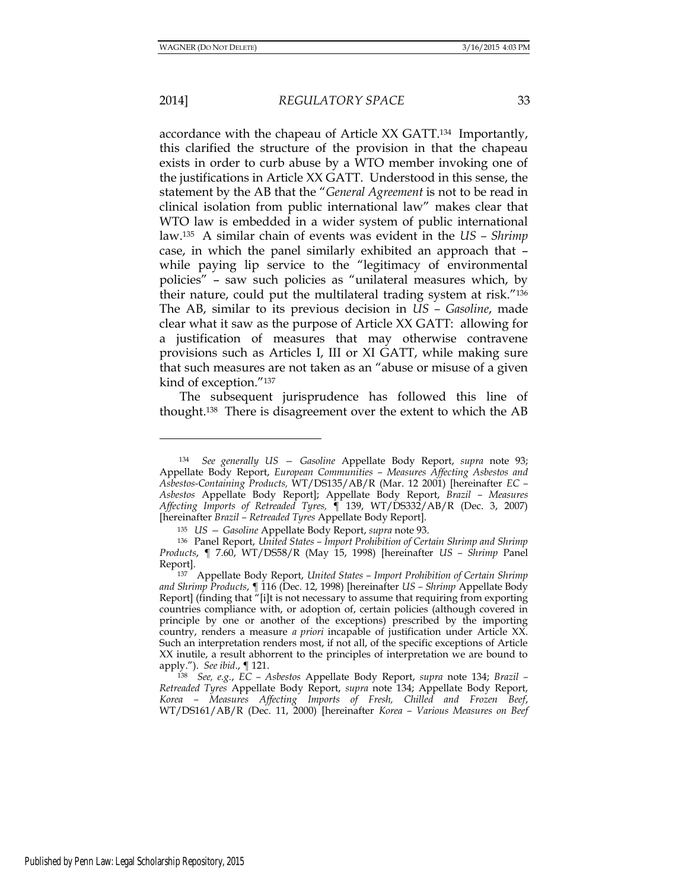l

#### 2014] *REGULATORY SPACE* 33

accordance with the chapeau of Article XX GATT.134 Importantly, this clarified the structure of the provision in that the chapeau exists in order to curb abuse by a WTO member invoking one of the justifications in Article XX GATT. Understood in this sense, the statement by the AB that the "*General Agreement* is not to be read in clinical isolation from public international law" makes clear that WTO law is embedded in a wider system of public international law.135 A similar chain of events was evident in the *US – Shrimp* case, in which the panel similarly exhibited an approach that – while paying lip service to the "legitimacy of environmental policies" – saw such policies as "unilateral measures which, by their nature, could put the multilateral trading system at risk."<sup>136</sup> The AB, similar to its previous decision in *US – Gasoline*, made clear what it saw as the purpose of Article XX GATT: allowing for a justification of measures that may otherwise contravene provisions such as Articles I, III or XI GATT, while making sure that such measures are not taken as an "abuse or misuse of a given kind of exception."<sup>137</sup>

The subsequent jurisprudence has followed this line of thought.138 There is disagreement over the extent to which the AB

<sup>134</sup> *See generally US — Gasoline* Appellate Body Report, *supra* note 93; Appellate Body Report, *European Communities – Measures Affecting Asbestos and Asbestos-Containing Products,* WT/DS135/AB/R (Mar. 12 2001) [hereinafter *EC – Asbestos* Appellate Body Report]; Appellate Body Report, *Brazil – Measures Affecting Imports of Retreaded Tyres,* ¶ 139, WT/DS332/AB/R (Dec. 3, 2007) [hereinafter *Brazil – Retreaded Tyres* Appellate Body Report].

<sup>135</sup> *US — Gasoline* Appellate Body Report, *supra* note 93.

<sup>136</sup> Panel Report, *United States – Import Prohibition of Certain Shrimp and Shrimp Products*, ¶ 7.60, WT/DS58/R (May 15, 1998) [hereinafter *US – Shrimp* Panel Report].

<sup>137</sup> Appellate Body Report, *United States – Import Prohibition of Certain Shrimp and Shrimp Products*, ¶ 116 (Dec. 12, 1998) [hereinafter *US – Shrimp* Appellate Body Report] (finding that "[i]t is not necessary to assume that requiring from exporting countries compliance with, or adoption of, certain policies (although covered in principle by one or another of the exceptions) prescribed by the importing country, renders a measure *a priori* incapable of justification under Article XX. Such an interpretation renders most, if not all, of the specific exceptions of Article XX inutile, a result abhorrent to the principles of interpretation we are bound to apply."). *See ibid*., ¶ 121.

<sup>138</sup> *See, e.g.*, *EC – Asbestos* Appellate Body Report, *supra* note 134; *Brazil – Retreaded Tyres* Appellate Body Report, *supra* note 134; Appellate Body Report, *Korea – Measures Affecting Imports of Fresh, Chilled and Frozen Beef*, WT/DS161/AB/R (Dec. 11, 2000) [hereinafter *Korea – Various Measures on Beef*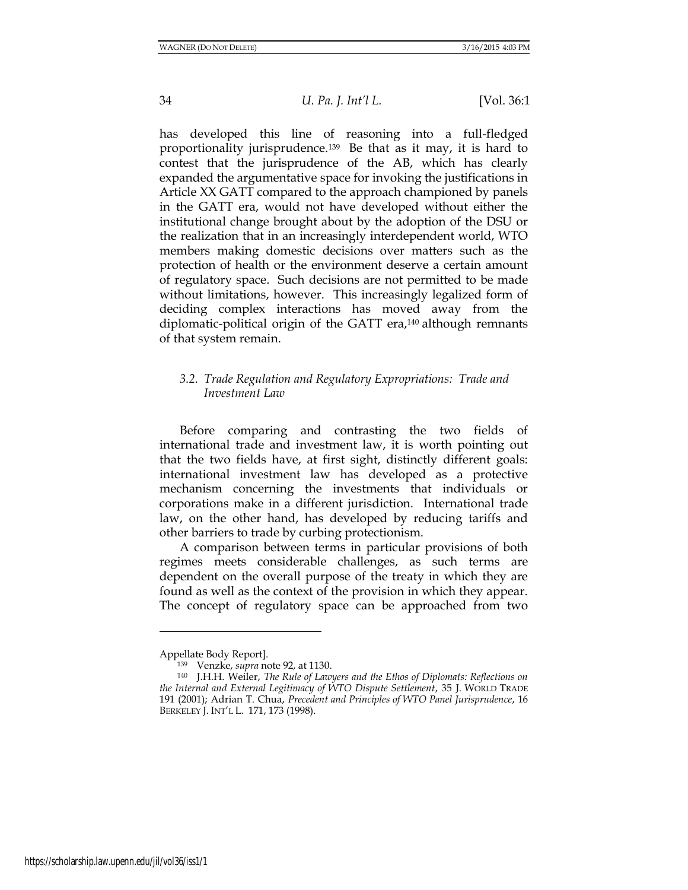has developed this line of reasoning into a full-fledged proportionality jurisprudence.139 Be that as it may, it is hard to contest that the jurisprudence of the AB, which has clearly expanded the argumentative space for invoking the justifications in Article XX GATT compared to the approach championed by panels in the GATT era, would not have developed without either the institutional change brought about by the adoption of the DSU or the realization that in an increasingly interdependent world, WTO members making domestic decisions over matters such as the protection of health or the environment deserve a certain amount of regulatory space. Such decisions are not permitted to be made without limitations, however. This increasingly legalized form of deciding complex interactions has moved away from the diplomatic-political origin of the GATT era,<sup>140</sup> although remnants of that system remain.

# *3.2. Trade Regulation and Regulatory Expropriations: Trade and Investment Law*

Before comparing and contrasting the two fields of international trade and investment law, it is worth pointing out that the two fields have, at first sight, distinctly different goals: international investment law has developed as a protective mechanism concerning the investments that individuals or corporations make in a different jurisdiction. International trade law, on the other hand, has developed by reducing tariffs and other barriers to trade by curbing protectionism.

A comparison between terms in particular provisions of both regimes meets considerable challenges, as such terms are dependent on the overall purpose of the treaty in which they are found as well as the context of the provision in which they appear. The concept of regulatory space can be approached from two

Appellate Body Report].

<sup>139</sup> Venzke, *supra* note 92, at 1130.

<sup>140</sup> J.H.H. Weiler, *The Rule of Lawyers and the Ethos of Diplomats: Reflections on the Internal and External Legitimacy of WTO Dispute Settlement*, 35 J. WORLD TRADE 191 (2001); Adrian T. Chua, *Precedent and Principles of WTO Panel Jurisprudence*, 16 BERKELEY J. INT'L L. 171, 173 (1998).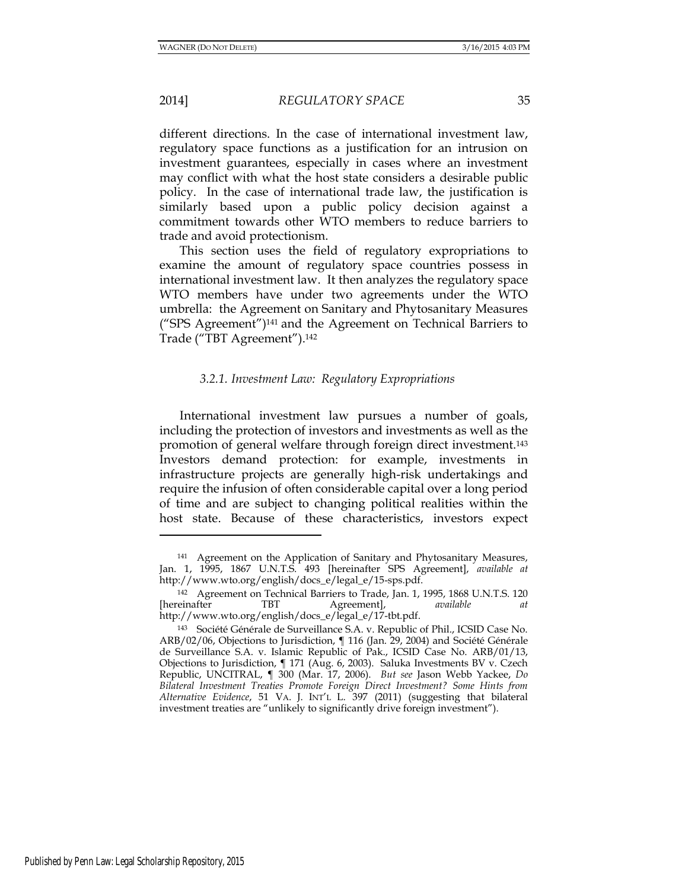different directions. In the case of international investment law, regulatory space functions as a justification for an intrusion on investment guarantees, especially in cases where an investment may conflict with what the host state considers a desirable public policy. In the case of international trade law, the justification is similarly based upon a public policy decision against a commitment towards other WTO members to reduce barriers to trade and avoid protectionism.

This section uses the field of regulatory expropriations to examine the amount of regulatory space countries possess in international investment law. It then analyzes the regulatory space WTO members have under two agreements under the WTO umbrella: the Agreement on Sanitary and Phytosanitary Measures ("SPS Agreement") <sup>141</sup> and the Agreement on Technical Barriers to Trade ("TBT Agreement").<sup>142</sup>

# *3.2.1. Investment Law: Regulatory Expropriations*

International investment law pursues a number of goals, including the protection of investors and investments as well as the promotion of general welfare through foreign direct investment.<sup>143</sup> Investors demand protection: for example, investments in infrastructure projects are generally high-risk undertakings and require the infusion of often considerable capital over a long period of time and are subject to changing political realities within the host state. Because of these characteristics, investors expect

<sup>141</sup> Agreement on the Application of Sanitary and Phytosanitary Measures, Jan. 1, 1995, 1867 U.N.T.S. 493 [hereinafter SPS Agreement], *available at* http://www.wto.org/english/docs\_e/legal\_e/15-sps.pdf.

<sup>&</sup>lt;sup>142</sup> Agreement on Technical Barriers to Trade, Jan. 1, 1995, 1868 U.N.T.S. 120<br>reinafter TBT Agreement, *available at* [hereinafter TBT Agreement], *available at* http://www.wto.org/english/docs\_e/legal\_e/17-tbt.pdf.

<sup>143</sup> Société Générale de Surveillance S.A. v. Republic of Phil., ICSID Case No. ARB/02/06, Objections to Jurisdiction, ¶ 116 (Jan. 29, 2004) and Société Générale de Surveillance S.A. v. Islamic Republic of Pak., ICSID Case No. ARB/01/13, Objections to Jurisdiction, ¶ 171 (Aug. 6, 2003). Saluka Investments BV v. Czech Republic, UNCITRAL, ¶ 300 (Mar. 17, 2006). *But see* Jason Webb Yackee, *Do Bilateral Investment Treaties Promote Foreign Direct Investment? Some Hints from Alternative Evidence*, 51 VA. J. INT'L L. 397 (2011) (suggesting that bilateral investment treaties are "unlikely to significantly drive foreign investment").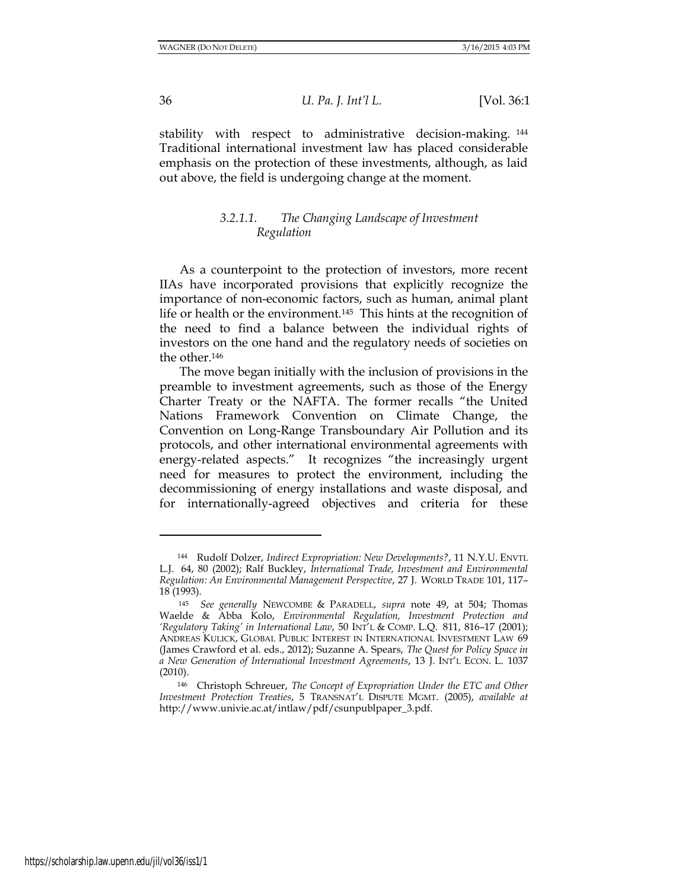stability with respect to administrative decision-making. <sup>144</sup> Traditional international investment law has placed considerable emphasis on the protection of these investments, although, as laid out above, the field is undergoing change at the moment.

# *3.2.1.1. The Changing Landscape of Investment Regulation*

As a counterpoint to the protection of investors, more recent IIAs have incorporated provisions that explicitly recognize the importance of non-economic factors, such as human, animal plant life or health or the environment.145 This hints at the recognition of the need to find a balance between the individual rights of investors on the one hand and the regulatory needs of societies on the other.<sup>146</sup>

The move began initially with the inclusion of provisions in the preamble to investment agreements, such as those of the Energy Charter Treaty or the NAFTA. The former recalls "the United Nations Framework Convention on Climate Change, the Convention on Long-Range Transboundary Air Pollution and its protocols, and other international environmental agreements with energy-related aspects." It recognizes "the increasingly urgent need for measures to protect the environment, including the decommissioning of energy installations and waste disposal, and for internationally-agreed objectives and criteria for these

<sup>144</sup> Rudolf Dolzer, *Indirect Expropriation: New Developments?*, 11 N.Y.U. ENVTL L.J. 64, 80 (2002); Ralf Buckley, *International Trade, Investment and Environmental Regulation: An Environmental Management Perspective*, 27 J. WORLD TRADE 101, 117– 18 (1993).

<sup>145</sup> *See generally* NEWCOMBE & PARADELL, *supra* note 49, at 504; Thomas Waelde & Abba Kolo, *Environmental Regulation, Investment Protection and 'Regulatory Taking' in International Law*, 50 INT'L & COMP. L.Q. 811, 816–17 (2001); ANDREAS KULICK, GLOBAL PUBLIC INTEREST IN INTERNATIONAL INVESTMENT LAW 69 (James Crawford et al. eds., 2012); Suzanne A. Spears, *The Quest for Policy Space in a New Generation of International Investment Agreements*, 13 J. INT'L ECON. L. 1037 (2010).

<sup>146</sup> Christoph Schreuer, *The Concept of Expropriation Under the ETC and Other Investment Protection Treaties*, 5 TRANSNAT'L DISPUTE MGMT. (2005), *available at* http://www.univie.ac.at/intlaw/pdf/csunpublpaper\_3.pdf.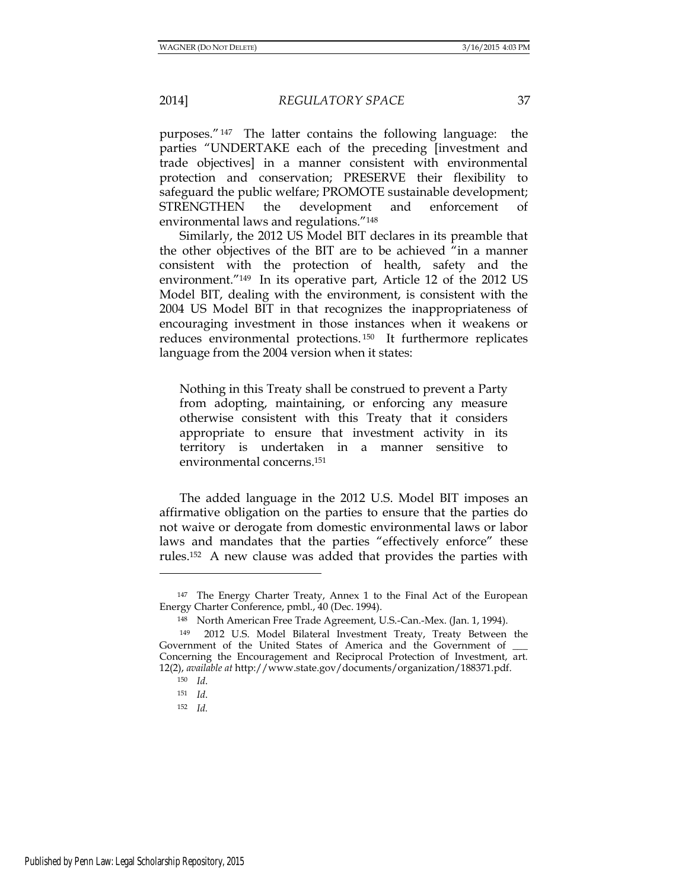purposes."147 The latter contains the following language: the parties "UNDERTAKE each of the preceding [investment and trade objectives] in a manner consistent with environmental protection and conservation; PRESERVE their flexibility to safeguard the public welfare; PROMOTE sustainable development; STRENGTHEN the development and enforcement of environmental laws and regulations."<sup>148</sup>

Similarly, the 2012 US Model BIT declares in its preamble that the other objectives of the BIT are to be achieved "in a manner consistent with the protection of health, safety and the environment."149 In its operative part, Article 12 of the 2012 US Model BIT, dealing with the environment, is consistent with the 2004 US Model BIT in that recognizes the inappropriateness of encouraging investment in those instances when it weakens or reduces environmental protections. <sup>150</sup> It furthermore replicates language from the 2004 version when it states:

Nothing in this Treaty shall be construed to prevent a Party from adopting, maintaining, or enforcing any measure otherwise consistent with this Treaty that it considers appropriate to ensure that investment activity in its territory is undertaken in a manner sensitive to environmental concerns.<sup>151</sup>

The added language in the 2012 U.S. Model BIT imposes an affirmative obligation on the parties to ensure that the parties do not waive or derogate from domestic environmental laws or labor laws and mandates that the parties "effectively enforce" these rules.<sup>152</sup> A new clause was added that provides the parties with

l

<sup>152</sup> *Id.*

<sup>147</sup> The Energy Charter Treaty, Annex 1 to the Final Act of the European Energy Charter Conference, pmbl., 40 (Dec. 1994).

<sup>148</sup> North American Free Trade Agreement, U.S.-Can.-Mex. (Jan. 1, 1994).

<sup>149</sup> 2012 U.S. Model Bilateral Investment Treaty, Treaty Between the Government of the United States of America and the Government of Concerning the Encouragement and Reciprocal Protection of Investment, art. 12(2), *available at* http://www.state.gov/documents/organization/188371.pdf.

<sup>150</sup> *Id*.

<sup>151</sup> *Id*.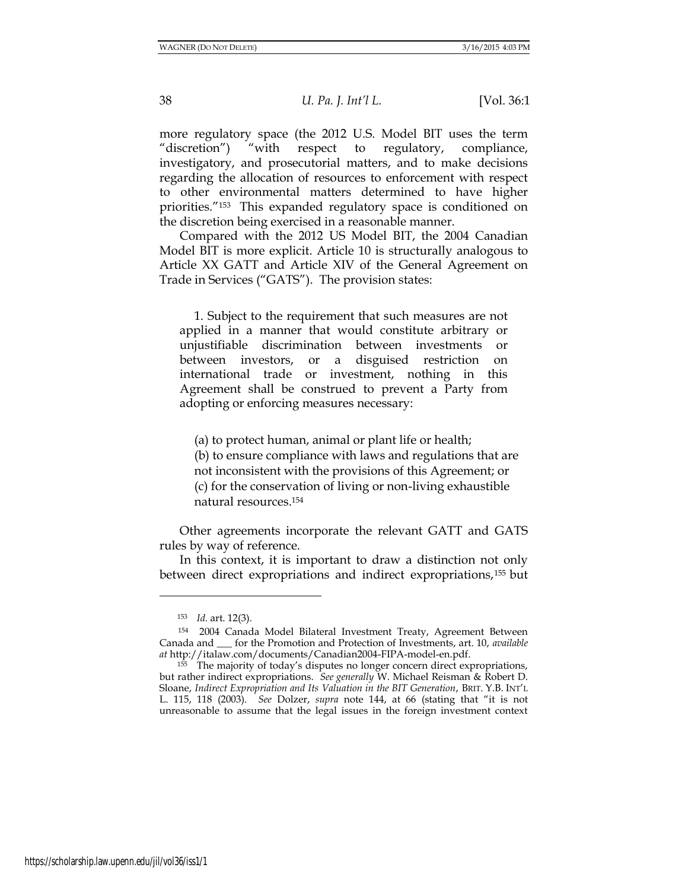more regulatory space (the 2012 U.S. Model BIT uses the term "discretion") "with respect to regulatory, compliance, investigatory, and prosecutorial matters, and to make decisions regarding the allocation of resources to enforcement with respect to other environmental matters determined to have higher priorities."153 This expanded regulatory space is conditioned on the discretion being exercised in a reasonable manner.

Compared with the 2012 US Model BIT, the 2004 Canadian Model BIT is more explicit. Article 10 is structurally analogous to Article XX GATT and Article XIV of the General Agreement on Trade in Services ("GATS"). The provision states:

 1. Subject to the requirement that such measures are not applied in a manner that would constitute arbitrary or unjustifiable discrimination between investments or between investors, or a disguised restriction on international trade or investment, nothing in this Agreement shall be construed to prevent a Party from adopting or enforcing measures necessary:

(a) to protect human, animal or plant life or health;

 (b) to ensure compliance with laws and regulations that are not inconsistent with the provisions of this Agreement; or (c) for the conservation of living or non-living exhaustible natural resources.<sup>154</sup>

Other agreements incorporate the relevant GATT and GATS rules by way of reference.

In this context, it is important to draw a distinction not only between direct expropriations and indirect expropriations,<sup>155</sup> but

<sup>153</sup> *Id.* art. 12(3).

<sup>154</sup> 2004 Canada Model Bilateral Investment Treaty, Agreement Between Canada and \_\_\_ for the Promotion and Protection of Investments, art. 10, *available at* http://italaw.com/documents/Canadian2004-FIPA-model-en.pdf.

<sup>&</sup>lt;sup>155</sup> The majority of today's disputes no longer concern direct expropriations, but rather indirect expropriations. *See generally* W. Michael Reisman & Robert D. Sloane, *Indirect Expropriation and Its Valuation in the BIT Generation*, BRIT. Y.B. INT'L L. 115, 118 (2003). *See* Dolzer, *supra* note 144, at 66 (stating that "it is not unreasonable to assume that the legal issues in the foreign investment context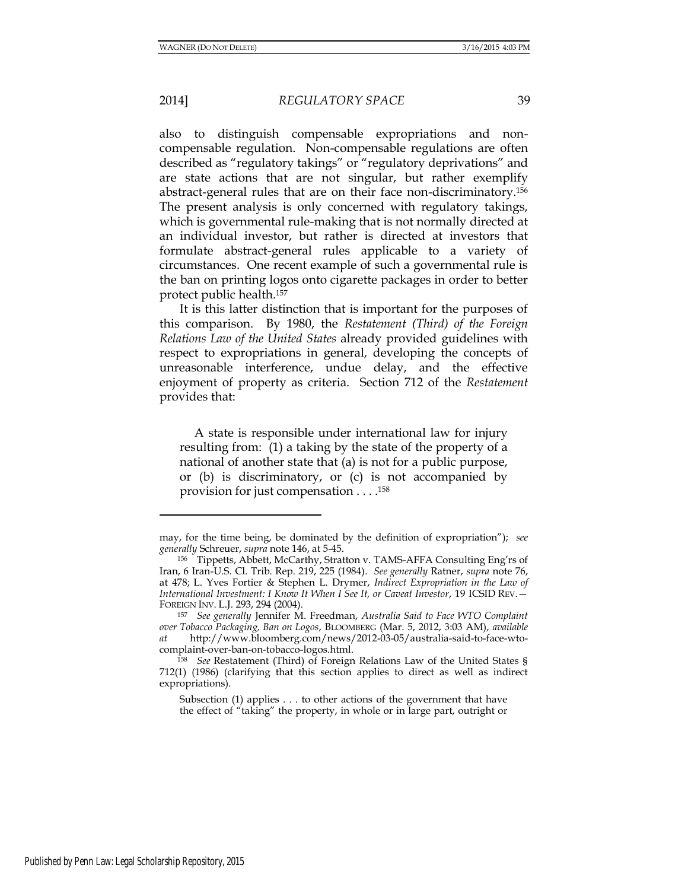also to distinguish compensable expropriations and noncompensable regulation. Non-compensable regulations are often described as "regulatory takings" or "regulatory deprivations" and are state actions that are not singular, but rather exemplify abstract-general rules that are on their face non-discriminatory.<sup>156</sup> The present analysis is only concerned with regulatory takings, which is governmental rule-making that is not normally directed at an individual investor, but rather is directed at investors that formulate abstract-general rules applicable to a variety of circumstances. One recent example of such a governmental rule is the ban on printing logos onto cigarette packages in order to better protect public health.<sup>157</sup>

It is this latter distinction that is important for the purposes of this comparison. By 1980, the *Restatement (Third) of the Foreign Relations Law of the United States* already provided guidelines with respect to expropriations in general, developing the concepts of unreasonable interference, undue delay, and the effective enjoyment of property as criteria. Section 712 of the *Restatement*  provides that:

 A state is responsible under international law for injury resulting from: (1) a taking by the state of the property of a national of another state that (a) is not for a public purpose, or (b) is discriminatory, or (c) is not accompanied by provision for just compensation . . . .<sup>158</sup>

may, for the time being, be dominated by the definition of expropriation"); *see generally* Schreuer, *supra* note 146, at 5-45.

<sup>156</sup> Tippetts, Abbett, McCarthy, Stratton v. TAMS-AFFA Consulting Eng'rs of Iran, 6 Iran-U.S. Cl. Trib. Rep. 219, 225 (1984). *See generally* Ratner, *supra* note 76, at 478; L. Yves Fortier & Stephen L. Drymer, *Indirect Expropriation in the Law of International Investment: I Know It When I See It, or Caveat Investor*, 19 ICSID REV.— FOREIGN INV. L.J. 293, 294 (2004).

<sup>157</sup> *See generally* Jennifer M. Freedman, *Australia Said to Face WTO Complaint over Tobacco Packaging, Ban on Logos*, BLOOMBERG (Mar. 5, 2012, 3:03 AM), *available at* http://www.bloomberg.com/news/2012-03-05/australia-said-to-face-wtocomplaint-over-ban-on-tobacco-logos.html.

<sup>158</sup> *See* Restatement (Third) of Foreign Relations Law of the United States § 712(1) (1986) (clarifying that this section applies to direct as well as indirect expropriations).

Subsection (1) applies . . . to other actions of the government that have the effect of "taking" the property, in whole or in large part, outright or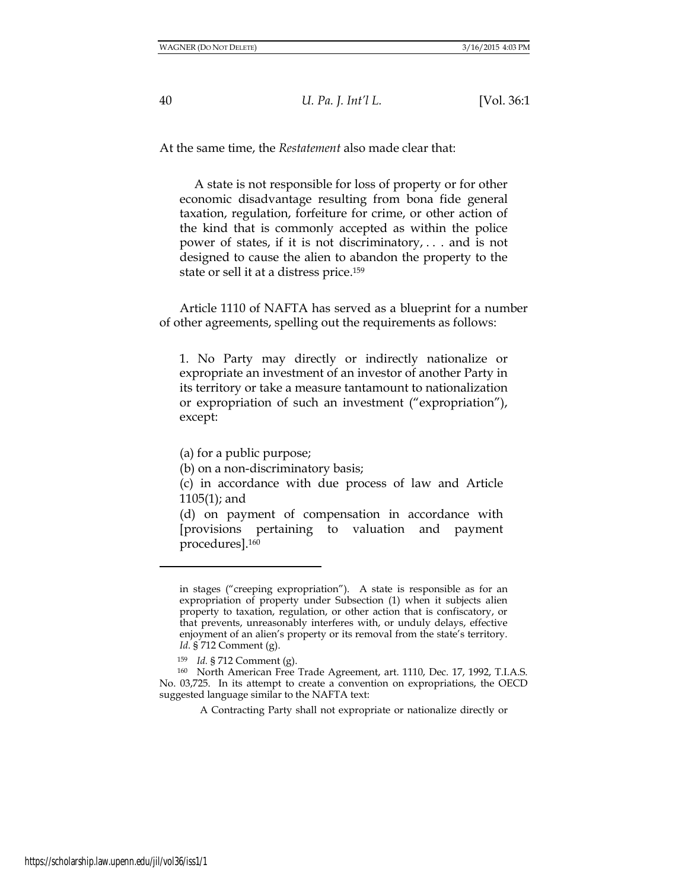At the same time, the *Restatement* also made clear that:

 A state is not responsible for loss of property or for other economic disadvantage resulting from bona fide general taxation, regulation, forfeiture for crime, or other action of the kind that is commonly accepted as within the police power of states, if it is not discriminatory, . . . and is not designed to cause the alien to abandon the property to the state or sell it at a distress price.<sup>159</sup>

Article 1110 of NAFTA has served as a blueprint for a number of other agreements, spelling out the requirements as follows:

1. No Party may directly or indirectly nationalize or expropriate an investment of an investor of another Party in its territory or take a measure tantamount to nationalization or expropriation of such an investment ("expropriation"), except:

(a) for a public purpose;

(b) on a non-discriminatory basis;

(c) in accordance with due process of law and Article 1105(1); and

(d) on payment of compensation in accordance with [provisions pertaining to valuation and payment procedures].<sup>160</sup>

in stages ("creeping expropriation"). A state is responsible as for an expropriation of property under Subsection (1) when it subjects alien property to taxation, regulation, or other action that is confiscatory, or that prevents, unreasonably interferes with, or unduly delays, effective enjoyment of an alien's property or its removal from the state's territory. *Id.* § 712 Comment (g).

<sup>159</sup> *Id.* § 712 Comment (g).

<sup>160</sup> North American Free Trade Agreement, art. 1110, Dec. 17, 1992, T.I.A.S. No. 03,725. In its attempt to create a convention on expropriations, the OECD suggested language similar to the NAFTA text:

A Contracting Party shall not expropriate or nationalize directly or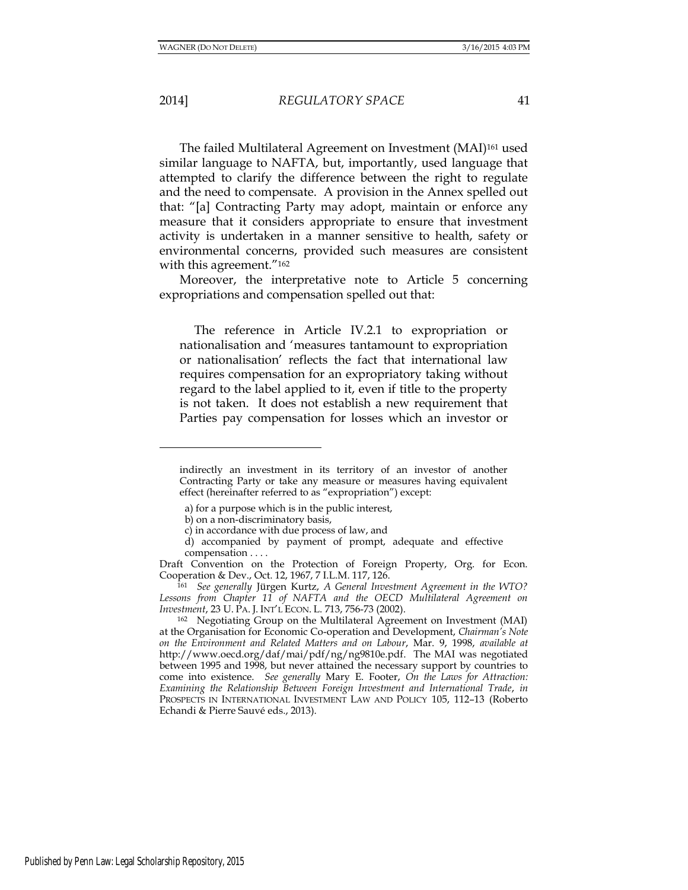2014] *REGULATORY SPACE* 41

The failed Multilateral Agreement on Investment (MAI)<sup>161</sup> used similar language to NAFTA, but, importantly, used language that attempted to clarify the difference between the right to regulate and the need to compensate. A provision in the Annex spelled out that: "[a] Contracting Party may adopt, maintain or enforce any measure that it considers appropriate to ensure that investment activity is undertaken in a manner sensitive to health, safety or environmental concerns, provided such measures are consistent with this agreement."<sup>162</sup>

Moreover, the interpretative note to Article 5 concerning expropriations and compensation spelled out that:

 The reference in Article IV.2.1 to expropriation or nationalisation and 'measures tantamount to expropriation or nationalisation' reflects the fact that international law requires compensation for an expropriatory taking without regard to the label applied to it, even if title to the property is not taken. It does not establish a new requirement that Parties pay compensation for losses which an investor or

indirectly an investment in its territory of an investor of another Contracting Party or take any measure or measures having equivalent effect (hereinafter referred to as "expropriation") except:

a) for a purpose which is in the public interest,

b) on a non-discriminatory basis,

c) in accordance with due process of law, and

d) accompanied by payment of prompt, adequate and effective compensation . . . .

Draft Convention on the Protection of Foreign Property, Org. for Econ. Cooperation & Dev., Oct. 12, 1967, 7 I.L.M. 117, 126.

<sup>161</sup> *See generally* Jürgen Kurtz, *A General Investment Agreement in the WTO?*  Lessons from Chapter 11 of NAFTA and the OECD Multilateral Agreement on *Investment*, 23 U. PA. J. INT'L ECON. L. 713, 756-73 (2002).

<sup>162</sup> Negotiating Group on the Multilateral Agreement on Investment (MAI) at the Organisation for Economic Co-operation and Development, *Chairman's Note on the Environment and Related Matters and on Labour*, Mar. 9, 1998, *available at*  [http://www.oecd.org/daf/mai/pdf/ng/ng9810e.pdf.](http://www.oecd.org/daf/mai/pdf/ng/ng9810e.pdf) The MAI was negotiated between 1995 and 1998, but never attained the necessary support by countries to come into existence. *See generally* Mary E. Footer, *On the Laws for Attraction: Examining the Relationship Between Foreign Investment and International Trade*, *in*  PROSPECTS IN INTERNATIONAL INVESTMENT LAW AND POLICY 105, 112–13 (Roberto Echandi & Pierre Sauvé eds., 2013).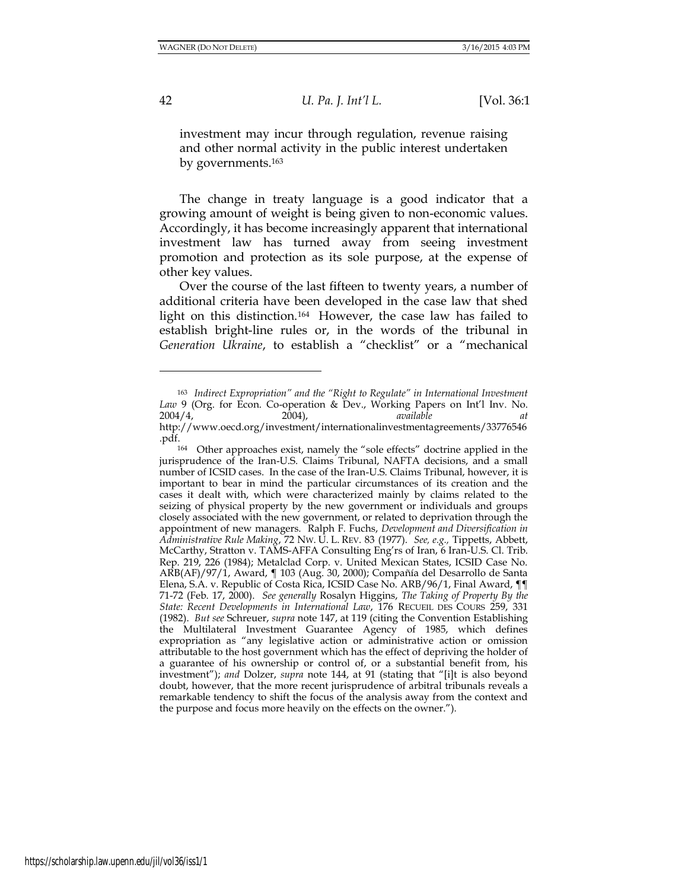l

42 *U. Pa. J. Int'l L.* [Vol. 36:1

investment may incur through regulation, revenue raising and other normal activity in the public interest undertaken by governments.<sup>163</sup>

The change in treaty language is a good indicator that a growing amount of weight is being given to non-economic values. Accordingly, it has become increasingly apparent that international investment law has turned away from seeing investment promotion and protection as its sole purpose, at the expense of other key values.

Over the course of the last fifteen to twenty years, a number of additional criteria have been developed in the case law that shed light on this distinction.164 However, the case law has failed to establish bright-line rules or, in the words of the tribunal in *Generation Ukraine*, to establish a "checklist" or a "mechanical

<sup>163</sup> *Indirect Expropriation" and the "Right to Regulate" in International Investment Law* 9 (Org. for Econ. Co-operation & Dev., Working Papers on Int'l Inv. No. 2004/4, 2004), *available at* 2004/4, 2004), *available at* [http://www.oecd.org/investment/internationalinvestmentagreements/33776546](http://www.oecd.org/investment/internationalinvestmentagreements/33776546.pdf) [.pdf.](http://www.oecd.org/investment/internationalinvestmentagreements/33776546.pdf)

<sup>164</sup> Other approaches exist, namely the "sole effects" doctrine applied in the jurisprudence of the Iran-U.S. Claims Tribunal, NAFTA decisions, and a small number of ICSID cases. In the case of the Iran-U.S. Claims Tribunal, however, it is important to bear in mind the particular circumstances of its creation and the cases it dealt with, which were characterized mainly by claims related to the seizing of physical property by the new government or individuals and groups closely associated with the new government, or related to deprivation through the appointment of new managers. Ralph F. Fuchs, *Development and Diversification in Administrative Rule Making*, 72 NW. U. L. REV. 83 (1977). *See, e.g.,* Tippetts, Abbett, McCarthy, Stratton v. TAMS-AFFA Consulting Eng'rs of Iran, 6 Iran-U.S. Cl. Trib. Rep. 219, 226 (1984); Metalclad Corp. v. United Mexican States, ICSID Case No. ARB(AF)/97/1, Award, ¶ 103 (Aug. 30, 2000); Compañía del Desarrollo de Santa Elena, S.A. v. Republic of Costa Rica, ICSID Case No. ARB/96/1, Final Award, ¶¶ 71-72 (Feb. 17, 2000). *See generally* Rosalyn Higgins, *The Taking of Property By the State: Recent Developments in International Law*, 176 RECUEIL DES COURS 259, 331 (1982). *But see* Schreuer, *supra* note 147, at 119 (citing the Convention Establishing the Multilateral Investment Guarantee Agency of 1985, which defines expropriation as "any legislative action or administrative action or omission attributable to the host government which has the effect of depriving the holder of a guarantee of his ownership or control of, or a substantial benefit from, his investment"); *and* Dolzer, *supra* note 144, at 91 (stating that "[i]t is also beyond doubt, however, that the more recent jurisprudence of arbitral tribunals reveals a remarkable tendency to shift the focus of the analysis away from the context and the purpose and focus more heavily on the effects on the owner.").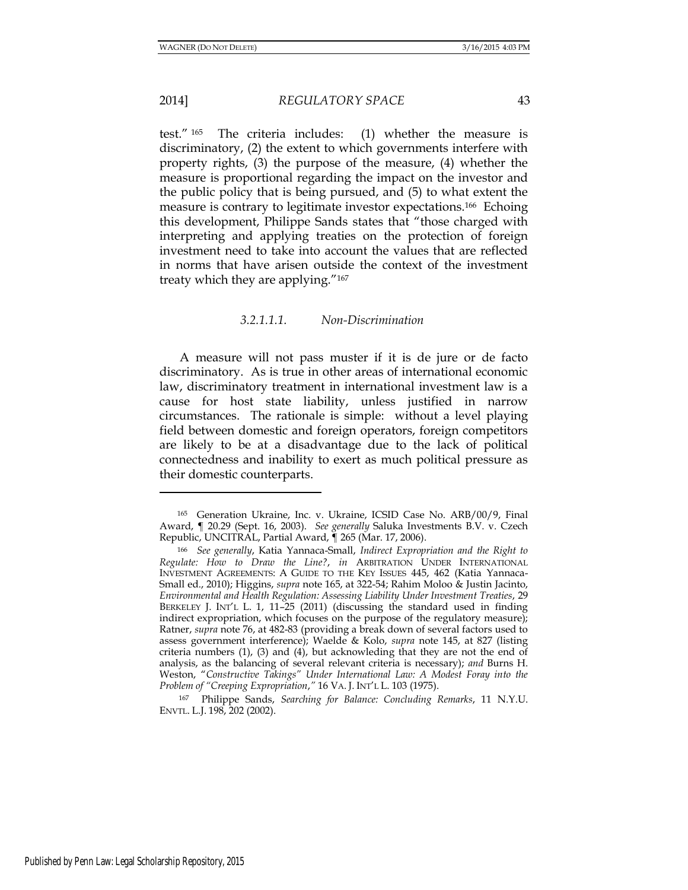l

2014] *REGULATORY SPACE* 43

test." <sup>165</sup> The criteria includes: (1) whether the measure is discriminatory, (2) the extent to which governments interfere with property rights, (3) the purpose of the measure, (4) whether the measure is proportional regarding the impact on the investor and the public policy that is being pursued, and (5) to what extent the measure is contrary to legitimate investor expectations.166 Echoing this development, Philippe Sands states that "those charged with interpreting and applying treaties on the protection of foreign investment need to take into account the values that are reflected in norms that have arisen outside the context of the investment treaty which they are applying."<sup>167</sup>

#### *3.2.1.1.1. Non-Discrimination*

A measure will not pass muster if it is de jure or de facto discriminatory. As is true in other areas of international economic law, discriminatory treatment in international investment law is a cause for host state liability, unless justified in narrow circumstances. The rationale is simple: without a level playing field between domestic and foreign operators, foreign competitors are likely to be at a disadvantage due to the lack of political connectedness and inability to exert as much political pressure as their domestic counterparts.

<sup>165</sup> Generation Ukraine, Inc. v. Ukraine, ICSID Case No. ARB/00/9, Final Award, ¶ 20.29 (Sept. 16, 2003). *See generally* Saluka Investments B.V. v. Czech Republic, UNCITRAL, Partial Award, ¶ 265 (Mar. 17, 2006).

<sup>166</sup> *See generally*, Katia Yannaca-Small, *Indirect Expropriation and the Right to Regulate: How to Draw the Line?*, *in* ARBITRATION UNDER INTERNATIONAL INVESTMENT AGREEMENTS: A GUIDE TO THE KEY ISSUES 445, 462 (Katia Yannaca-Small ed., 2010); Higgins, *supra* note 165, at 322-54; Rahim Moloo & Justin Jacinto, *Environmental and Health Regulation: Assessing Liability Under Investment Treaties*, 29 BERKELEY J. INT'L L. 1, 11–25 (2011) (discussing the standard used in finding indirect expropriation, which focuses on the purpose of the regulatory measure); Ratner, *supra* note 76, at 482-83 (providing a break down of several factors used to assess government interference); Waelde & Kolo, *supra* note 145, at 827 (listing criteria numbers (1), (3) and (4), but acknowleding that they are not the end of analysis, as the balancing of several relevant criteria is necessary); *and* Burns H. Weston, "*Constructive Takings" Under International Law: A Modest Foray into the Problem of "Creeping Expropriation*,*"* 16 VA. J. INT'L L. 103 (1975).

<sup>167</sup> Philippe Sands, *Searching for Balance: Concluding Remarks*, 11 N.Y.U. ENVTL. L.J. 198, 202 (2002).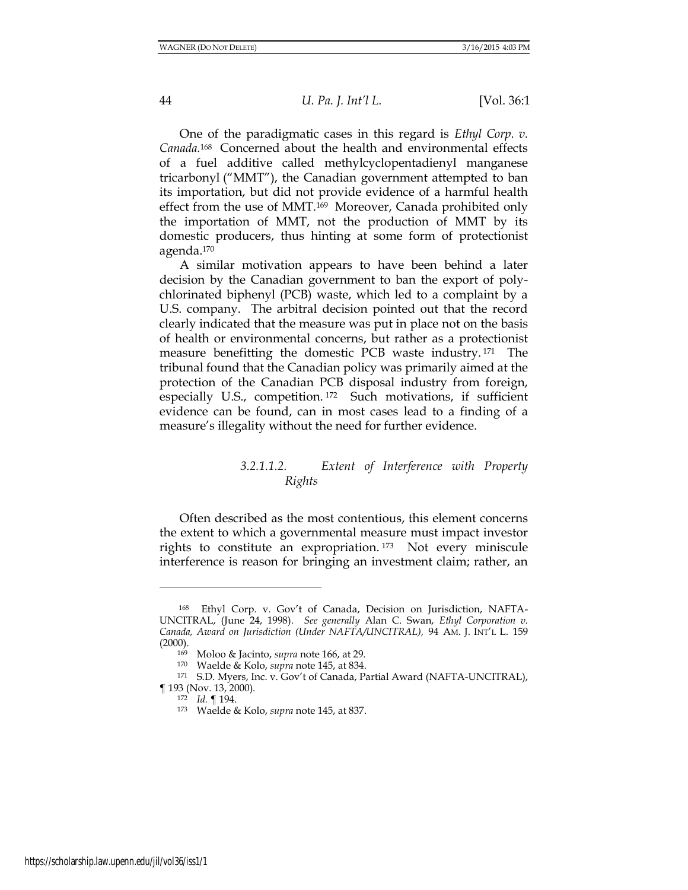One of the paradigmatic cases in this regard is *Ethyl Corp. v. Canada.*168 Concerned about the health and environmental effects of a fuel additive called methylcyclopentadienyl manganese tricarbonyl ("MMT"), the Canadian government attempted to ban its importation, but did not provide evidence of a harmful health effect from the use of MMT.169 Moreover, Canada prohibited only the importation of MMT, not the production of MMT by its domestic producers, thus hinting at some form of protectionist agenda.<sup>170</sup>

A similar motivation appears to have been behind a later decision by the Canadian government to ban the export of polychlorinated biphenyl (PCB) waste, which led to a complaint by a U.S. company. The arbitral decision pointed out that the record clearly indicated that the measure was put in place not on the basis of health or environmental concerns, but rather as a protectionist measure benefitting the domestic PCB waste industry. <sup>171</sup> The tribunal found that the Canadian policy was primarily aimed at the protection of the Canadian PCB disposal industry from foreign, especially U.S., competition. <sup>172</sup> Such motivations, if sufficient evidence can be found, can in most cases lead to a finding of a measure's illegality without the need for further evidence.

# *3.2.1.1.2. Extent of Interference with Property Rights*

Often described as the most contentious, this element concerns the extent to which a governmental measure must impact investor rights to constitute an expropriation. <sup>173</sup> Not every miniscule interference is reason for bringing an investment claim; rather, an

<sup>168</sup> Ethyl Corp. v. Gov't of Canada, Decision on Jurisdiction, NAFTA-UNCITRAL, (June 24, 1998). *See generally* Alan C. Swan, *Ethyl Corporation v. Canada, Award on Jurisdiction (Under NAFTA/UNCITRAL),* 94 AM. J. INT'L L. 159  $(2000)$ .

<sup>169</sup> Moloo & Jacinto, *supra* note 166, at 29.

<sup>170</sup> Waelde & Kolo, *supra* note 145, at 834.

<sup>171</sup> S.D. Myers, Inc. v. Gov't of Canada, Partial Award (NAFTA-UNCITRAL), ¶ 193 (Nov. 13, 2000).

<sup>172</sup> *Id.* ¶ 194.

<sup>173</sup> Waelde & Kolo, *supra* note 145, at 837.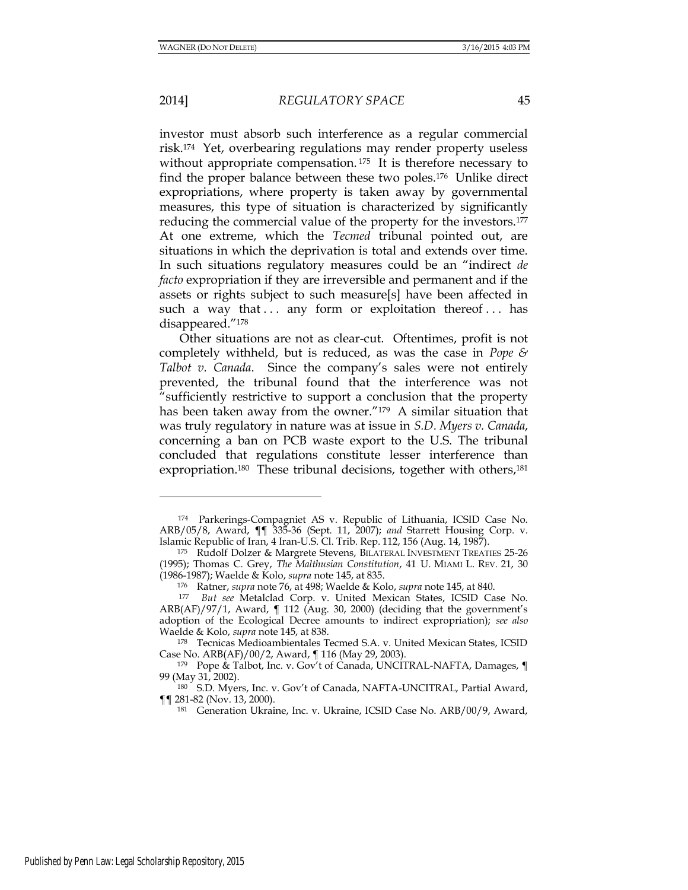#### 2014] *REGULATORY SPACE* 45

investor must absorb such interference as a regular commercial risk.174 Yet, overbearing regulations may render property useless without appropriate compensation.<sup>175</sup> It is therefore necessary to find the proper balance between these two poles.176 Unlike direct expropriations, where property is taken away by governmental measures, this type of situation is characterized by significantly reducing the commercial value of the property for the investors.<sup>177</sup> At one extreme, which the *Tecmed* tribunal pointed out, are situations in which the deprivation is total and extends over time. In such situations regulatory measures could be an "indirect *de facto* expropriation if they are irreversible and permanent and if the assets or rights subject to such measure[s] have been affected in such a way that ... any form or exploitation thereof ... has disappeared."<sup>178</sup>

Other situations are not as clear-cut. Oftentimes, profit is not completely withheld, but is reduced, as was the case in *Pope & Talbot v. Canada*. Since the company's sales were not entirely prevented, the tribunal found that the interference was not "sufficiently restrictive to support a conclusion that the property has been taken away from the owner."179 A similar situation that was truly regulatory in nature was at issue in *S.D. Myers v. Canada*, concerning a ban on PCB waste export to the U.S. The tribunal concluded that regulations constitute lesser interference than expropriation.<sup>180</sup> These tribunal decisions, together with others,<sup>181</sup>

<sup>174</sup> Parkerings-Compagniet AS v. Republic of Lithuania, ICSID Case No. ARB/05/8, Award, ¶¶ 335-36 (Sept. 11, 2007); *and* Starrett Housing Corp. v. Islamic Republic of Iran, 4 Iran-U.S. Cl. Trib. Rep. 112, 156 (Aug. 14, 1987).

<sup>175</sup> Rudolf Dolzer & Margrete Stevens, BILATERAL INVESTMENT TREATIES 25-26 (1995); Thomas C. Grey, *The Malthusian Constitution*, 41 U. MIAMI L. REV. 21, 30 (1986-1987); Waelde & Kolo, *supra* note 145, at 835.

<sup>176</sup> Ratner, *supra* note 76, at 498; Waelde & Kolo, *supra* note 145, at 840.

<sup>177</sup> *But see* Metalclad Corp. v. United Mexican States, ICSID Case No. ARB(AF)/97/1, Award, ¶ 112 (Aug. 30, 2000) (deciding that the government's adoption of the Ecological Decree amounts to indirect expropriation); *see also*  Waelde & Kolo, *supra* note 145, at 838.

<sup>178</sup> Tecnicas Medioambientales Tecmed S.A. v. United Mexican States, ICSID Case No. ARB(AF)/00/2, Award, ¶ 116 (May 29, 2003).

<sup>179</sup> Pope & Talbot, Inc. v. Gov't of Canada, UNCITRAL-NAFTA, Damages,  $\P$ 99 (May 31, 2002).

<sup>180</sup> S.D. Myers, Inc. v. Gov't of Canada, NAFTA-UNCITRAL, Partial Award, ¶¶ 281-82 (Nov. 13, 2000).

<sup>181</sup> Generation Ukraine, Inc. v. Ukraine, ICSID Case No. ARB/00/9, Award,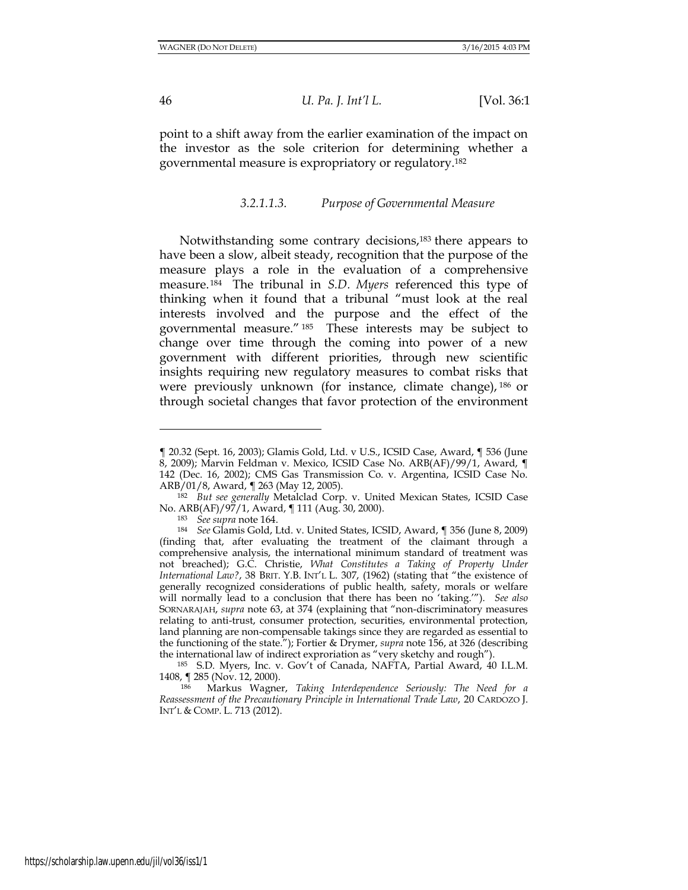46 *U. Pa. J. Int'l L.* [Vol. 36:1

point to a shift away from the earlier examination of the impact on the investor as the sole criterion for determining whether a governmental measure is expropriatory or regulatory.<sup>182</sup>

#### *3.2.1.1.3. Purpose of Governmental Measure*

Notwithstanding some contrary decisions,<sup>183</sup> there appears to have been a slow, albeit steady, recognition that the purpose of the measure plays a role in the evaluation of a comprehensive measure. <sup>184</sup> The tribunal in *S.D. Myers* referenced this type of thinking when it found that a tribunal "must look at the real interests involved and the purpose and the effect of the governmental measure." <sup>185</sup> These interests may be subject to change over time through the coming into power of a new government with different priorities, through new scientific insights requiring new regulatory measures to combat risks that were previously unknown (for instance, climate change), <sup>186</sup> or through societal changes that favor protection of the environment

<sup>185</sup> S.D. Myers, Inc. v. Gov't of Canada, NAFTA, Partial Award, 40 I.L.M. 1408, ¶ 285 (Nov. 12, 2000).

<sup>186</sup> Markus Wagner, *Taking Interdependence Seriously: The Need for a Reassessment of the Precautionary Principle in International Trade Law*, 20 CARDOZO J. INT'L & COMP. L. 713 (2012).

<sup>¶ 20.32 (</sup>Sept. 16, 2003); Glamis Gold, Ltd. v U.S., ICSID Case, Award, ¶ 536 (June 8, 2009); Marvin Feldman v. Mexico, ICSID Case No. ARB(AF)/99/1, Award, ¶ 142 (Dec. 16, 2002); CMS Gas Transmission Co. v. Argentina, ICSID Case No. ARB/01/8, Award, ¶ 263 (May 12, 2005).

<sup>182</sup> *But see generally* Metalclad Corp. v. United Mexican States, ICSID Case No. ARB(AF)/97/1, Award, ¶ 111 (Aug. 30, 2000).

<sup>183</sup> *See supra* note 164.

<sup>184</sup> *See* Glamis Gold, Ltd. v. United States, ICSID, Award, ¶ 356 (June 8, 2009) (finding that, after evaluating the treatment of the claimant through a comprehensive analysis, the international minimum standard of treatment was not breached); G.C. Christie, *What Constitutes a Taking of Property Under International Law?*, 38 BRIT. Y.B. INT'L L. 307, (1962) (stating that "the existence of generally recognized considerations of public health, safety, morals or welfare will normally lead to a conclusion that there has been no 'taking.'"). *See also* SORNARAJAH, *supra* note 63, at 374 (explaining that "non-discriminatory measures relating to anti-trust, consumer protection, securities, environmental protection, land planning are non-compensable takings since they are regarded as essential to the functioning of the state."); Fortier & Drymer, *supra* note 156, at 326 (describing the international law of indirect exproriation as "very sketchy and rough").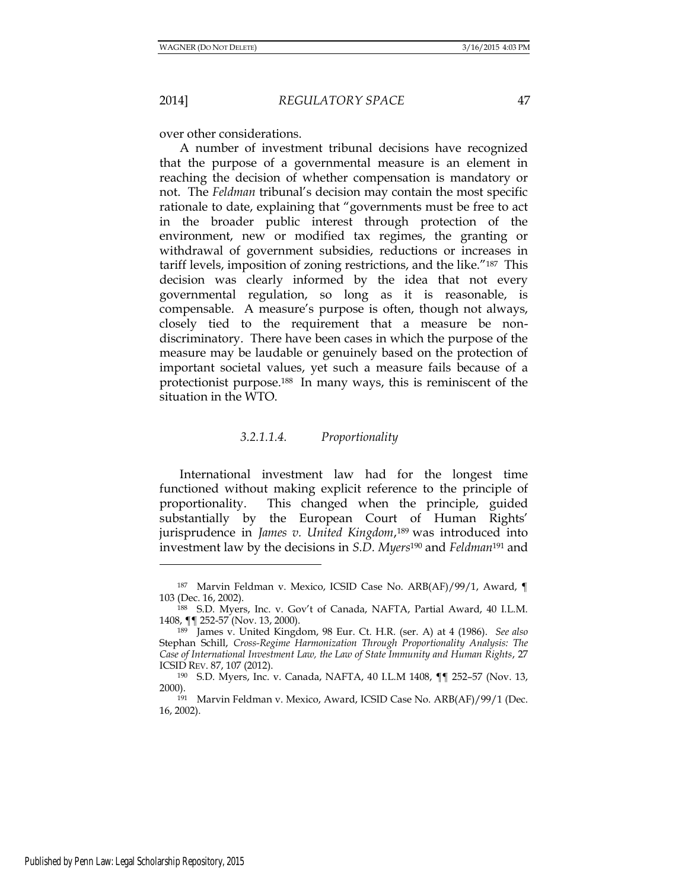over other considerations.

A number of investment tribunal decisions have recognized that the purpose of a governmental measure is an element in reaching the decision of whether compensation is mandatory or not. The *Feldman* tribunal's decision may contain the most specific rationale to date, explaining that "governments must be free to act in the broader public interest through protection of the environment, new or modified tax regimes, the granting or withdrawal of government subsidies, reductions or increases in tariff levels, imposition of zoning restrictions, and the like."187 This decision was clearly informed by the idea that not every governmental regulation, so long as it is reasonable, is compensable. A measure's purpose is often, though not always, closely tied to the requirement that a measure be nondiscriminatory. There have been cases in which the purpose of the measure may be laudable or genuinely based on the protection of important societal values, yet such a measure fails because of a protectionist purpose.188 In many ways, this is reminiscent of the situation in the WTO.

## *3.2.1.1.4. Proportionality*

International investment law had for the longest time functioned without making explicit reference to the principle of proportionality. This changed when the principle, guided substantially by the European Court of Human Rights' jurisprudence in *James v. United Kingdom*, <sup>189</sup> was introduced into investment law by the decisions in *S.D. Myers*<sup>190</sup> and *Feldman*191 and

<sup>187</sup> Marvin Feldman v. Mexico, ICSID Case No. ARB(AF)/99/1, Award, ¶ 103 (Dec. 16, 2002).

<sup>188</sup> S.D. Myers, Inc. v. Gov't of Canada, NAFTA, Partial Award, 40 I.L.M. 1408, ¶¶ 252-57 (Nov. 13, 2000).

<sup>189</sup> James v. United Kingdom, 98 Eur. Ct. H.R. (ser. A) at 4 (1986). *See also* Stephan Schill, *Cross-Regime Harmonization Through Proportionality Analysis: The Case of International Investment Law, the Law of State Immunity and Human Rights*, 27 ICSID REV. 87, 107 (2012).

<sup>190</sup> S.D. Myers, Inc. v. Canada, NAFTA, 40 I.L.M 1408, ¶¶ 252–57 (Nov. 13, 2000).

<sup>191</sup> Marvin Feldman v. Mexico, Award, ICSID Case No. ARB(AF)/99/1 (Dec. 16, 2002).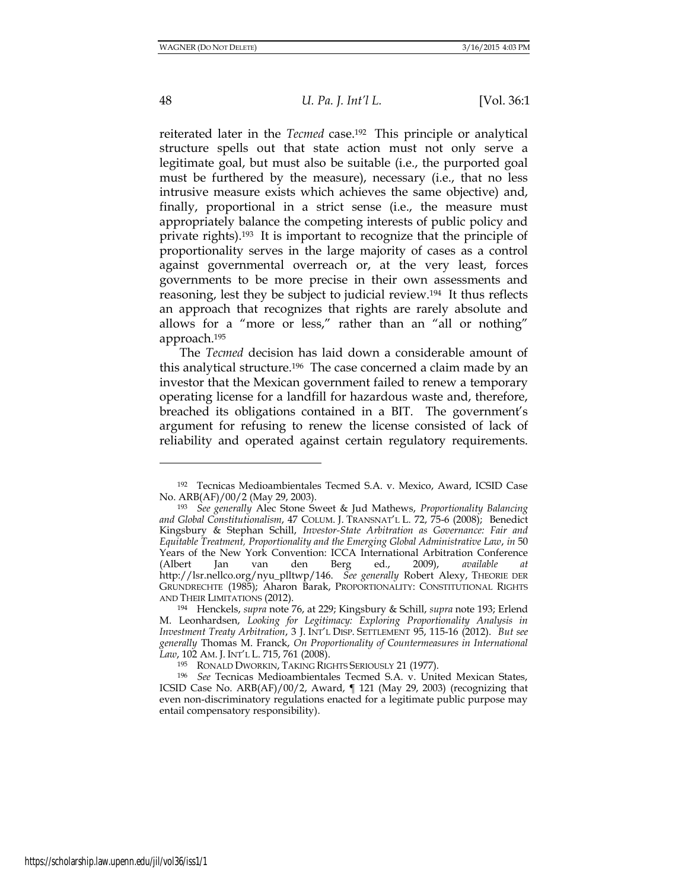48 *U. Pa. J. Int'l L.* [Vol. 36:1

reiterated later in the *Tecmed* case.192 This principle or analytical structure spells out that state action must not only serve a legitimate goal, but must also be suitable (i.e., the purported goal must be furthered by the measure), necessary (i.e., that no less intrusive measure exists which achieves the same objective) and, finally, proportional in a strict sense (i.e., the measure must appropriately balance the competing interests of public policy and private rights).193 It is important to recognize that the principle of proportionality serves in the large majority of cases as a control against governmental overreach or, at the very least, forces governments to be more precise in their own assessments and reasoning, lest they be subject to judicial review.194 It thus reflects an approach that recognizes that rights are rarely absolute and allows for a "more or less," rather than an "all or nothing" approach.<sup>195</sup>

The *Tecmed* decision has laid down a considerable amount of this analytical structure.196 The case concerned a claim made by an investor that the Mexican government failed to renew a temporary operating license for a landfill for hazardous waste and, therefore, breached its obligations contained in a BIT. The government's argument for refusing to renew the license consisted of lack of reliability and operated against certain regulatory requirements.

<sup>192</sup> Tecnicas Medioambientales Tecmed S.A. v. Mexico, Award, ICSID Case No. ARB(AF)/00/2 (May 29, 2003).

<sup>193</sup> *See generally* Alec Stone Sweet & Jud Mathews, *Proportionality Balancing and Global Constitutionalism*, 47 COLUM. J. TRANSNAT'L L. 72, 75-6 (2008); Benedict Kingsbury & Stephan Schill, *Investor-State Arbitration as Governance: Fair and Equitable Treatment, Proportionality and the Emerging Global Administrative Law*, *in* 50 Years of the New York Convention: ICCA International Arbitration Conference (Albert Jan van den Berg ed., 2009), *available at* http://lsr.nellco.org/nyu\_plltwp/146. *See generally* Robert Alexy, THEORIE DER GRUNDRECHTE (1985); Aharon Barak, PROPORTIONALITY: CONSTITUTIONAL RIGHTS AND THEIR LIMITATIONS (2012).

<sup>194</sup> Henckels, *supra* note 76, at 229; Kingsbury & Schill, *supra* note 193; Erlend M. Leonhardsen, *Looking for Legitimacy: Exploring Proportionality Analysis in Investment Treaty Arbitration*, 3 J. INT'L DISP. SETTLEMENT 95, 115-16 (2012). *But see generally* Thomas M. Franck, *On Proportionality of Countermeasures in International Law*, 102 AM. J. INT'L L. 715, 761 (2008).

<sup>195</sup> RONALD DWORKIN, TAKING RIGHTS SERIOUSLY 21 (1977).

<sup>196</sup> *See* Tecnicas Medioambientales Tecmed S.A. v. United Mexican States, ICSID Case No. ARB(AF)/00/2, Award, ¶ 121 (May 29, 2003) (recognizing that even non-discriminatory regulations enacted for a legitimate public purpose may entail compensatory responsibility).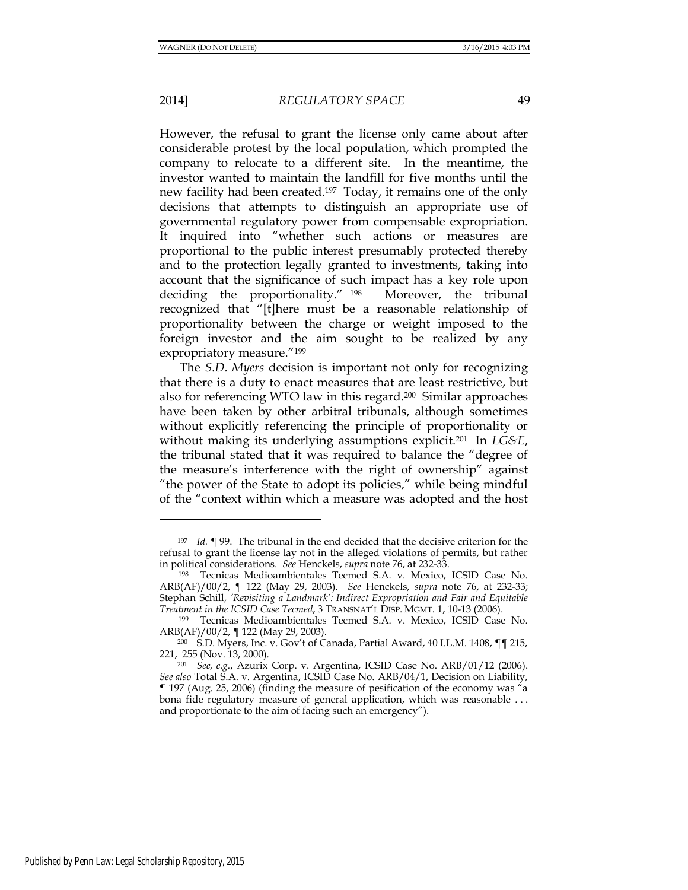However, the refusal to grant the license only came about after considerable protest by the local population, which prompted the company to relocate to a different site. In the meantime, the investor wanted to maintain the landfill for five months until the new facility had been created.197 Today, it remains one of the only decisions that attempts to distinguish an appropriate use of governmental regulatory power from compensable expropriation. It inquired into "whether such actions or measures are proportional to the public interest presumably protected thereby and to the protection legally granted to investments, taking into account that the significance of such impact has a key role upon deciding the proportionality." <sup>198</sup> Moreover, the tribunal recognized that "[t]here must be a reasonable relationship of proportionality between the charge or weight imposed to the foreign investor and the aim sought to be realized by any expropriatory measure."<sup>199</sup>

The *S.D. Myers* decision is important not only for recognizing that there is a duty to enact measures that are least restrictive, but also for referencing WTO law in this regard.200 Similar approaches have been taken by other arbitral tribunals, although sometimes without explicitly referencing the principle of proportionality or without making its underlying assumptions explicit.201 In *LG&E*, the tribunal stated that it was required to balance the "degree of the measure's interference with the right of ownership" against "the power of the State to adopt its policies," while being mindful of the "context within which a measure was adopted and the host

<sup>197</sup> *Id.* ¶ 99. The tribunal in the end decided that the decisive criterion for the refusal to grant the license lay not in the alleged violations of permits, but rather in political considerations. *See* Henckels, *supra* note 76, at 232-33.

<sup>198</sup> Tecnicas Medioambientales Tecmed S.A. v. Mexico, ICSID Case No. ARB(AF)/00/2, ¶ 122 (May 29, 2003). *See* Henckels, *supra* note 76, at 232-33; Stephan Schill, 'Revisiting a Landmark': Indirect Expropriation and Fair and Equitable *Treatment in the ICSID Case Tecmed*, 3 TRANSNAT'L DISP. MGMT. 1, 10-13 (2006).

<sup>199</sup> Tecnicas Medioambientales Tecmed S.A. v. Mexico, ICSID Case No. ARB(AF)/00/2, ¶ 122 (May 29, 2003).

<sup>200</sup> S.D. Myers, Inc. v. Gov't of Canada, Partial Award, 40 I.L.M. 1408, ¶¶ 215, 221, 255 (Nov. 13, 2000).

<sup>201</sup> *See, e.g.*, Azurix Corp. v. Argentina, ICSID Case No. ARB/01/12 (2006). *See also* Total S.A. v. Argentina, ICSID Case No. ARB/04/1, Decision on Liability, ¶ 197 (Aug. 25, 2006) (finding the measure of pesification of the economy was "a bona fide regulatory measure of general application, which was reasonable . . . and proportionate to the aim of facing such an emergency").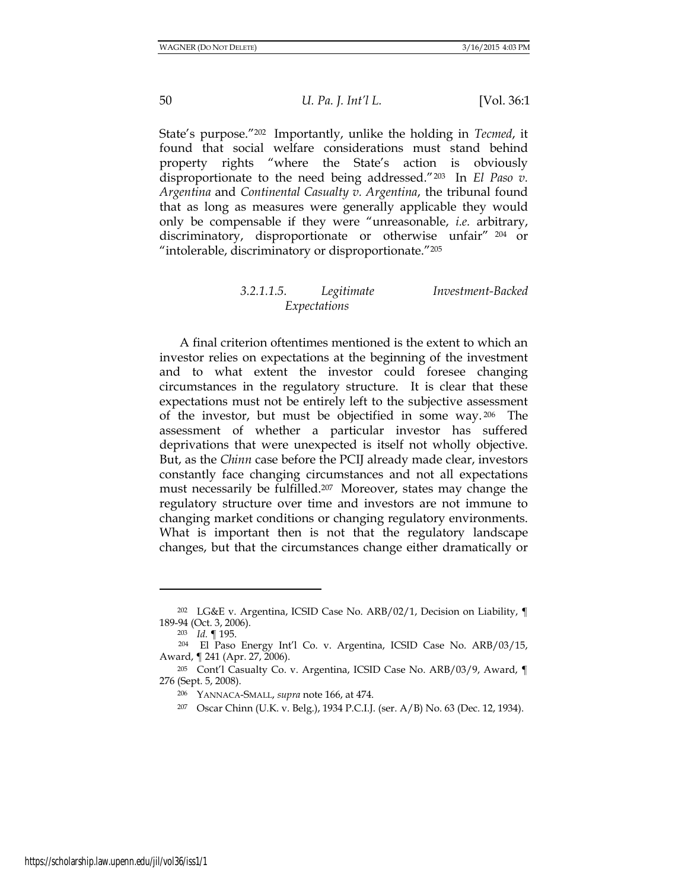State's purpose."202 Importantly, unlike the holding in *Tecmed*, it found that social welfare considerations must stand behind property rights "where the State's action is obviously disproportionate to the need being addressed."203 In *El Paso v. Argentina* and *Continental Casualty v. Argentina*, the tribunal found that as long as measures were generally applicable they would only be compensable if they were "unreasonable, *i.e.* arbitrary, discriminatory, disproportionate or otherwise unfair" <sup>204</sup> or "intolerable, discriminatory or disproportionate."<sup>205</sup>

# *3.2.1.1.5. Legitimate Investment-Backed Expectations*

A final criterion oftentimes mentioned is the extent to which an investor relies on expectations at the beginning of the investment and to what extent the investor could foresee changing circumstances in the regulatory structure. It is clear that these expectations must not be entirely left to the subjective assessment of the investor, but must be objectified in some way. <sup>206</sup> The assessment of whether a particular investor has suffered deprivations that were unexpected is itself not wholly objective. But, as the *Chinn* case before the PCIJ already made clear, investors constantly face changing circumstances and not all expectations must necessarily be fulfilled.207 Moreover, states may change the regulatory structure over time and investors are not immune to changing market conditions or changing regulatory environments. What is important then is not that the regulatory landscape changes, but that the circumstances change either dramatically or

<sup>202</sup> LG&E v. Argentina, ICSID Case No. ARB/02/1, Decision on Liability, ¶ 189-94 (Oct. 3, 2006).

<sup>203</sup> *Id.* ¶ 195.

<sup>204</sup> El Paso Energy Int'l Co. v. Argentina, ICSID Case No. ARB/03/15, Award, ¶ 241 (Apr. 27, 2006).

<sup>205</sup> Cont'l Casualty Co. v. Argentina, ICSID Case No. ARB/03/9, Award, ¶ 276 (Sept. 5, 2008).

<sup>206</sup> YANNACA-SMALL, *supra* note 166, at 474.

<sup>207</sup> Oscar Chinn (U.K. v. Belg.), 1934 P.C.I.J. (ser. A/B) No. 63 (Dec. 12, 1934).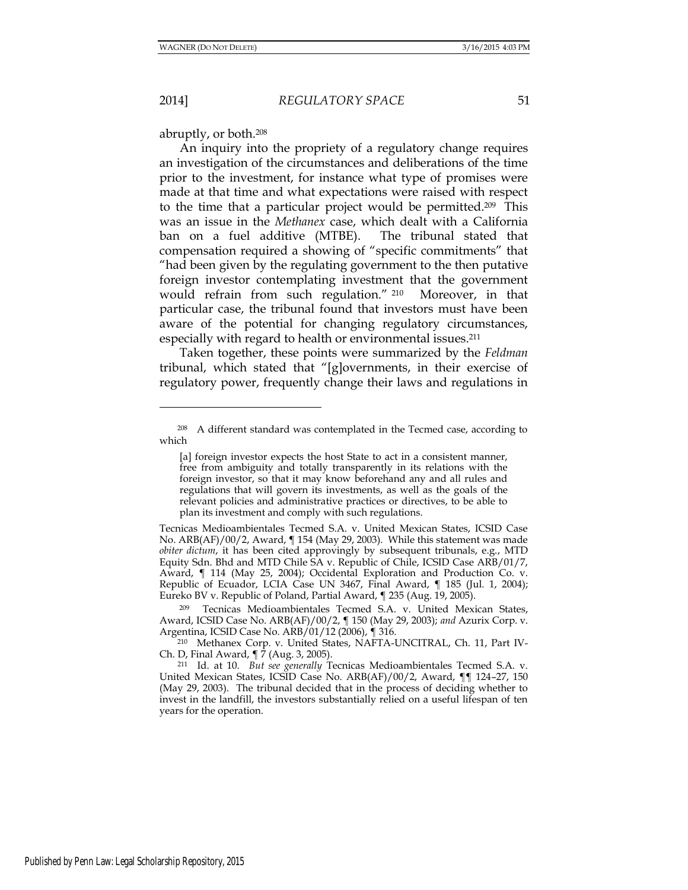2014] *REGULATORY SPACE* 51

abruptly, or both.<sup>208</sup>

An inquiry into the propriety of a regulatory change requires an investigation of the circumstances and deliberations of the time prior to the investment, for instance what type of promises were made at that time and what expectations were raised with respect to the time that a particular project would be permitted.209 This was an issue in the *Methanex* case, which dealt with a California ban on a fuel additive (MTBE). The tribunal stated that compensation required a showing of "specific commitments" that "had been given by the regulating government to the then putative foreign investor contemplating investment that the government would refrain from such regulation." <sup>210</sup> Moreover, in that particular case, the tribunal found that investors must have been aware of the potential for changing regulatory circumstances, especially with regard to health or environmental issues.<sup>211</sup>

Taken together, these points were summarized by the *Feldman* tribunal, which stated that "[g]overnments, in their exercise of regulatory power, frequently change their laws and regulations in

<sup>208</sup> A different standard was contemplated in the Tecmed case, according to which

<sup>[</sup>a] foreign investor expects the host State to act in a consistent manner, free from ambiguity and totally transparently in its relations with the foreign investor, so that it may know beforehand any and all rules and regulations that will govern its investments, as well as the goals of the relevant policies and administrative practices or directives, to be able to plan its investment and comply with such regulations.

Tecnicas Medioambientales Tecmed S.A. v. United Mexican States, ICSID Case No. ARB(AF)/00/2, Award, ¶ 154 (May 29, 2003). While this statement was made *obiter dictum*, it has been cited approvingly by subsequent tribunals, e.g., MTD Equity Sdn. Bhd and MTD Chile SA v. Republic of Chile, ICSID Case ARB/01/7, Award, ¶ 114 (May 25, 2004); Occidental Exploration and Production Co. v. Republic of Ecuador, LCIA Case UN 3467, Final Award, ¶ 185 (Jul. 1, 2004); Eureko BV v. Republic of Poland, Partial Award, ¶ 235 (Aug. 19, 2005).

<sup>209</sup> Tecnicas Medioambientales Tecmed S.A. v. United Mexican States, Award, ICSID Case No. ARB(AF)/00/2, ¶ 150 (May 29, 2003); *and* Azurix Corp. v. Argentina, ICSID Case No. ARB/01/12 (2006), ¶ 316.

<sup>210</sup> Methanex Corp. v. United States, NAFTA-UNCITRAL, Ch. 11, Part IV-Ch. D, Final Award, ¶ 7 (Aug. 3, 2005).

<sup>211</sup> Id. at 10. *But see generally* Tecnicas Medioambientales Tecmed S.A. v. United Mexican States, ICSID Case No. ARB(AF)/00/2, Award, ¶¶ 124–27, 150 (May 29, 2003). The tribunal decided that in the process of deciding whether to invest in the landfill, the investors substantially relied on a useful lifespan of ten years for the operation.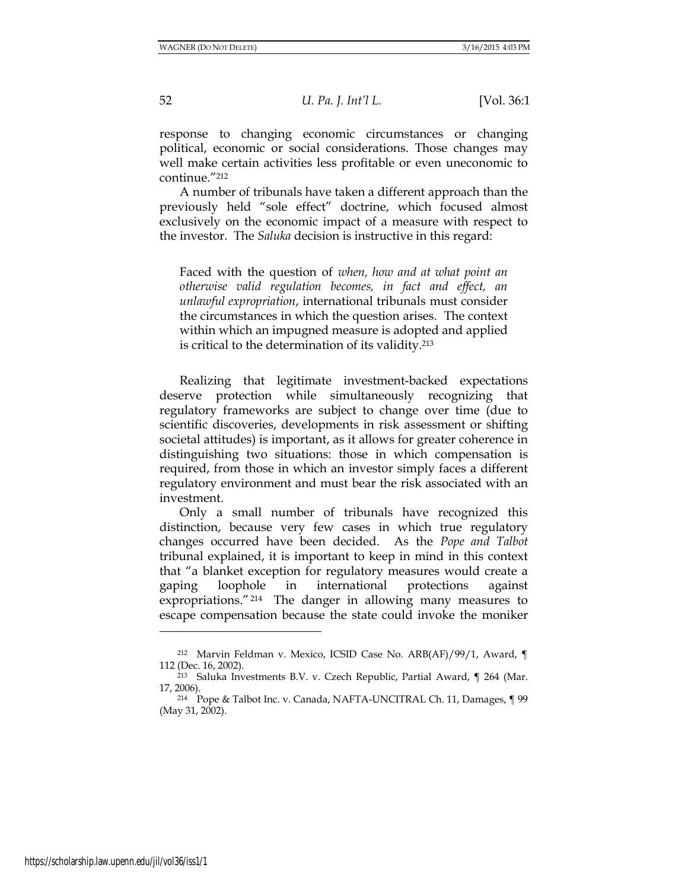response to changing economic circumstances or changing political, economic or social considerations. Those changes may well make certain activities less profitable or even uneconomic to continue."<sup>212</sup>

A number of tribunals have taken a different approach than the previously held "sole effect" doctrine, which focused almost exclusively on the economic impact of a measure with respect to the investor. The *Saluka* decision is instructive in this regard:

Faced with the question of *when, how and at what point an otherwise valid regulation becomes, in fact and effect, an unlawful expropriation*, international tribunals must consider the circumstances in which the question arises. The context within which an impugned measure is adopted and applied is critical to the determination of its validity.<sup>213</sup>

Realizing that legitimate investment-backed expectations deserve protection while simultaneously recognizing that regulatory frameworks are subject to change over time (due to scientific discoveries, developments in risk assessment or shifting societal attitudes) is important, as it allows for greater coherence in distinguishing two situations: those in which compensation is required, from those in which an investor simply faces a different regulatory environment and must bear the risk associated with an investment.

 Only a small number of tribunals have recognized this distinction, because very few cases in which true regulatory changes occurred have been decided. As the *Pope and Talbot* tribunal explained, it is important to keep in mind in this context that "a blanket exception for regulatory measures would create a gaping loophole in international protections against expropriations."214 The danger in allowing many measures to escape compensation because the state could invoke the moniker

<sup>212</sup> Marvin Feldman v. Mexico, ICSID Case No. ARB(AF)/99/1, Award, ¶ 112 (Dec. 16, 2002).

<sup>213</sup> Saluka Investments B.V. v. Czech Republic, Partial Award, ¶ 264 (Mar. 17, 2006).

<sup>214</sup> Pope & Talbot Inc. v. Canada, NAFTA-UNCITRAL Ch. 11, Damages, ¶ 99 (May 31, 2002).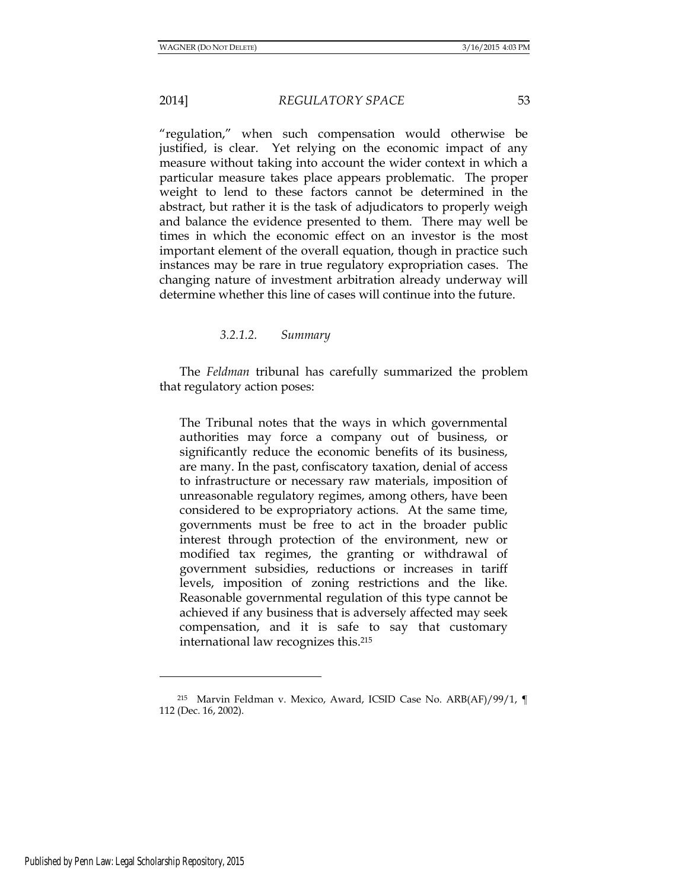"regulation," when such compensation would otherwise be justified, is clear. Yet relying on the economic impact of any measure without taking into account the wider context in which a particular measure takes place appears problematic. The proper weight to lend to these factors cannot be determined in the abstract, but rather it is the task of adjudicators to properly weigh and balance the evidence presented to them. There may well be times in which the economic effect on an investor is the most important element of the overall equation, though in practice such instances may be rare in true regulatory expropriation cases. The changing nature of investment arbitration already underway will determine whether this line of cases will continue into the future.

*3.2.1.2. Summary* 

The *Feldman* tribunal has carefully summarized the problem that regulatory action poses:

The Tribunal notes that the ways in which governmental authorities may force a company out of business, or significantly reduce the economic benefits of its business, are many. In the past, confiscatory taxation, denial of access to infrastructure or necessary raw materials, imposition of unreasonable regulatory regimes, among others, have been considered to be expropriatory actions. At the same time, governments must be free to act in the broader public interest through protection of the environment, new or modified tax regimes, the granting or withdrawal of government subsidies, reductions or increases in tariff levels, imposition of zoning restrictions and the like. Reasonable governmental regulation of this type cannot be achieved if any business that is adversely affected may seek compensation, and it is safe to say that customary international law recognizes this.<sup>215</sup>

<sup>215</sup> Marvin Feldman v. Mexico, Award, ICSID Case No. ARB(AF)/99/1, ¶ 112 (Dec. 16, 2002).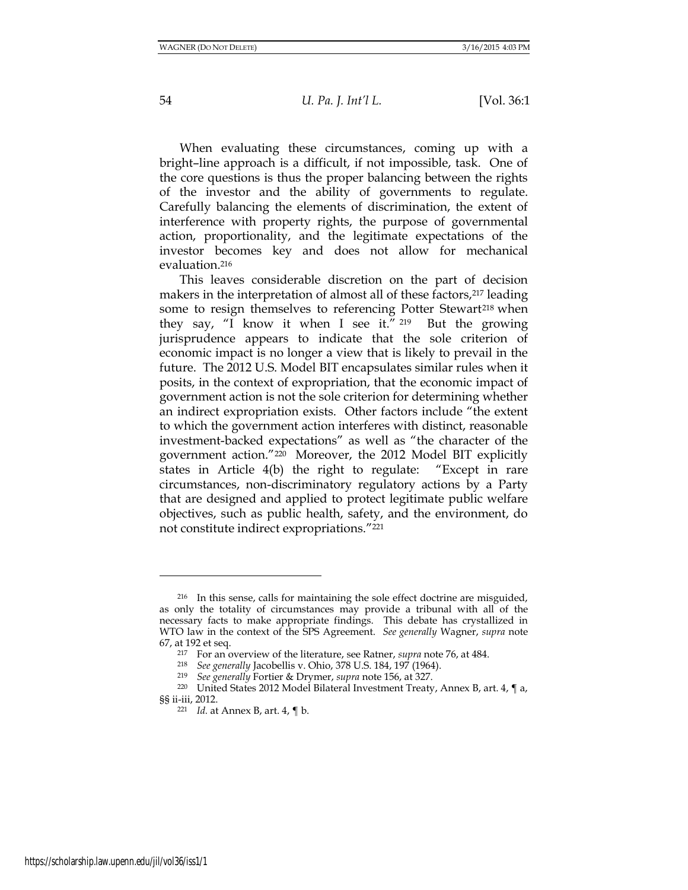When evaluating these circumstances, coming up with a bright–line approach is a difficult, if not impossible, task. One of the core questions is thus the proper balancing between the rights of the investor and the ability of governments to regulate. Carefully balancing the elements of discrimination, the extent of interference with property rights, the purpose of governmental action, proportionality, and the legitimate expectations of the investor becomes key and does not allow for mechanical evaluation.<sup>216</sup>

This leaves considerable discretion on the part of decision makers in the interpretation of almost all of these factors, <sup>217</sup> leading some to resign themselves to referencing Potter Stewart<sup>218</sup> when they say, "I know it when I see it." <sup>219</sup> But the growing jurisprudence appears to indicate that the sole criterion of economic impact is no longer a view that is likely to prevail in the future. The 2012 U.S. Model BIT encapsulates similar rules when it posits, in the context of expropriation, that the economic impact of government action is not the sole criterion for determining whether an indirect expropriation exists. Other factors include "the extent to which the government action interferes with distinct, reasonable investment-backed expectations" as well as "the character of the government action."220 Moreover, the 2012 Model BIT explicitly states in Article 4(b) the right to regulate: "Except in rare circumstances, non-discriminatory regulatory actions by a Party that are designed and applied to protect legitimate public welfare objectives, such as public health, safety, and the environment, do not constitute indirect expropriations."<sup>221</sup>

<sup>216</sup> In this sense, calls for maintaining the sole effect doctrine are misguided, as only the totality of circumstances may provide a tribunal with all of the necessary facts to make appropriate findings. This debate has crystallized in WTO law in the context of the SPS Agreement. *See generally* Wagner, *supra* note 67, at 192 et seq.

<sup>217</sup> For an overview of the literature, see Ratner, *supra* note 76, at 484.

<sup>218</sup> *See generally* Jacobellis v. Ohio, 378 U.S. 184, 197 (1964).

<sup>219</sup> *See generally* Fortier & Drymer, *supra* note 156, at 327.

<sup>&</sup>lt;sup>220</sup> United States 2012 Model Bilateral Investment Treaty, Annex B, art. 4, ¶ a, §§ ii-iii, 2012.

<sup>221</sup> *Id.* at Annex B, art. 4, ¶ b.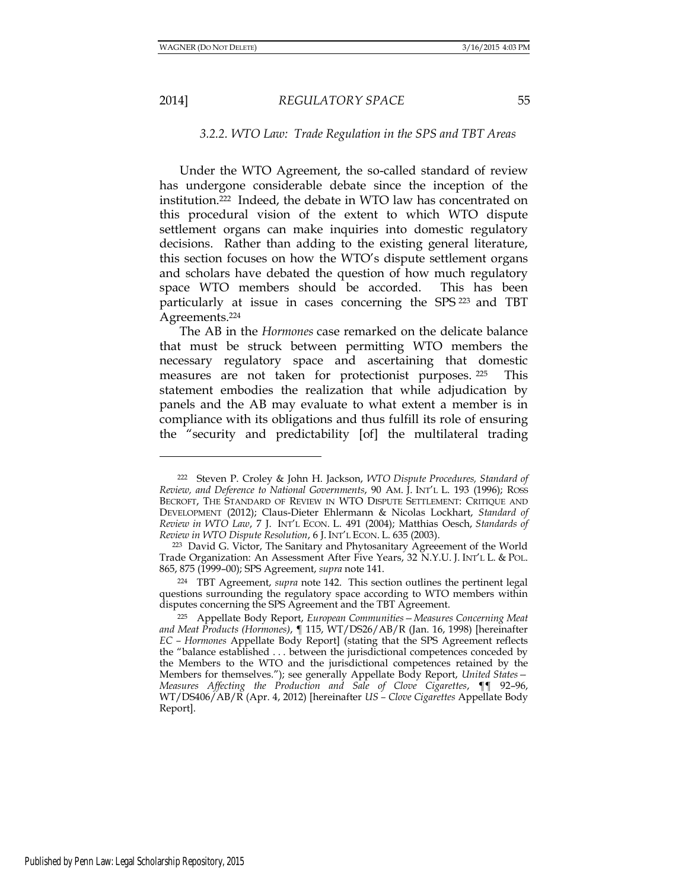#### 2014] *REGULATORY SPACE* 55

# *3.2.2. WTO Law: Trade Regulation in the SPS and TBT Areas*

Under the WTO Agreement, the so-called standard of review has undergone considerable debate since the inception of the institution.222 Indeed, the debate in WTO law has concentrated on this procedural vision of the extent to which WTO dispute settlement organs can make inquiries into domestic regulatory decisions. Rather than adding to the existing general literature, this section focuses on how the WTO's dispute settlement organs and scholars have debated the question of how much regulatory space WTO members should be accorded. This has been particularly at issue in cases concerning the SPS <sup>223</sup> and TBT Agreements.<sup>224</sup>

The AB in the *Hormones* case remarked on the delicate balance that must be struck between permitting WTO members the necessary regulatory space and ascertaining that domestic measures are not taken for protectionist purposes. <sup>225</sup> This statement embodies the realization that while adjudication by panels and the AB may evaluate to what extent a member is in compliance with its obligations and thus fulfill its role of ensuring the "security and predictability [of] the multilateral trading

<sup>222</sup> Steven P. Croley & John H. Jackson, *WTO Dispute Procedures, Standard of Review, and Deference to National Governments*, 90 AM. J. INT'L L. 193 (1996); ROSS BECROFT, THE STANDARD OF REVIEW IN WTO DISPUTE SETTLEMENT: CRITIQUE AND DEVELOPMENT (2012); Claus-Dieter Ehlermann & Nicolas Lockhart, *Standard of Review in WTO Law*, 7 J. INT'L ECON. L. 491 (2004); Matthias Oesch, *Standards of Review in WTO Dispute Resolution*, 6 J. INT'L ECON. L. 635 (2003).

<sup>223</sup> David G. Victor, The Sanitary and Phytosanitary Agreeement of the World Trade Organization: An Assessment After Five Years, 32 N.Y.U. J. INT'L L. & POL. 865, 875 (1999–00); SPS Agreement, *supra* note 141.

<sup>224</sup> TBT Agreement, *supra* note 142. This section outlines the pertinent legal questions surrounding the regulatory space according to WTO members within disputes concerning the SPS Agreement and the TBT Agreement.

<sup>225</sup> Appellate Body Report, *European Communities—Measures Concerning Meat and Meat Products (Hormones)*, ¶ 115, WT/DS26/AB/R (Jan. 16, 1998) [hereinafter *EC – Hormones* Appellate Body Report] (stating that the SPS Agreement reflects the "balance established . . . between the jurisdictional competences conceded by the Members to the WTO and the jurisdictional competences retained by the Members for themselves."); see generally Appellate Body Report, *United States— Measures Affecting the Production and Sale of Clove Cigarettes*, ¶¶ 92–96, WT/DS406/AB/R (Apr. 4, 2012) [hereinafter *US – Clove Cigarettes* Appellate Body Report].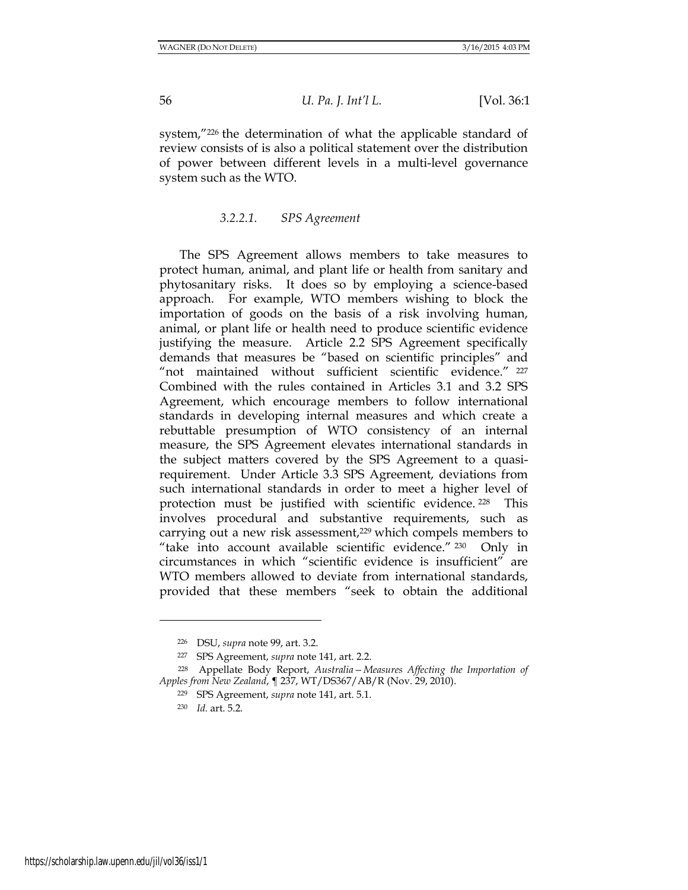system,"<sup>226</sup> the determination of what the applicable standard of review consists of is also a political statement over the distribution of power between different levels in a multi-level governance system such as the WTO.

## *3.2.2.1. SPS Agreement*

The SPS Agreement allows members to take measures to protect human, animal, and plant life or health from sanitary and phytosanitary risks. It does so by employing a science-based approach. For example, WTO members wishing to block the importation of goods on the basis of a risk involving human, animal, or plant life or health need to produce scientific evidence justifying the measure. Article 2.2 SPS Agreement specifically demands that measures be "based on scientific principles" and "not maintained without sufficient scientific evidence." 227 Combined with the rules contained in Articles 3.1 and 3.2 SPS Agreement, which encourage members to follow international standards in developing internal measures and which create a rebuttable presumption of WTO consistency of an internal measure, the SPS Agreement elevates international standards in the subject matters covered by the SPS Agreement to a quasirequirement. Under Article 3.3 SPS Agreement, deviations from such international standards in order to meet a higher level of protection must be justified with scientific evidence. <sup>228</sup> This involves procedural and substantive requirements, such as carrying out a new risk assessment,<sup>229</sup> which compels members to "take into account available scientific evidence." <sup>230</sup> Only in circumstances in which "scientific evidence is insufficient" are WTO members allowed to deviate from international standards, provided that these members "seek to obtain the additional

<sup>226</sup> DSU, *supra* note 99, art. 3.2.

<sup>227</sup> SPS Agreement, *supra* note 141, art. 2.2.

<sup>228</sup> Appellate Body Report, *Australia—Measures Affecting the Importation of Apples from New Zealand*, ¶ 237, WT/DS367/AB/R (Nov. 29, 2010).

<sup>229</sup> SPS Agreement, *supra* note 141, art. 5.1.

<sup>230</sup> *Id.* art. 5.2.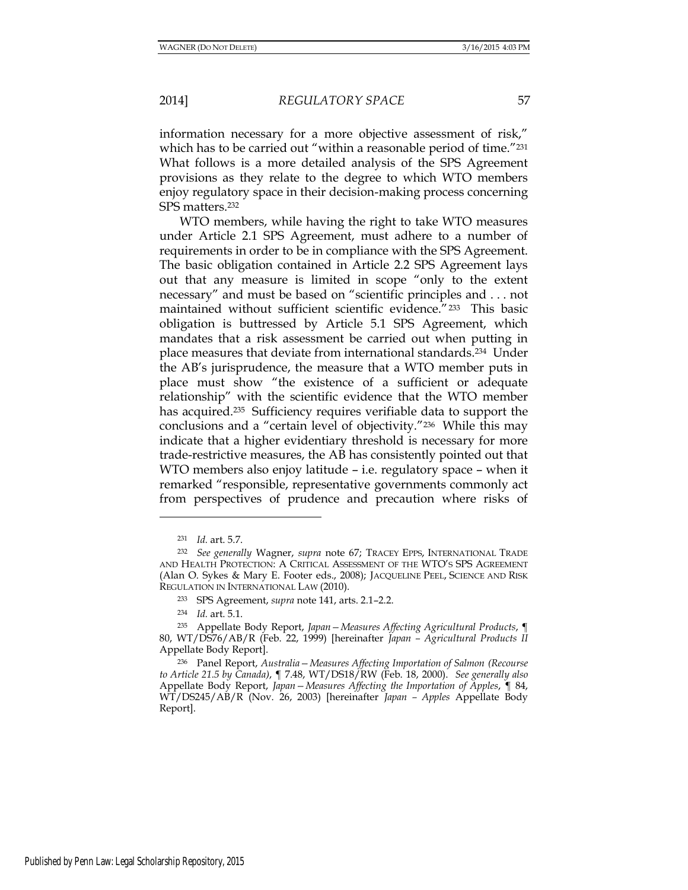information necessary for a more objective assessment of risk," which has to be carried out "within a reasonable period of time."<sup>231</sup> What follows is a more detailed analysis of the SPS Agreement provisions as they relate to the degree to which WTO members enjoy regulatory space in their decision-making process concerning SPS matters.<sup>232</sup>

WTO members, while having the right to take WTO measures under Article 2.1 SPS Agreement, must adhere to a number of requirements in order to be in compliance with the SPS Agreement. The basic obligation contained in Article 2.2 SPS Agreement lays out that any measure is limited in scope "only to the extent necessary" and must be based on "scientific principles and . . . not maintained without sufficient scientific evidence."233 This basic obligation is buttressed by Article 5.1 SPS Agreement, which mandates that a risk assessment be carried out when putting in place measures that deviate from international standards.234 Under the AB's jurisprudence, the measure that a WTO member puts in place must show "the existence of a sufficient or adequate relationship" with the scientific evidence that the WTO member has acquired.<sup>235</sup> Sufficiency requires verifiable data to support the conclusions and a "certain level of objectivity."236 While this may indicate that a higher evidentiary threshold is necessary for more trade-restrictive measures, the AB has consistently pointed out that WTO members also enjoy latitude – i.e. regulatory space – when it remarked "responsible, representative governments commonly act from perspectives of prudence and precaution where risks of

<sup>231</sup> *Id.* art. 5.7.

<sup>232</sup> *See generally* Wagner, *supra* note 67; TRACEY EPPS, INTERNATIONAL TRADE AND HEALTH PROTECTION: A CRITICAL ASSESSMENT OF THE WTO'S SPS AGREEMENT (Alan O. Sykes & Mary E. Footer eds., 2008); JACQUELINE PEEL, SCIENCE AND RISK REGULATION IN INTERNATIONAL LAW (2010).

<sup>233</sup> SPS Agreement, *supra* note 141, arts. 2.1–2.2.

<sup>234</sup> *Id.* art. 5.1.

<sup>235</sup> Appellate Body Report, *Japan—Measures Affecting Agricultural Products*, ¶ 80, WT/DS76/AB/R (Feb. 22, 1999) [hereinafter *Japan – Agricultural Products II*  Appellate Body Report].

<sup>236</sup> Panel Report, *Australia—Measures Affecting Importation of Salmon (Recourse to Article 21.5 by Canada)*, ¶ 7.48, WT/DS18/RW (Feb. 18, 2000). *See generally also* Appellate Body Report, *Japan—Measures Affecting the Importation of Apples*, ¶ 84, WT/DS245/AB/R (Nov. 26, 2003) [hereinafter *Japan – Apples* Appellate Body Report].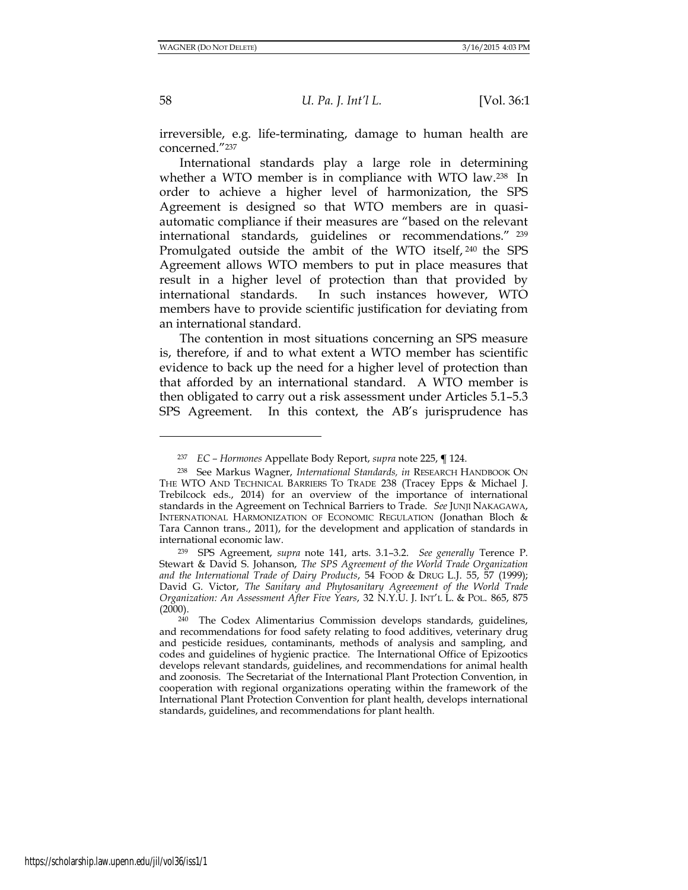58 *U. Pa. J. Int'l L.* [Vol. 36:1

irreversible, e.g. life-terminating, damage to human health are concerned."<sup>237</sup>

International standards play a large role in determining whether a WTO member is in compliance with WTO law.<sup>238</sup> In order to achieve a higher level of harmonization, the SPS Agreement is designed so that WTO members are in quasiautomatic compliance if their measures are "based on the relevant international standards, guidelines or recommendations." <sup>239</sup> Promulgated outside the ambit of the WTO itself, <sup>240</sup> the SPS Agreement allows WTO members to put in place measures that result in a higher level of protection than that provided by international standards. In such instances however, WTO members have to provide scientific justification for deviating from an international standard.

The contention in most situations concerning an SPS measure is, therefore, if and to what extent a WTO member has scientific evidence to back up the need for a higher level of protection than that afforded by an international standard. A WTO member is then obligated to carry out a risk assessment under Articles 5.1–5.3 SPS Agreement. In this context, the AB's jurisprudence has

<sup>237</sup> *EC – Hormones* Appellate Body Report, *supra* note 225, **¶** 124.

<sup>238</sup> See Markus Wagner, *International Standards, in* RESEARCH HANDBOOK ON THE WTO AND TECHNICAL BARRIERS TO TRADE 238 (Tracey Epps & Michael J. Trebilcock eds., 2014) for an overview of the importance of international standards in the Agreement on Technical Barriers to Trade. *See* JUNJI NAKAGAWA, INTERNATIONAL HARMONIZATION OF ECONOMIC REGULATION (Jonathan Bloch & Tara Cannon trans., 2011), for the development and application of standards in international economic law.

<sup>239</sup> SPS Agreement, *supra* note 141, arts. 3.1–3.2. *See generally* Terence P. Stewart & David S. Johanson, *The SPS Agreement of the World Trade Organization and the International Trade of Dairy Products*, 54 FOOD & DRUG L.J. 55, 57 (1999); David G. Victor, *The Sanitary and Phytosanitary Agreeement of the World Trade Organization: An Assessment After Five Years*, 32 N.Y.U. J. INT'L L. & POL. 865, 875 (2000).

 $240$  The Codex Alimentarius Commission develops standards, guidelines, and recommendations for food safety relating to food additives, veterinary drug and pesticide residues, contaminants, methods of analysis and sampling, and codes and guidelines of hygienic practice. The International Office of Epizootics develops relevant standards, guidelines, and recommendations for animal health and zoonosis. The Secretariat of the International Plant Protection Convention, in cooperation with regional organizations operating within the framework of the International Plant Protection Convention for plant health, develops international standards, guidelines, and recommendations for plant health.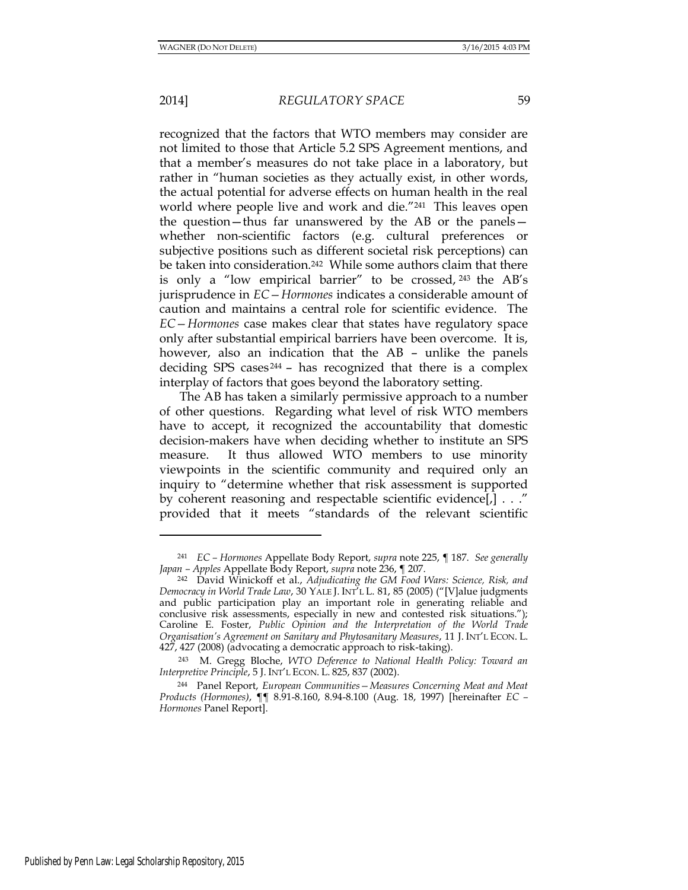recognized that the factors that WTO members may consider are not limited to those that Article 5.2 SPS Agreement mentions, and that a member's measures do not take place in a laboratory, but rather in "human societies as they actually exist, in other words, the actual potential for adverse effects on human health in the real world where people live and work and die."241 This leaves open the question—thus far unanswered by the AB or the panels whether non-scientific factors (e.g. cultural preferences or subjective positions such as different societal risk perceptions) can be taken into consideration.<sup>242</sup> While some authors claim that there is only a "low empirical barrier" to be crossed, <sup>243</sup> the AB's jurisprudence in *EC—Hormones* indicates a considerable amount of caution and maintains a central role for scientific evidence. The *EC—Hormones* case makes clear that states have regulatory space only after substantial empirical barriers have been overcome. It is, however, also an indication that the AB – unlike the panels deciding SPS cases <sup>244</sup> – has recognized that there is a complex interplay of factors that goes beyond the laboratory setting.

The AB has taken a similarly permissive approach to a number of other questions. Regarding what level of risk WTO members have to accept, it recognized the accountability that domestic decision-makers have when deciding whether to institute an SPS measure. It thus allowed WTO members to use minority viewpoints in the scientific community and required only an inquiry to "determine whether that risk assessment is supported by coherent reasoning and respectable scientific evidence[,] . . ." provided that it meets "standards of the relevant scientific

<sup>241</sup> *EC – Hormones* Appellate Body Report, *supra* note 225, ¶ 187. *See generally Japan – Apples* Appellate Body Report, *supra* note 236, ¶ 207.

<sup>242</sup> David Winickoff et al., *Adjudicating the GM Food Wars: Science, Risk, and Democracy in World Trade Law*, 30 YALE J. INT'L L. 81, 85 (2005) ("[V]alue judgments and public participation play an important role in generating reliable and conclusive risk assessments, especially in new and contested risk situations."); Caroline E. Foster, *Public Opinion and the Interpretation of the World Trade Organisation's Agreement on Sanitary and Phytosanitary Measures*, 11 J. INT'L ECON. L. 427, 427 (2008) (advocating a democratic approach to risk-taking).

<sup>243</sup> M. Gregg Bloche, *WTO Deference to National Health Policy: Toward an Interpretive Principle*, 5 J. INT'L ECON. L. 825, 837 (2002).

<sup>244</sup> Panel Report, *European Communities—Measures Concerning Meat and Meat Products (Hormones)*, ¶¶ 8.91-8.160, 8.94-8.100 (Aug. 18, 1997) [hereinafter *EC – Hormones* Panel Report].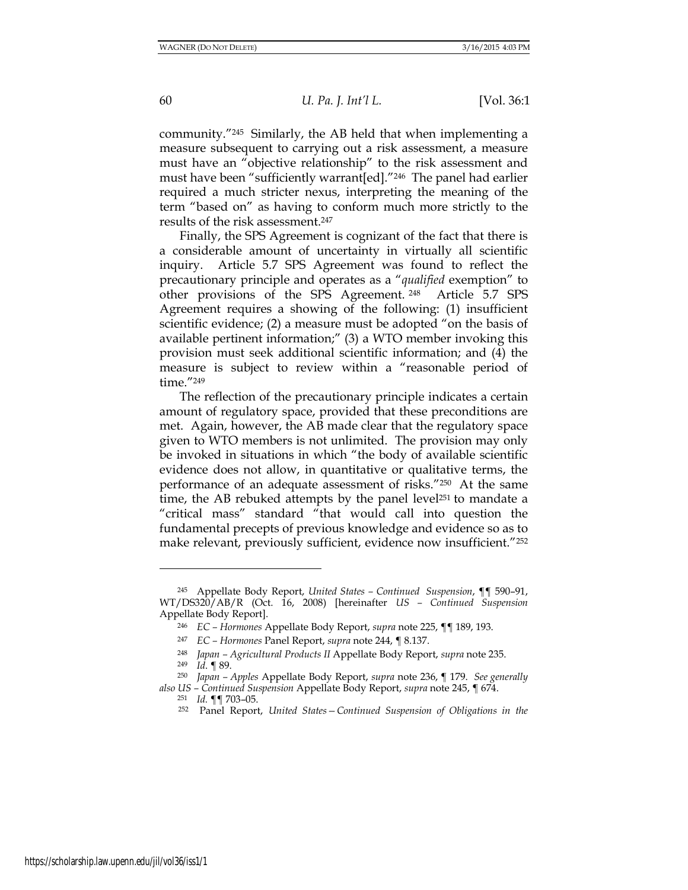community."245 Similarly, the AB held that when implementing a measure subsequent to carrying out a risk assessment, a measure must have an "objective relationship" to the risk assessment and must have been "sufficiently warrant[ed]."246 The panel had earlier required a much stricter nexus, interpreting the meaning of the term "based on" as having to conform much more strictly to the results of the risk assessment.<sup>247</sup>

Finally, the SPS Agreement is cognizant of the fact that there is a considerable amount of uncertainty in virtually all scientific inquiry. Article 5.7 SPS Agreement was found to reflect the precautionary principle and operates as a "*qualified* exemption" to other provisions of the SPS Agreement. <sup>248</sup> Article 5.7 SPS Agreement requires a showing of the following: (1) insufficient scientific evidence; (2) a measure must be adopted "on the basis of available pertinent information;" (3) a WTO member invoking this provision must seek additional scientific information; and (4) the measure is subject to review within a "reasonable period of time."<sup>249</sup>

The reflection of the precautionary principle indicates a certain amount of regulatory space, provided that these preconditions are met. Again, however, the AB made clear that the regulatory space given to WTO members is not unlimited. The provision may only be invoked in situations in which "the body of available scientific evidence does not allow, in quantitative or qualitative terms, the performance of an adequate assessment of risks."250 At the same time, the AB rebuked attempts by the panel level<sup>251</sup> to mandate a "critical mass" standard "that would call into question the fundamental precepts of previous knowledge and evidence so as to make relevant, previously sufficient, evidence now insufficient."<sup>252</sup>

<sup>245</sup> Appellate Body Report, *United States – Continued Suspension*, ¶¶ 590–91, WT/DS320/AB/R (Oct. 16, 2008) [hereinafter *US – Continued Suspension* Appellate Body Report].

<sup>246</sup> *EC – Hormones* Appellate Body Report, *supra* note 225, ¶¶ 189, 193.

<sup>247</sup> *EC – Hormones* Panel Report, *supra* note 244, ¶ 8.137.

<sup>248</sup> *Japan – Agricultural Products II* Appellate Body Report, *supra* note 235.

<sup>249</sup> *Id*. ¶ 89.

<sup>250</sup> *Japan – Apples* Appellate Body Report, *supra* note 236, ¶ 179. *See generally also US – Continued Suspension* Appellate Body Report, *supra* note 245, ¶ 674.

<sup>251</sup> *Id.* ¶¶ 703–05.

<sup>252</sup> Panel Report, *United States—Continued Suspension of Obligations in the*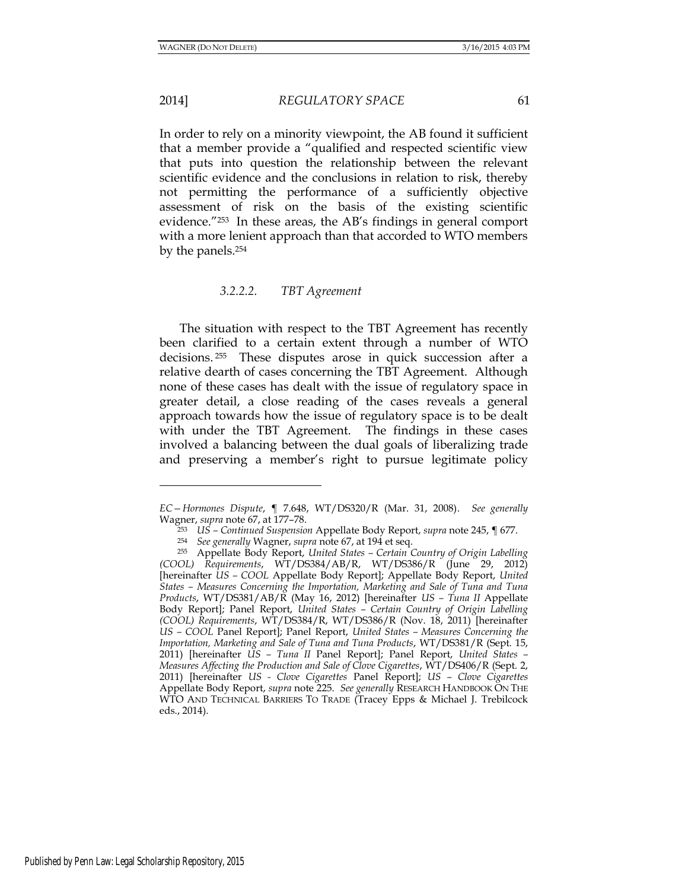l

2014] *REGULATORY SPACE* 61

In order to rely on a minority viewpoint, the AB found it sufficient that a member provide a "qualified and respected scientific view that puts into question the relationship between the relevant scientific evidence and the conclusions in relation to risk, thereby not permitting the performance of a sufficiently objective assessment of risk on the basis of the existing scientific evidence."253 In these areas, the AB's findings in general comport with a more lenient approach than that accorded to WTO members by the panels.<sup>254</sup>

## *3.2.2.2. TBT Agreement*

The situation with respect to the TBT Agreement has recently been clarified to a certain extent through a number of WTO decisions. <sup>255</sup> These disputes arose in quick succession after a relative dearth of cases concerning the TBT Agreement. Although none of these cases has dealt with the issue of regulatory space in greater detail, a close reading of the cases reveals a general approach towards how the issue of regulatory space is to be dealt with under the TBT Agreement. The findings in these cases involved a balancing between the dual goals of liberalizing trade and preserving a member's right to pursue legitimate policy

*EC—Hormones Dispute*, ¶ 7.648, WT/DS320/R (Mar. 31, 2008). *See generally* Wagner, *supra* note 67, at 177–78.

<sup>253</sup> *US – Continued Suspension* Appellate Body Report, *supra* note 245, ¶ 677.

<sup>254</sup> *See generally* Wagner, *supra* note 67, at 194 et seq.

<sup>255</sup> Appellate Body Report, *United States – Certain Country of Origin Labelling (COOL) Requirements*, WT/DS384/AB/R, WT/DS386/R (June 29, 2012) [hereinafter *US – COOL* Appellate Body Report]; Appellate Body Report, *United States – Measures Concerning the Importation, Marketing and Sale of Tuna and Tuna Products*, WT/DS381/AB/R (May 16, 2012) [hereinafter *US – Tuna II* Appellate Body Report]; Panel Report, *United States – Certain Country of Origin Labelling (COOL) Requirements*, WT/DS384/R, WT/DS386/R (Nov. 18, 2011) [hereinafter *US – COOL* Panel Report]; Panel Report, *United States – Measures Concerning the Importation, Marketing and Sale of Tuna and Tuna Products*, WT/DS381/R (Sept. 15, 2011) [hereinafter *US – Tuna II* Panel Report]; Panel Report, *United States – Measures Affecting the Production and Sale of Clove Cigarettes*, WT/DS406/R (Sept. 2, 2011) [hereinafter *US - Clove Cigarettes* Panel Report]; *US – Clove Cigarettes* Appellate Body Report, *supra* note 225. *See generally* RESEARCH HANDBOOK ON THE WTO AND TECHNICAL BARRIERS TO TRADE (Tracey Epps & Michael J. Trebilcock eds., 2014).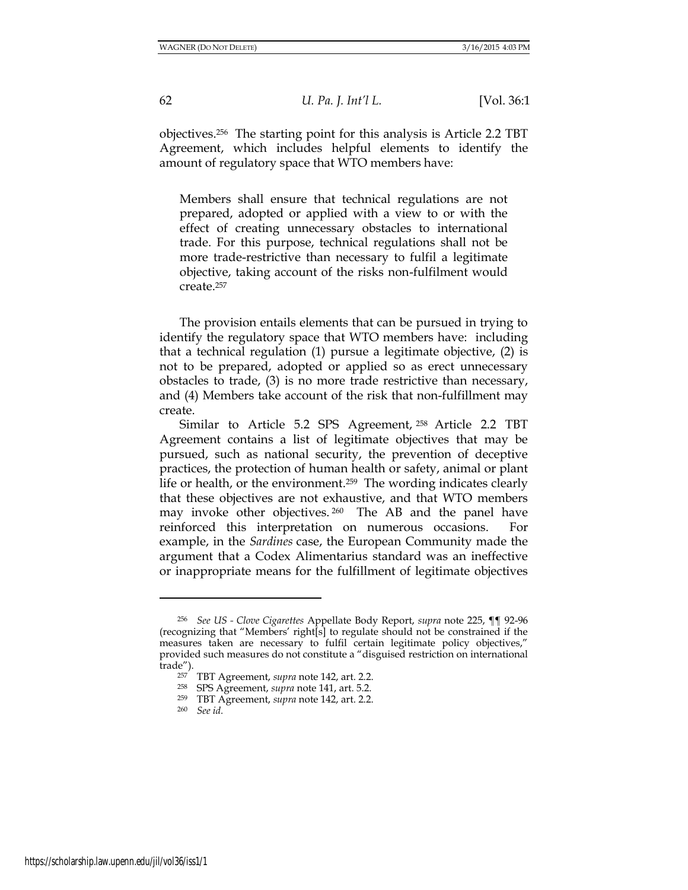objectives.256 The starting point for this analysis is Article 2.2 TBT Agreement, which includes helpful elements to identify the amount of regulatory space that WTO members have:

Members shall ensure that technical regulations are not prepared, adopted or applied with a view to or with the effect of creating unnecessary obstacles to international trade. For this purpose, technical regulations shall not be more trade-restrictive than necessary to fulfil a legitimate objective, taking account of the risks non-fulfilment would create.<sup>257</sup>

The provision entails elements that can be pursued in trying to identify the regulatory space that WTO members have: including that a technical regulation (1) pursue a legitimate objective, (2) is not to be prepared, adopted or applied so as erect unnecessary obstacles to trade, (3) is no more trade restrictive than necessary, and (4) Members take account of the risk that non-fulfillment may create.

Similar to Article 5.2 SPS Agreement, <sup>258</sup> Article 2.2 TBT Agreement contains a list of legitimate objectives that may be pursued, such as national security, the prevention of deceptive practices, the protection of human health or safety, animal or plant life or health, or the environment.259 The wording indicates clearly that these objectives are not exhaustive, and that WTO members may invoke other objectives. <sup>260</sup> The AB and the panel have reinforced this interpretation on numerous occasions. For example, in the *Sardines* case, the European Community made the argument that a Codex Alimentarius standard was an ineffective or inappropriate means for the fulfillment of legitimate objectives

<sup>256</sup> *See US - Clove Cigarettes* Appellate Body Report, *supra* note 225, ¶¶ 92-96 (recognizing that "Members' right[s] to regulate should not be constrained if the measures taken are necessary to fulfil certain legitimate policy objectives," provided such measures do not constitute a "disguised restriction on international trade").

<sup>257</sup> TBT Agreement, *supra* note 142, art. 2.2.

<sup>258</sup> SPS Agreement, *supra* note 141, art. 5.2.

<sup>259</sup> TBT Agreement, *supra* note 142, art. 2.2.

<sup>260</sup> *See id.*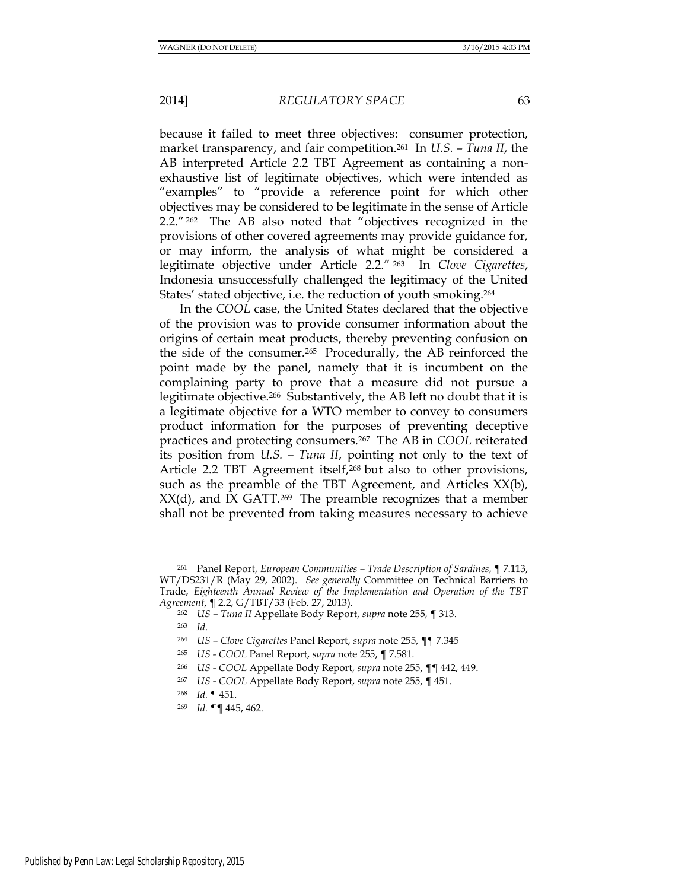because it failed to meet three objectives: consumer protection, market transparency, and fair competition.261 In *U.S. – Tuna II*, the AB interpreted Article 2.2 TBT Agreement as containing a nonexhaustive list of legitimate objectives, which were intended as "examples" to "provide a reference point for which other objectives may be considered to be legitimate in the sense of Article 2.2." <sup>262</sup> The AB also noted that "objectives recognized in the provisions of other covered agreements may provide guidance for, or may inform, the analysis of what might be considered a legitimate objective under Article 2.2." <sup>263</sup> In *Clove Cigarettes*, Indonesia unsuccessfully challenged the legitimacy of the United States' stated objective, i.e. the reduction of youth smoking.<sup>264</sup>

In the *COOL* case, the United States declared that the objective of the provision was to provide consumer information about the origins of certain meat products, thereby preventing confusion on the side of the consumer.265 Procedurally, the AB reinforced the point made by the panel, namely that it is incumbent on the complaining party to prove that a measure did not pursue a legitimate objective.266 Substantively, the AB left no doubt that it is a legitimate objective for a WTO member to convey to consumers product information for the purposes of preventing deceptive practices and protecting consumers.267 The AB in *COOL* reiterated its position from *U.S. – Tuna II*, pointing not only to the text of Article 2.2 TBT Agreement itself,<sup>268</sup> but also to other provisions, such as the preamble of the TBT Agreement, and Articles XX(b),  $XX(d)$ , and IX GATT.<sup>269</sup> The preamble recognizes that a member shall not be prevented from taking measures necessary to achieve

<sup>261</sup> Panel Report, *European Communities – Trade Description of Sardines*, ¶ 7.113, WT/DS231/R (May 29, 2002). *See generally* Committee on Technical Barriers to Trade, *Eighteenth Annual Review of the Implementation and Operation of the TBT Agreement*, ¶ 2.2, G/TBT/33 (Feb. 27, 2013).

<sup>262</sup> *US – Tuna II* Appellate Body Report, *supra* note 255, ¶ 313.

<sup>263</sup> *Id*.

<sup>264</sup> *US – Clove Cigarettes* Panel Report, *supra* note 255, ¶¶ 7.345

<sup>265</sup> *US - COOL* Panel Report, *supra* note 255, ¶ 7.581.

<sup>266</sup> *US - COOL* Appellate Body Report, *supra* note 255, ¶¶ 442, 449.

<sup>267</sup> *US - COOL* Appellate Body Report, *supra* note 255, ¶ 451.

<sup>268</sup> *Id.* ¶ 451.

<sup>269</sup> *Id.* ¶¶ 445, 462.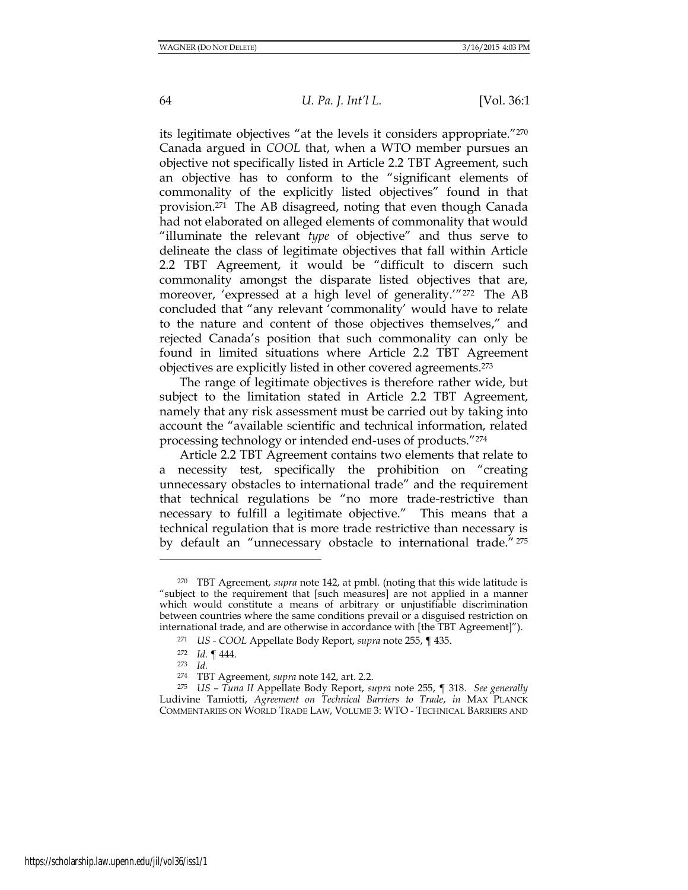its legitimate objectives "at the levels it considers appropriate."<sup>270</sup> Canada argued in *COOL* that, when a WTO member pursues an objective not specifically listed in Article 2.2 TBT Agreement, such an objective has to conform to the "significant elements of commonality of the explicitly listed objectives" found in that provision.271 The AB disagreed, noting that even though Canada had not elaborated on alleged elements of commonality that would "illuminate the relevant *type* of objective" and thus serve to delineate the class of legitimate objectives that fall within Article 2.2 TBT Agreement, it would be "difficult to discern such commonality amongst the disparate listed objectives that are, moreover, 'expressed at a high level of generality.'"272 The AB concluded that "any relevant 'commonality' would have to relate to the nature and content of those objectives themselves," and rejected Canada's position that such commonality can only be found in limited situations where Article 2.2 TBT Agreement objectives are explicitly listed in other covered agreements.<sup>273</sup>

The range of legitimate objectives is therefore rather wide, but subject to the limitation stated in Article 2.2 TBT Agreement, namely that any risk assessment must be carried out by taking into account the "available scientific and technical information, related processing technology or intended end-uses of products."<sup>274</sup>

Article 2.2 TBT Agreement contains two elements that relate to a necessity test, specifically the prohibition on "creating unnecessary obstacles to international trade" and the requirement that technical regulations be "no more trade-restrictive than necessary to fulfill a legitimate objective." This means that a technical regulation that is more trade restrictive than necessary is by default an "unnecessary obstacle to international trade." <sup>275</sup>

<sup>270</sup> TBT Agreement, *supra* note 142, at pmbl. (noting that this wide latitude is "subject to the requirement that [such measures] are not applied in a manner which would constitute a means of arbitrary or unjustifiable discrimination between countries where the same conditions prevail or a disguised restriction on international trade, and are otherwise in accordance with [the TBT Agreement]").

<sup>271</sup> *US - COOL* Appellate Body Report, *supra* note 255, ¶ 435.

<sup>272</sup> *Id.* ¶ 444.

<sup>273</sup> *Id.* 

<sup>274</sup> TBT Agreement, *supra* note 142, art. 2.2.

<sup>275</sup> *US – Tuna II* Appellate Body Report, *supra* note 255, ¶ 318. *See generally* Ludivine Tamiotti, *Agreement on Technical Barriers to Trade*, *in* MAX PLANCK COMMENTARIES ON WORLD TRADE LAW, VOLUME 3: WTO - TECHNICAL BARRIERS AND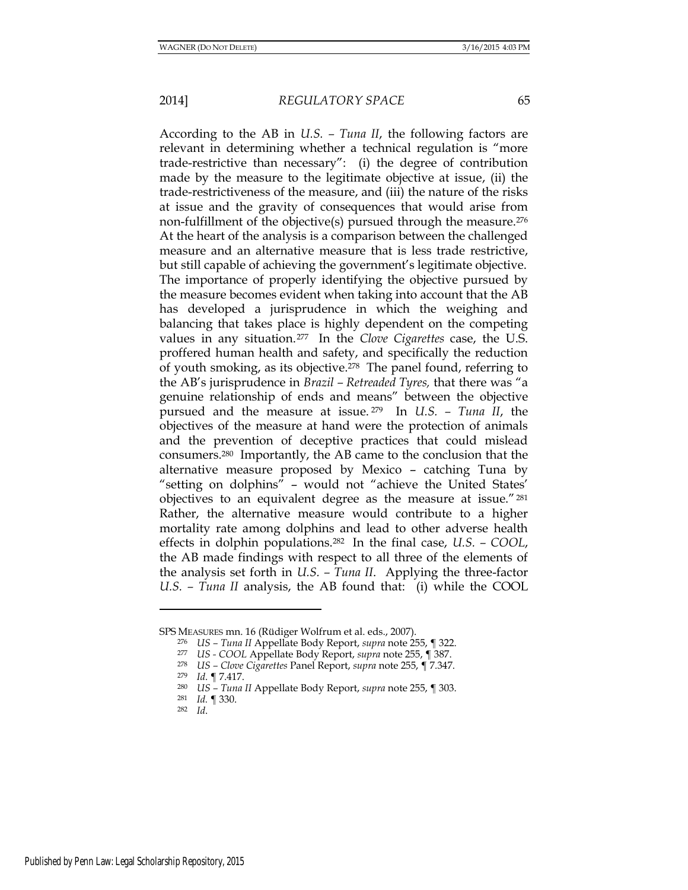According to the AB in *U.S. – Tuna II*, the following factors are relevant in determining whether a technical regulation is "more trade-restrictive than necessary": (i) the degree of contribution made by the measure to the legitimate objective at issue, (ii) the trade-restrictiveness of the measure, and (iii) the nature of the risks at issue and the gravity of consequences that would arise from non-fulfillment of the objective(s) pursued through the measure.<sup>276</sup> At the heart of the analysis is a comparison between the challenged measure and an alternative measure that is less trade restrictive, but still capable of achieving the government's legitimate objective. The importance of properly identifying the objective pursued by the measure becomes evident when taking into account that the AB has developed a jurisprudence in which the weighing and balancing that takes place is highly dependent on the competing values in any situation.277 In the *Clove Cigarettes* case, the U.S. proffered human health and safety, and specifically the reduction of youth smoking, as its objective.278 The panel found, referring to the AB's jurisprudence in *Brazil – Retreaded Tyres,* that there was "a genuine relationship of ends and means" between the objective pursued and the measure at issue. <sup>279</sup> In *U.S. – Tuna II*, the objectives of the measure at hand were the protection of animals and the prevention of deceptive practices that could mislead consumers.280 Importantly, the AB came to the conclusion that the alternative measure proposed by Mexico – catching Tuna by "setting on dolphins" – would not "achieve the United States' objectives to an equivalent degree as the measure at issue."<sup>281</sup> Rather, the alternative measure would contribute to a higher mortality rate among dolphins and lead to other adverse health effects in dolphin populations.282 In the final case, *U.S. – COOL*, the AB made findings with respect to all three of the elements of the analysis set forth in *U.S. – Tuna II*. Applying the three-factor *U.S. – Tuna II* analysis, the AB found that: (i) while the COOL

SPS MEASURES mn. 16 (Rüdiger Wolfrum et al. eds., 2007).

<sup>276</sup> *US – Tuna II* Appellate Body Report, *supra* note 255, ¶ 322.

<sup>277</sup> *US - COOL* Appellate Body Report, *supra* note 255, ¶ 387.

<sup>278</sup> *US – Clove Cigarettes* Panel Report, *supra* note 255, ¶ 7.347.

<sup>279</sup> *Id*. ¶ 7.417.

<sup>280</sup> *US – Tuna II* Appellate Body Report, *supra* note 255, ¶ 303.

<sup>281</sup> *Id.* ¶ 330.

<sup>282</sup> *Id*.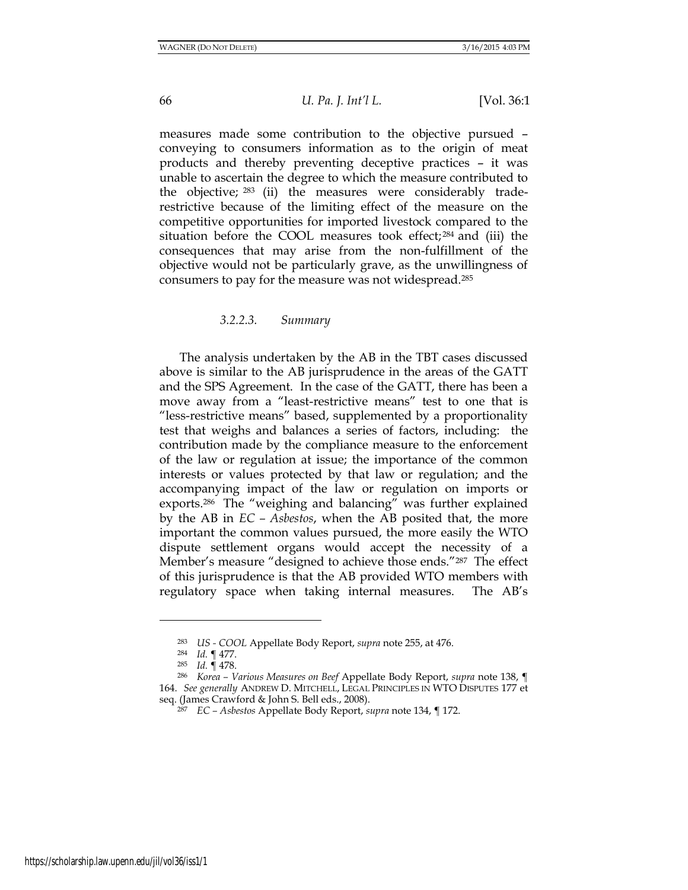measures made some contribution to the objective pursued – conveying to consumers information as to the origin of meat products and thereby preventing deceptive practices – it was unable to ascertain the degree to which the measure contributed to the objective; <sup>283</sup> (ii) the measures were considerably traderestrictive because of the limiting effect of the measure on the competitive opportunities for imported livestock compared to the situation before the COOL measures took effect; <sup>284</sup> and (iii) the consequences that may arise from the non-fulfillment of the objective would not be particularly grave, as the unwillingness of consumers to pay for the measure was not widespread.<sup>285</sup>

## *3.2.2.3. Summary*

The analysis undertaken by the AB in the TBT cases discussed above is similar to the AB jurisprudence in the areas of the GATT and the SPS Agreement. In the case of the GATT, there has been a move away from a "least-restrictive means" test to one that is "less-restrictive means" based, supplemented by a proportionality test that weighs and balances a series of factors, including: the contribution made by the compliance measure to the enforcement of the law or regulation at issue; the importance of the common interests or values protected by that law or regulation; and the accompanying impact of the law or regulation on imports or exports.<sup>286</sup> The "weighing and balancing" was further explained by the AB in *EC – Asbestos*, when the AB posited that, the more important the common values pursued, the more easily the WTO dispute settlement organs would accept the necessity of a Member's measure "designed to achieve those ends."287 The effect of this jurisprudence is that the AB provided WTO members with regulatory space when taking internal measures. The AB's

<sup>283</sup> *US - COOL* Appellate Body Report, *supra* note 255, at 476.

<sup>284</sup> *Id.* ¶ 477.

<sup>285</sup> *Id.* ¶ 478.

<sup>286</sup> *Korea – Various Measures on Beef* Appellate Body Report, *supra* note 138, ¶ 164. *See generally* ANDREW D. MITCHELL, LEGAL PRINCIPLES IN WTO DISPUTES 177 et seq. (James Crawford & John S. Bell eds., 2008).

<sup>287</sup> *EC – Asbestos* Appellate Body Report, *supra* note 134, ¶ 172.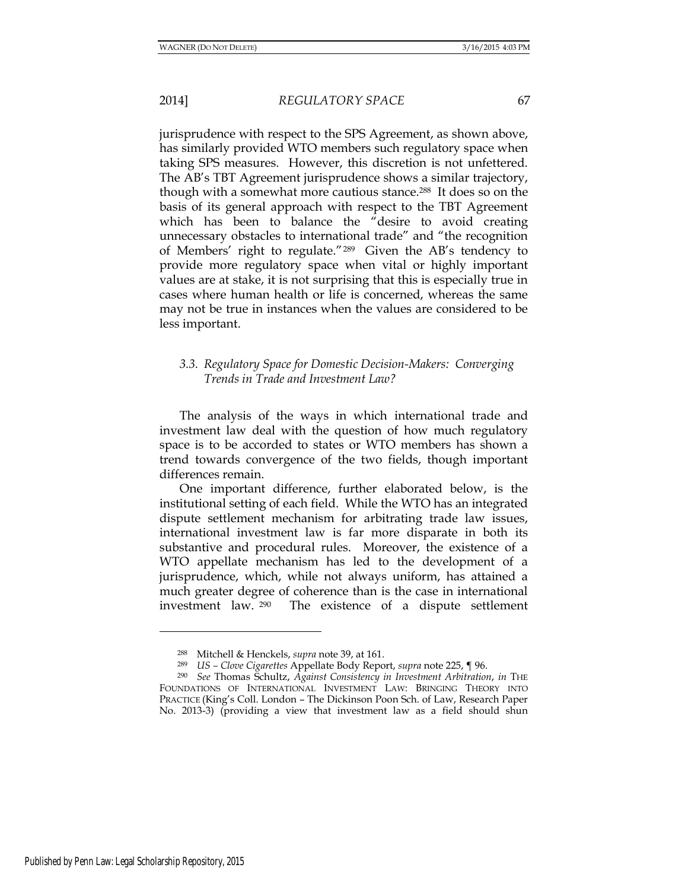jurisprudence with respect to the SPS Agreement, as shown above, has similarly provided WTO members such regulatory space when taking SPS measures. However, this discretion is not unfettered. The AB's TBT Agreement jurisprudence shows a similar trajectory, though with a somewhat more cautious stance.288 It does so on the basis of its general approach with respect to the TBT Agreement which has been to balance the "desire to avoid creating unnecessary obstacles to international trade" and "the recognition of Members' right to regulate."<sup>289</sup> Given the AB's tendency to provide more regulatory space when vital or highly important values are at stake, it is not surprising that this is especially true in cases where human health or life is concerned, whereas the same may not be true in instances when the values are considered to be less important.

## *3.3. Regulatory Space for Domestic Decision-Makers: Converging Trends in Trade and Investment Law?*

 The analysis of the ways in which international trade and investment law deal with the question of how much regulatory space is to be accorded to states or WTO members has shown a trend towards convergence of the two fields, though important differences remain.

One important difference, further elaborated below, is the institutional setting of each field. While the WTO has an integrated dispute settlement mechanism for arbitrating trade law issues, international investment law is far more disparate in both its substantive and procedural rules. Moreover, the existence of a WTO appellate mechanism has led to the development of a jurisprudence, which, while not always uniform, has attained a much greater degree of coherence than is the case in international investment law. <sup>290</sup> The existence of a dispute settlement

<sup>288</sup> Mitchell & Henckels, *supra* note 39, at 161.

<sup>289</sup> *US – Clove Cigarettes* Appellate Body Report, *supra* note 225, ¶ 96.

<sup>290</sup> *See* Thomas Schultz, *Against Consistency in Investment Arbitration*, *in* THE FOUNDATIONS OF INTERNATIONAL INVESTMENT LAW: BRINGING THEORY INTO PRACTICE (King's Coll. London – The Dickinson Poon Sch. of Law, Research Paper No. 2013-3) (providing a view that investment law as a field should shun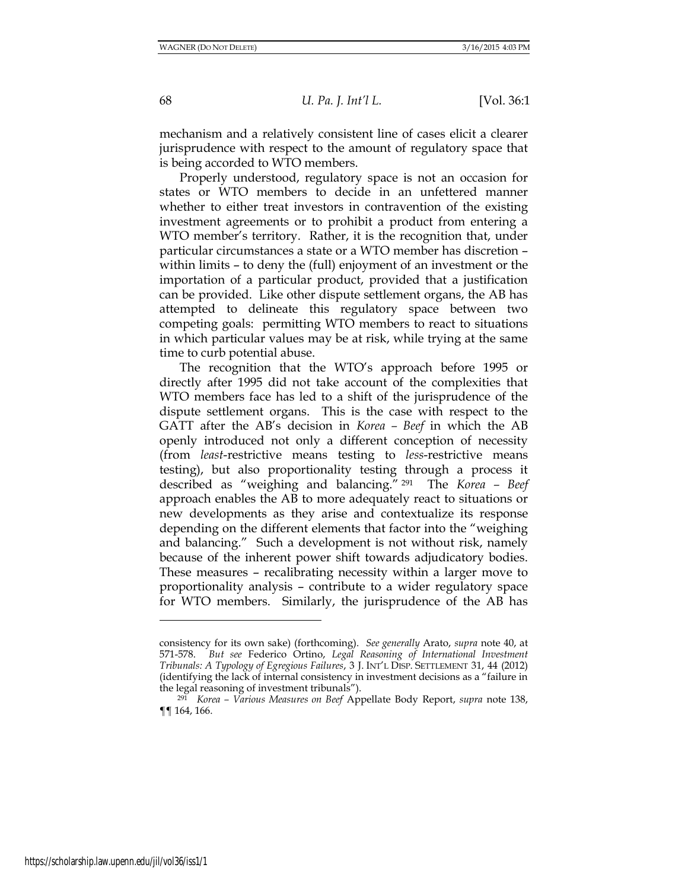mechanism and a relatively consistent line of cases elicit a clearer jurisprudence with respect to the amount of regulatory space that is being accorded to WTO members.

Properly understood, regulatory space is not an occasion for states or WTO members to decide in an unfettered manner whether to either treat investors in contravention of the existing investment agreements or to prohibit a product from entering a WTO member's territory. Rather, it is the recognition that, under particular circumstances a state or a WTO member has discretion – within limits – to deny the (full) enjoyment of an investment or the importation of a particular product, provided that a justification can be provided. Like other dispute settlement organs, the AB has attempted to delineate this regulatory space between two competing goals: permitting WTO members to react to situations in which particular values may be at risk, while trying at the same time to curb potential abuse.

The recognition that the WTO's approach before 1995 or directly after 1995 did not take account of the complexities that WTO members face has led to a shift of the jurisprudence of the dispute settlement organs. This is the case with respect to the GATT after the AB's decision in *Korea – Beef* in which the AB openly introduced not only a different conception of necessity (from *least*-restrictive means testing to *less*-restrictive means testing), but also proportionality testing through a process it described as "weighing and balancing." <sup>291</sup> The *Korea – Beef* approach enables the AB to more adequately react to situations or new developments as they arise and contextualize its response depending on the different elements that factor into the "weighing and balancing." Such a development is not without risk, namely because of the inherent power shift towards adjudicatory bodies. These measures – recalibrating necessity within a larger move to proportionality analysis – contribute to a wider regulatory space for WTO members. Similarly, the jurisprudence of the AB has

consistency for its own sake) (forthcoming). *See generally* Arato, *supra* note 40, at 571-578. *But see* Federico Ortino, *Legal Reasoning of International Investment Tribunals: A Typology of Egregious Failures*, 3 J. INT'L DISP. SETTLEMENT 31, 44 (2012) (identifying the lack of internal consistency in investment decisions as a "failure in the legal reasoning of investment tribunals").

<sup>291</sup> *Korea – Various Measures on Beef* Appellate Body Report, *supra* note 138, ¶¶ 164, 166.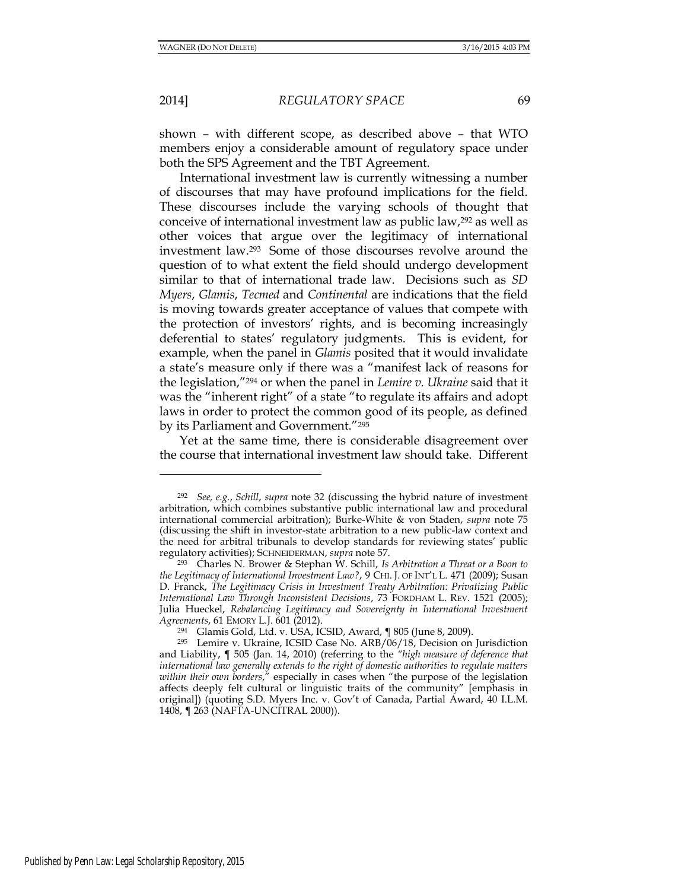2014] *REGULATORY SPACE* 69

shown – with different scope, as described above – that WTO members enjoy a considerable amount of regulatory space under both the SPS Agreement and the TBT Agreement.

International investment law is currently witnessing a number of discourses that may have profound implications for the field. These discourses include the varying schools of thought that conceive of international investment law as public law,<sup>292</sup> as well as other voices that argue over the legitimacy of international investment law.293 Some of those discourses revolve around the question of to what extent the field should undergo development similar to that of international trade law. Decisions such as *SD Myers*, *Glamis*, *Tecmed* and *Continental* are indications that the field is moving towards greater acceptance of values that compete with the protection of investors' rights, and is becoming increasingly deferential to states' regulatory judgments. This is evident, for example, when the panel in *Glamis* posited that it would invalidate a state's measure only if there was a "manifest lack of reasons for the legislation,"<sup>294</sup> or when the panel in *Lemire v. Ukraine* said that it was the "inherent right" of a state "to regulate its affairs and adopt laws in order to protect the common good of its people, as defined by its Parliament and Government."<sup>295</sup>

Yet at the same time, there is considerable disagreement over the course that international investment law should take. Different

<sup>292</sup> *See, e.g.*, *Schill*, *supra* note 32 (discussing the hybrid nature of investment arbitration, which combines substantive public international law and procedural international commercial arbitration); Burke-White & von Staden, *supra* note 75 (discussing the shift in investor-state arbitration to a new public-law context and the need for arbitral tribunals to develop standards for reviewing states' public regulatory activities); SCHNEIDERMAN, *supra* note 57.

<sup>293</sup> Charles N. Brower & Stephan W. Schill, *Is Arbitration a Threat or a Boon to the Legitimacy of International Investment Law?*, 9 CHI. J. OF INT'L L. 471 (2009); Susan D. Franck, *The Legitimacy Crisis in Investment Treaty Arbitration: Privatizing Public International Law Through Inconsistent Decisions*, 73 FORDHAM L. REV. 1521 (2005); Julia Hueckel, *Rebalancing Legitimacy and Sovereignty in International Investment Agreements*, 61 EMORY L.J. 601 (2012).

<sup>294</sup> Glamis Gold, Ltd. v. USA, ICSID, Award, ¶ 805 (June 8, 2009).

<sup>295</sup> Lemire v. Ukraine, ICSID Case No. ARB/06/18, Decision on Jurisdiction and Liability, ¶ 505 (Jan. 14, 2010) (referring to the *"high measure of deference that international law generally extends to the right of domestic authorities to regulate matters within their own borders*," especially in cases when "the purpose of the legislation affects deeply felt cultural or linguistic traits of the community" [emphasis in original]) (quoting S.D. Myers Inc. v. Gov't of Canada, Partial Award, 40 I.L.M. 1408, ¶ 263 (NAFTA-UNCITRAL 2000)).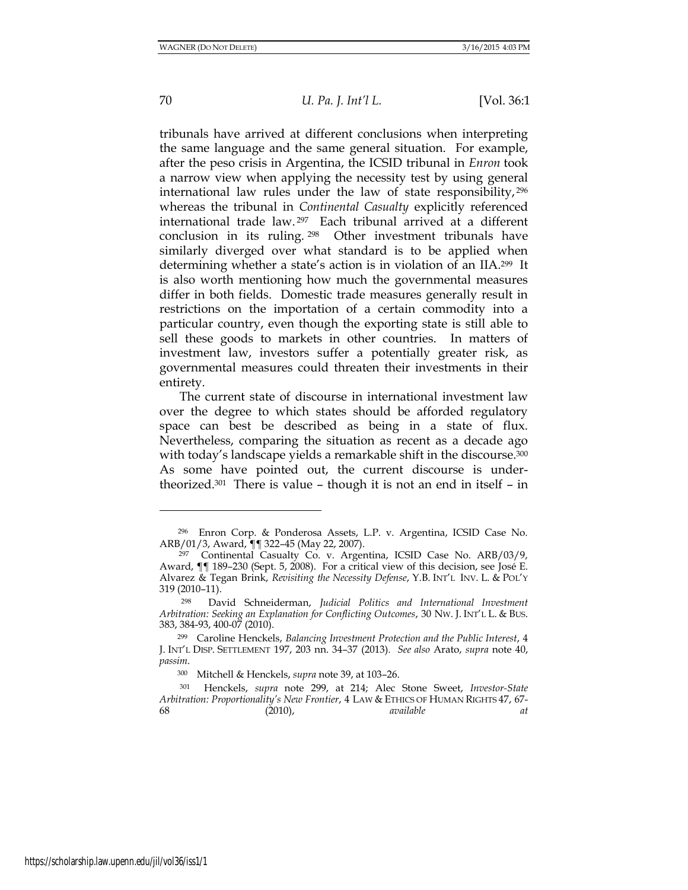## 70 *U. Pa. J. Int'l L.* [Vol. 36:1

tribunals have arrived at different conclusions when interpreting the same language and the same general situation. For example, after the peso crisis in Argentina, the ICSID tribunal in *Enron* took a narrow view when applying the necessity test by using general international law rules under the law of state responsibility, <sup>296</sup> whereas the tribunal in *Continental Casualty* explicitly referenced international trade law. <sup>297</sup> Each tribunal arrived at a different conclusion in its ruling. <sup>298</sup> Other investment tribunals have similarly diverged over what standard is to be applied when determining whether a state's action is in violation of an IIA.299 It is also worth mentioning how much the governmental measures differ in both fields. Domestic trade measures generally result in restrictions on the importation of a certain commodity into a particular country, even though the exporting state is still able to sell these goods to markets in other countries. In matters of investment law, investors suffer a potentially greater risk, as governmental measures could threaten their investments in their entirety.

The current state of discourse in international investment law over the degree to which states should be afforded regulatory space can best be described as being in a state of flux. Nevertheless, comparing the situation as recent as a decade ago with today's landscape yields a remarkable shift in the discourse.<sup>300</sup> As some have pointed out, the current discourse is undertheorized.301 There is value – though it is not an end in itself – in

<sup>296</sup> Enron Corp. & Ponderosa Assets, L.P. v. Argentina, ICSID Case No. ARB/01/3, Award, ¶¶ 322–45 (May 22, 2007).

<sup>297</sup> Continental Casualty Co. v. Argentina, ICSID Case No. ARB/03/9, Award, ¶¶ 189–230 (Sept. 5, 2008). For a critical view of this decision, see José E. Alvarez & Tegan Brink, *Revisiting the Necessity Defense*, Y.B. INT'L INV. L. & POL'Y 319 (2010–11).

<sup>298</sup> David Schneiderman, *Judicial Politics and International Investment Arbitration: Seeking an Explanation for Conflicting Outcomes*, 30 NW. J. INT'L L. & BUS. 383, 384-93, 400-07 (2010).

<sup>299</sup> Caroline Henckels, *Balancing Investment Protection and the Public Interest*, 4 J. INT'L DISP. SETTLEMENT 197, 203 nn. 34–37 (2013)*. See also* Arato, *supra* note 40, *passim*.

<sup>300</sup> Mitchell & Henckels, *supra* note 39, at 103–26.

<sup>301</sup> Henckels, *supra* note 299, at 214; Alec Stone Sweet, *Investor-State Arbitration: Proportionality's New Frontier*, 4 LAW & ETHICS OF HUMAN RIGHTS 47, 67- 68 (2010), *available at*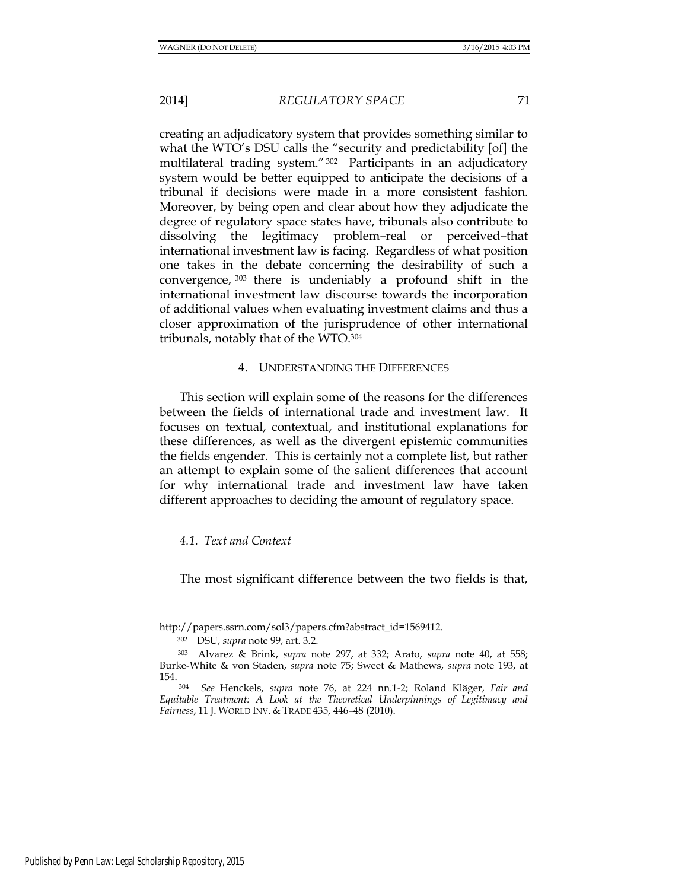creating an adjudicatory system that provides something similar to what the WTO's DSU calls the "security and predictability [of] the multilateral trading system."302 Participants in an adjudicatory system would be better equipped to anticipate the decisions of a tribunal if decisions were made in a more consistent fashion. Moreover, by being open and clear about how they adjudicate the degree of regulatory space states have, tribunals also contribute to dissolving the legitimacy problem–real or perceived–that international investment law is facing. Regardless of what position one takes in the debate concerning the desirability of such a convergence, <sup>303</sup> there is undeniably a profound shift in the international investment law discourse towards the incorporation of additional values when evaluating investment claims and thus a closer approximation of the jurisprudence of other international tribunals, notably that of the WTO.<sup>304</sup>

## 4. UNDERSTANDING THE DIFFERENCES

This section will explain some of the reasons for the differences between the fields of international trade and investment law. It focuses on textual, contextual, and institutional explanations for these differences, as well as the divergent epistemic communities the fields engender. This is certainly not a complete list, but rather an attempt to explain some of the salient differences that account for why international trade and investment law have taken different approaches to deciding the amount of regulatory space.

#### *4.1. Text and Context*

The most significant difference between the two fields is that,

http://papers.ssrn.com/sol3/papers.cfm?abstract\_id=1569412.

<sup>302</sup> DSU, *supra* note 99, art. 3.2.

<sup>303</sup> Alvarez & Brink, *supra* note 297, at 332; Arato, *supra* note 40, at 558; Burke-White & von Staden, *supra* note 75; Sweet & Mathews, *supra* note 193, at 154.

<sup>304</sup> *See* Henckels, *supra* note 76, at 224 nn.1-2; Roland Kläger, *Fair and Equitable Treatment: A Look at the Theoretical Underpinnings of Legitimacy and Fairness*, 11 J. WORLD INV. & TRADE 435, 446–48 (2010).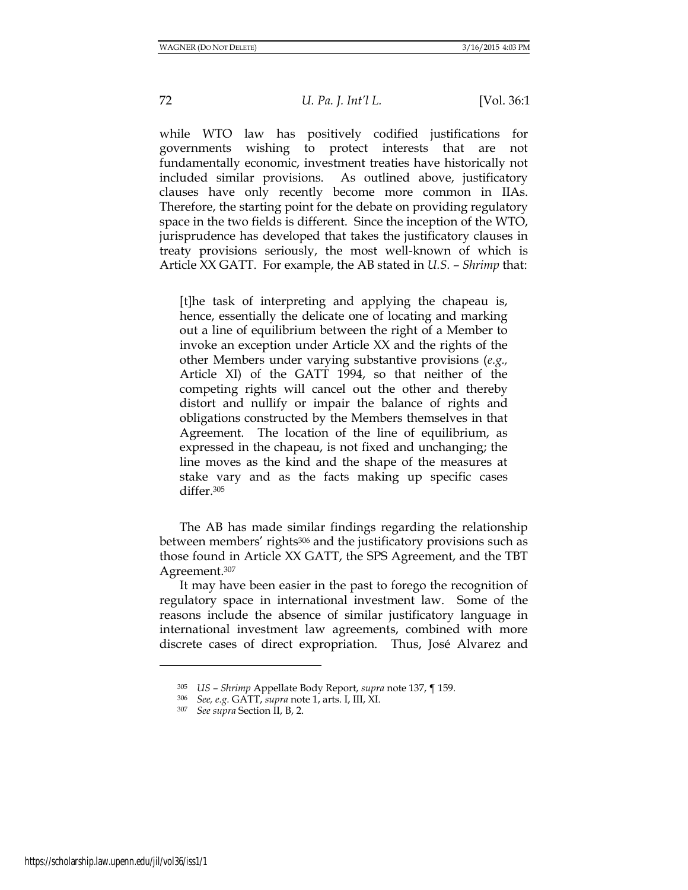while WTO law has positively codified justifications for governments wishing to protect interests that are not fundamentally economic, investment treaties have historically not included similar provisions. As outlined above, justificatory clauses have only recently become more common in IIAs. Therefore, the starting point for the debate on providing regulatory space in the two fields is different. Since the inception of the WTO, jurisprudence has developed that takes the justificatory clauses in treaty provisions seriously, the most well-known of which is Article XX GATT. For example, the AB stated in *U.S. – Shrimp* that:

[t]he task of interpreting and applying the chapeau is, hence, essentially the delicate one of locating and marking out a line of equilibrium between the right of a Member to invoke an exception under Article XX and the rights of the other Members under varying substantive provisions (*e.g.,* Article XI) of the GATT 1994, so that neither of the competing rights will cancel out the other and thereby distort and nullify or impair the balance of rights and obligations constructed by the Members themselves in that Agreement. The location of the line of equilibrium, as expressed in the chapeau, is not fixed and unchanging; the line moves as the kind and the shape of the measures at stake vary and as the facts making up specific cases differ.<sup>305</sup>

The AB has made similar findings regarding the relationship between members' rights<sup>306</sup> and the justificatory provisions such as those found in Article XX GATT, the SPS Agreement, and the TBT Agreement.<sup>307</sup>

It may have been easier in the past to forego the recognition of regulatory space in international investment law. Some of the reasons include the absence of similar justificatory language in international investment law agreements, combined with more discrete cases of direct expropriation. Thus, José Alvarez and

https://scholarship.law.upenn.edu/jil/vol36/iss1/1

<sup>305</sup> *US – Shrimp* Appellate Body Report, *supra* note 137, ¶ 159.

<sup>306</sup> *See, e.g.* GATT, *supra* note 1, arts. I, III, XI.

<sup>307</sup> *See supra* Section II, B, 2.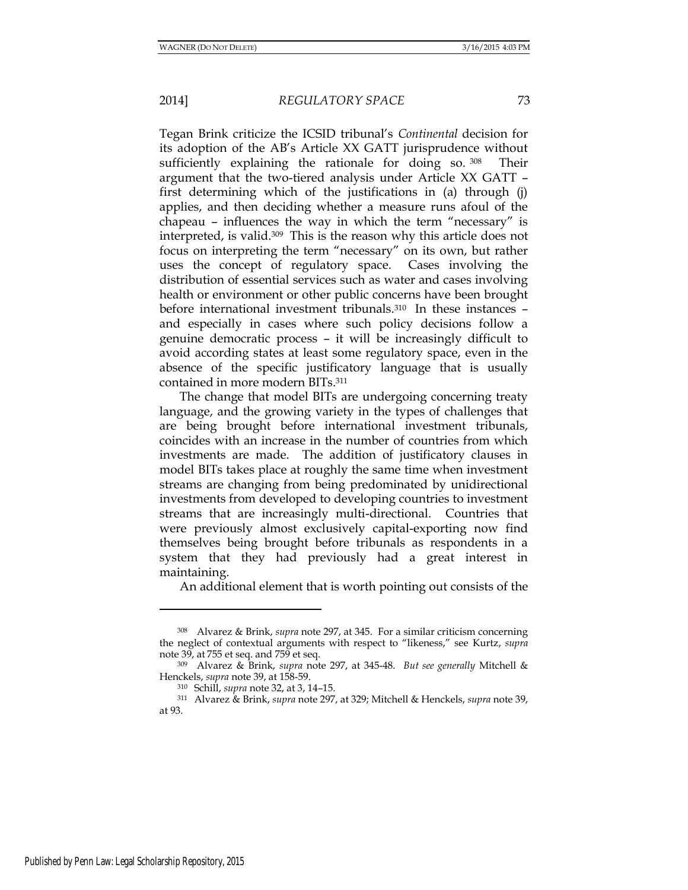Tegan Brink criticize the ICSID tribunal's *Continental* decision for its adoption of the AB's Article XX GATT jurisprudence without sufficiently explaining the rationale for doing so. 308 Their argument that the two-tiered analysis under Article XX GATT – first determining which of the justifications in (a) through (j) applies, and then deciding whether a measure runs afoul of the chapeau – influences the way in which the term "necessary" is interpreted, is valid.309 This is the reason why this article does not focus on interpreting the term "necessary" on its own, but rather uses the concept of regulatory space. Cases involving the distribution of essential services such as water and cases involving health or environment or other public concerns have been brought before international investment tribunals.310 In these instances – and especially in cases where such policy decisions follow a genuine democratic process – it will be increasingly difficult to avoid according states at least some regulatory space, even in the absence of the specific justificatory language that is usually contained in more modern BITs.<sup>311</sup>

The change that model BITs are undergoing concerning treaty language, and the growing variety in the types of challenges that are being brought before international investment tribunals, coincides with an increase in the number of countries from which investments are made. The addition of justificatory clauses in model BITs takes place at roughly the same time when investment streams are changing from being predominated by unidirectional investments from developed to developing countries to investment streams that are increasingly multi-directional. Countries that were previously almost exclusively capital-exporting now find themselves being brought before tribunals as respondents in a system that they had previously had a great interest in maintaining.

An additional element that is worth pointing out consists of the

<sup>308</sup> Alvarez & Brink, *supra* note 297, at 345. For a similar criticism concerning the neglect of contextual arguments with respect to "likeness," see Kurtz, *supra* note 39, at 755 et seq. and 759 et seq.

<sup>309</sup> Alvarez & Brink, *supra* note 297, at 345-48. *But see generally* Mitchell & Henckels, *supra* note 39, at 158-59.

<sup>310</sup> Schill, *supra* note 32, at 3, 14–15.

<sup>311</sup> Alvarez & Brink, *supra* note 297, at 329; Mitchell & Henckels, *supra* note 39, at 93.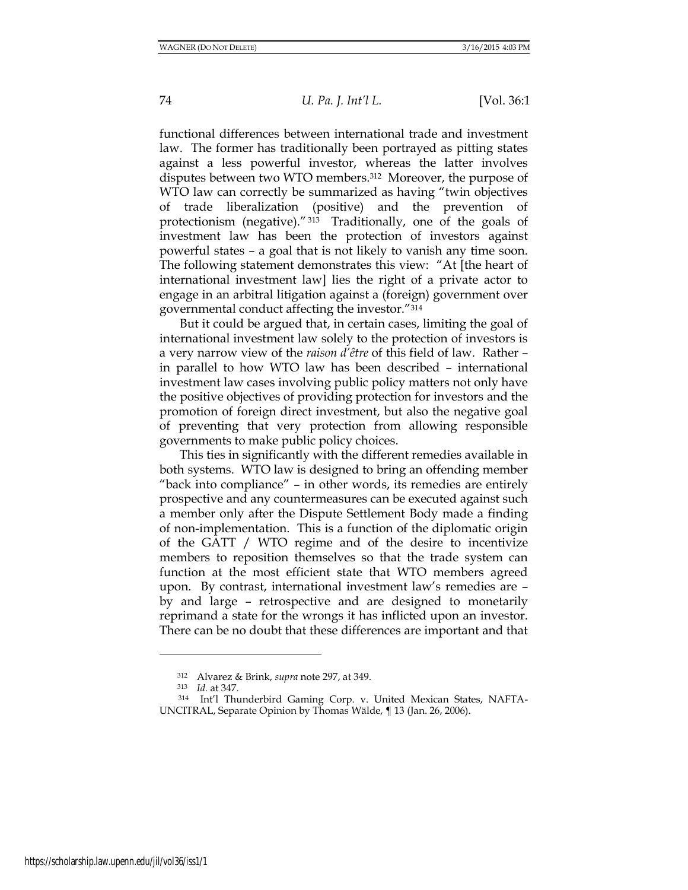functional differences between international trade and investment law. The former has traditionally been portrayed as pitting states against a less powerful investor, whereas the latter involves disputes between two WTO members.312 Moreover, the purpose of WTO law can correctly be summarized as having "twin objectives of trade liberalization (positive) and the prevention of protectionism (negative)." <sup>313</sup> Traditionally, one of the goals of investment law has been the protection of investors against powerful states – a goal that is not likely to vanish any time soon. The following statement demonstrates this view: "At [the heart of international investment law] lies the right of a private actor to engage in an arbitral litigation against a (foreign) government over governmental conduct affecting the investor."<sup>314</sup>

But it could be argued that, in certain cases, limiting the goal of international investment law solely to the protection of investors is a very narrow view of the *raison d'être* of this field of law*.* Rather – in parallel to how WTO law has been described – international investment law cases involving public policy matters not only have the positive objectives of providing protection for investors and the promotion of foreign direct investment, but also the negative goal of preventing that very protection from allowing responsible governments to make public policy choices.

This ties in significantly with the different remedies available in both systems. WTO law is designed to bring an offending member "back into compliance" – in other words, its remedies are entirely prospective and any countermeasures can be executed against such a member only after the Dispute Settlement Body made a finding of non-implementation. This is a function of the diplomatic origin of the GATT / WTO regime and of the desire to incentivize members to reposition themselves so that the trade system can function at the most efficient state that WTO members agreed upon. By contrast, international investment law's remedies are – by and large – retrospective and are designed to monetarily reprimand a state for the wrongs it has inflicted upon an investor. There can be no doubt that these differences are important and that

l

<sup>312</sup> Alvarez & Brink, *supra* note 297, at 349.

<sup>313</sup> *Id.* at 347.

<sup>314</sup> Int'l Thunderbird Gaming Corp. v. United Mexican States, NAFTA-UNCITRAL, Separate Opinion by Thomas Wälde, ¶ 13 (Jan. 26, 2006).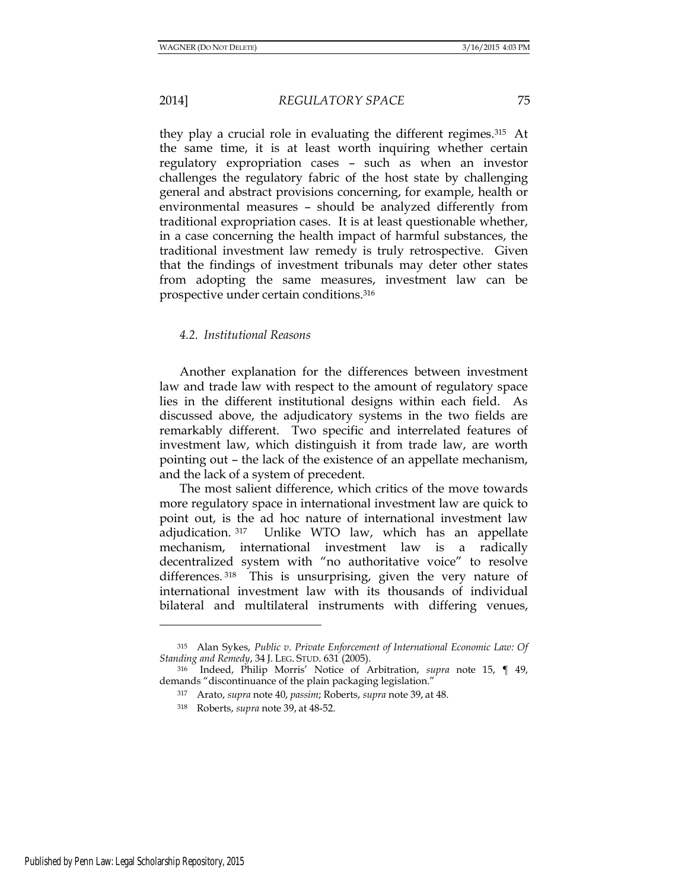they play a crucial role in evaluating the different regimes.315 At the same time, it is at least worth inquiring whether certain regulatory expropriation cases – such as when an investor challenges the regulatory fabric of the host state by challenging general and abstract provisions concerning, for example, health or environmental measures – should be analyzed differently from traditional expropriation cases. It is at least questionable whether, in a case concerning the health impact of harmful substances, the traditional investment law remedy is truly retrospective. Given that the findings of investment tribunals may deter other states from adopting the same measures, investment law can be prospective under certain conditions.<sup>316</sup>

## *4.2. Institutional Reasons*

Another explanation for the differences between investment law and trade law with respect to the amount of regulatory space lies in the different institutional designs within each field. As discussed above, the adjudicatory systems in the two fields are remarkably different. Two specific and interrelated features of investment law, which distinguish it from trade law, are worth pointing out – the lack of the existence of an appellate mechanism, and the lack of a system of precedent.

The most salient difference, which critics of the move towards more regulatory space in international investment law are quick to point out, is the ad hoc nature of international investment law adjudication. <sup>317</sup> Unlike WTO law, which has an appellate mechanism, international investment law is a radically decentralized system with "no authoritative voice" to resolve differences.<sup>318</sup> This is unsurprising, given the very nature of international investment law with its thousands of individual bilateral and multilateral instruments with differing venues,

<sup>315</sup> Alan Sykes, *Public v. Private Enforcement of International Economic Law: Of Standing and Remedy*, 34 J. LEG. STUD. 631 (2005).

<sup>316</sup> Indeed, Philip Morris' Notice of Arbitration, *supra* note 15, ¶ 49, demands "discontinuance of the plain packaging legislation."

<sup>317</sup> Arato, *supra* note 40, *passim*; Roberts, *supra* note 39, at 48.

<sup>318</sup> Roberts, *supra* note 39, at 48-52.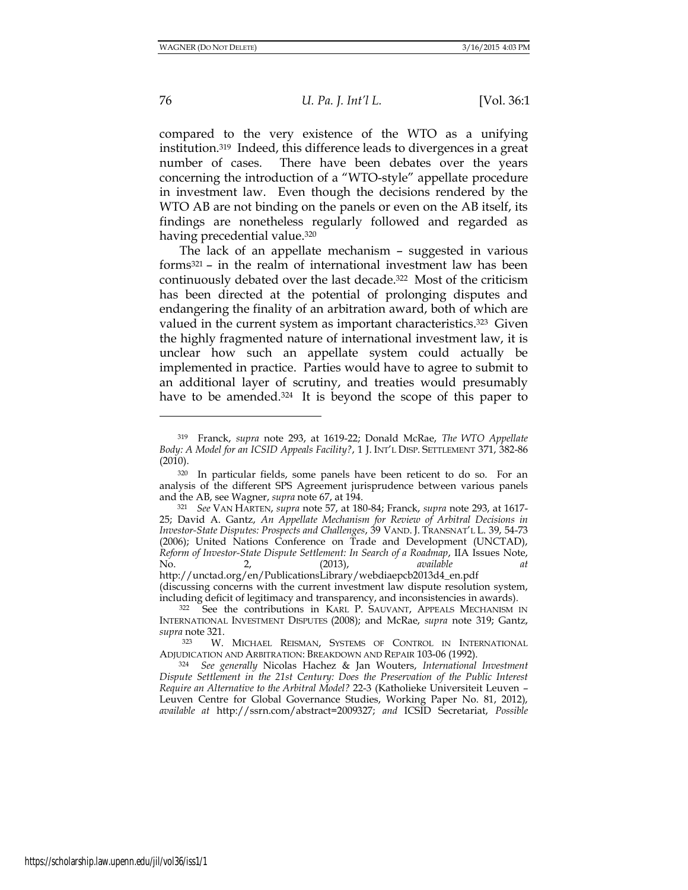76 *U. Pa. J. Int'l L.* [Vol. 36:1

compared to the very existence of the WTO as a unifying institution.319 Indeed, this difference leads to divergences in a great number of cases. There have been debates over the years concerning the introduction of a "WTO-style" appellate procedure in investment law. Even though the decisions rendered by the WTO AB are not binding on the panels or even on the AB itself, its findings are nonetheless regularly followed and regarded as having precedential value.<sup>320</sup>

The lack of an appellate mechanism – suggested in various forms<sup>321</sup> – in the realm of international investment law has been continuously debated over the last decade.322 Most of the criticism has been directed at the potential of prolonging disputes and endangering the finality of an arbitration award, both of which are valued in the current system as important characteristics.<sup>323</sup> Given the highly fragmented nature of international investment law, it is unclear how such an appellate system could actually be implemented in practice. Parties would have to agree to submit to an additional layer of scrutiny, and treaties would presumably have to be amended.<sup>324</sup> It is beyond the scope of this paper to

<sup>319</sup> Franck, *supra* note 293, at 1619-22; Donald McRae, *The WTO Appellate Body: A Model for an ICSID Appeals Facility?*, 1 J. INT'L DISP. SETTLEMENT 371, 382-86 (2010).

<sup>320</sup> In particular fields, some panels have been reticent to do so. For an analysis of the different SPS Agreement jurisprudence between various panels and the AB, see Wagner, *supra* note 67, at 194.

<sup>321</sup> *See* VAN HARTEN, *supra* note 57, at 180-84; Franck, *supra* note 293, at 1617- 25; David A. Gantz, *An Appellate Mechanism for Review of Arbitral Decisions in Investor-State Disputes: Prospects and Challenges*, 39 VAND. J. TRANSNAT'L L. 39, 54-73 (2006); United Nations Conference on Trade and Development (UNCTAD), *Reform of Investor-State Dispute Settlement: In Search of a Roadmap*, IIA Issues Note, No. 2, (2013), *available at* http://unctad.org/en/PublicationsLibrary/webdiaepcb2013d4\_en.pdf

<sup>(</sup>discussing concerns with the current investment law dispute resolution system, including deficit of legitimacy and transparency, and inconsistencies in awards).

<sup>322</sup> See the contributions in KARL P. SAUVANT, APPEALS MECHANISM IN INTERNATIONAL INVESTMENT DISPUTES (2008); and McRae, *supra* note 319; Gantz, *supra* note 321.

<sup>323</sup> W. MICHAEL REISMAN, SYSTEMS OF CONTROL IN INTERNATIONAL ADJUDICATION AND ARBITRATION: BREAKDOWN AND REPAIR 103-06 (1992).

<sup>324</sup> *See generally* Nicolas Hachez & Jan Wouters, *International Investment Dispute Settlement in the 21st Century: Does the Preservation of the Public Interest Require an Alternative to the Arbitral Model?* 22-3 (Katholieke Universiteit Leuven – Leuven Centre for Global Governance Studies, Working Paper No. 81, 2012), *available at* http://ssrn.com/abstract=2009327; *and* ICSID Secretariat, *Possible*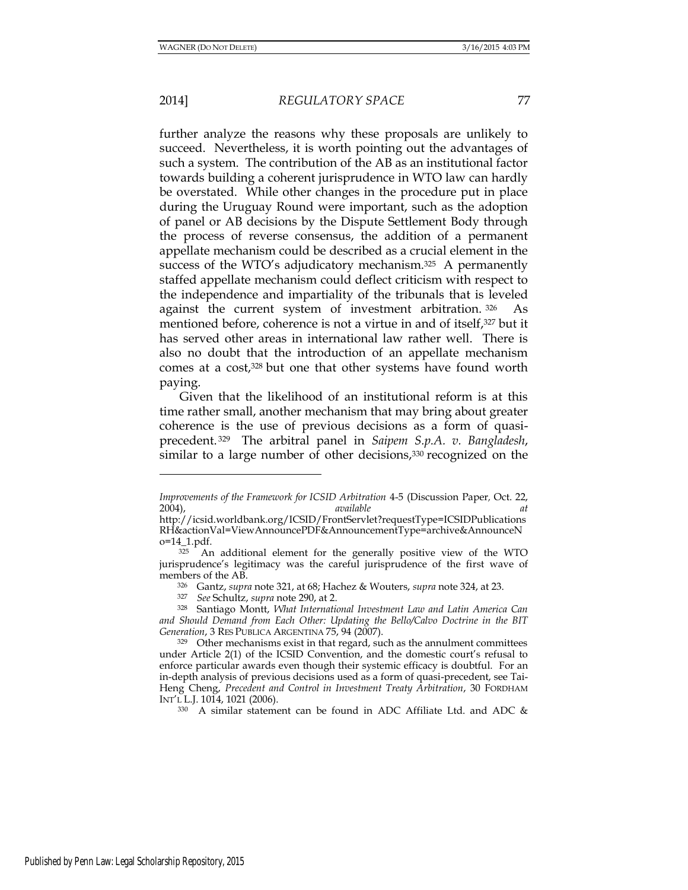2014] *REGULATORY SPACE* 77

further analyze the reasons why these proposals are unlikely to succeed. Nevertheless, it is worth pointing out the advantages of such a system. The contribution of the AB as an institutional factor towards building a coherent jurisprudence in WTO law can hardly be overstated. While other changes in the procedure put in place during the Uruguay Round were important, such as the adoption of panel or AB decisions by the Dispute Settlement Body through the process of reverse consensus, the addition of a permanent appellate mechanism could be described as a crucial element in the success of the WTO's adjudicatory mechanism.<sup>325</sup> A permanently staffed appellate mechanism could deflect criticism with respect to the independence and impartiality of the tribunals that is leveled against the current system of investment arbitration. <sup>326</sup> As mentioned before, coherence is not a virtue in and of itself,<sup>327</sup> but it has served other areas in international law rather well. There is also no doubt that the introduction of an appellate mechanism comes at a cost,<sup>328</sup> but one that other systems have found worth paying.

Given that the likelihood of an institutional reform is at this time rather small, another mechanism that may bring about greater coherence is the use of previous decisions as a form of quasiprecedent. <sup>329</sup> The arbitral panel in *Saipem S.p.A. v. Bangladesh*, similar to a large number of other decisions,<sup>330</sup> recognized on the

*Improvements of the Framework for ICSID Arbitration* 4-5 (Discussion Paper*,* Oct. 22, 2004), *available at*

http://icsid.worldbank.org/ICSID/FrontServlet?requestType=ICSIDPublications RH&actionVal=ViewAnnouncePDF&AnnouncementType=archive&AnnounceN o=14\_1.pdf.

<sup>&</sup>lt;sup>325</sup> An additional element for the generally positive view of the WTO jurisprudence's legitimacy was the careful jurisprudence of the first wave of members of the AB.

<sup>326</sup> Gantz, *supra* note 321, at 68; Hachez & Wouters, *supra* note 324, at 23.

<sup>327</sup> *See* Schultz, *supra* note 290, at 2.

<sup>328</sup> Santiago Montt, *What International Investment Law and Latin America Can and Should Demand from Each Other: Updating the Bello/Calvo Doctrine in the BIT Generation*, 3 RES PUBLICA ARGENTINA 75, 94 (2007).

<sup>329</sup> Other mechanisms exist in that regard, such as the annulment committees under Article 2(1) of the ICSID Convention, and the domestic court's refusal to enforce particular awards even though their systemic efficacy is doubtful. For an in-depth analysis of previous decisions used as a form of quasi-precedent, see Tai-Heng Cheng, *Precedent and Control in Investment Treaty Arbitration*, 30 FORDHAM INT'L L.J. 1014, 1021 (2006).

<sup>330</sup> A similar statement can be found in ADC Affiliate Ltd. and ADC &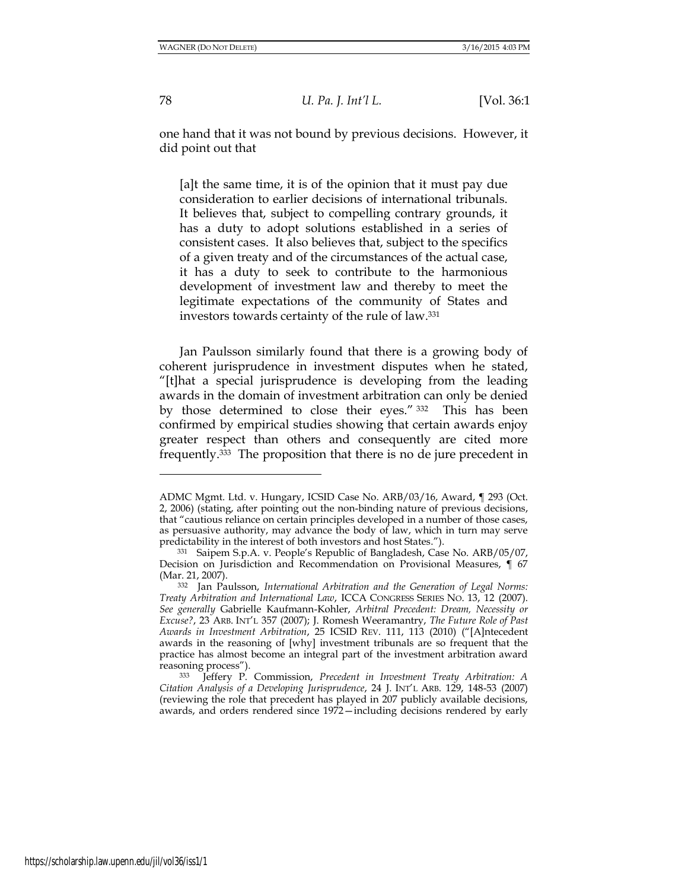one hand that it was not bound by previous decisions. However, it did point out that

[a]t the same time, it is of the opinion that it must pay due consideration to earlier decisions of international tribunals. It believes that, subject to compelling contrary grounds, it has a duty to adopt solutions established in a series of consistent cases. It also believes that, subject to the specifics of a given treaty and of the circumstances of the actual case, it has a duty to seek to contribute to the harmonious development of investment law and thereby to meet the legitimate expectations of the community of States and investors towards certainty of the rule of law.<sup>331</sup>

Jan Paulsson similarly found that there is a growing body of coherent jurisprudence in investment disputes when he stated, "[t]hat a special jurisprudence is developing from the leading awards in the domain of investment arbitration can only be denied by those determined to close their eyes." <sup>332</sup> This has been confirmed by empirical studies showing that certain awards enjoy greater respect than others and consequently are cited more frequently.333 The proposition that there is no de jure precedent in

ADMC Mgmt. Ltd. v. Hungary, ICSID Case No. ARB/03/16, Award, ¶ 293 (Oct. 2, 2006) (stating, after pointing out the non-binding nature of previous decisions, that "cautious reliance on certain principles developed in a number of those cases, as persuasive authority, may advance the body of law, which in turn may serve predictability in the interest of both investors and host States.").

<sup>331</sup> Saipem S.p.A. v. People's Republic of Bangladesh, Case No. ARB/05/07, Decision on Jurisdiction and Recommendation on Provisional Measures, ¶ 67 (Mar. 21, 2007).

<sup>332</sup> Jan Paulsson, *International Arbitration and the Generation of Legal Norms: Treaty Arbitration and International Law*, ICCA CONGRESS SERIES NO. 13, 12 (2007). *See generally* Gabrielle Kaufmann-Kohler, *Arbitral Precedent: Dream, Necessity or Excuse?*, 23 ARB. INT'L 357 (2007); J. Romesh Weeramantry, *The Future Role of Past Awards in Investment Arbitration*, 25 ICSID REV. 111, 113 (2010) ("[A]ntecedent awards in the reasoning of [why] investment tribunals are so frequent that the practice has almost become an integral part of the investment arbitration award reasoning process").

<sup>333</sup> Jeffery P. Commission, *Precedent in Investment Treaty Arbitration: A Citation Analysis of a Developing Jurisprudence*, 24 J. INT'L ARB. 129, 148-53 (2007) (reviewing the role that precedent has played in 207 publicly available decisions, awards, and orders rendered since 1972—including decisions rendered by early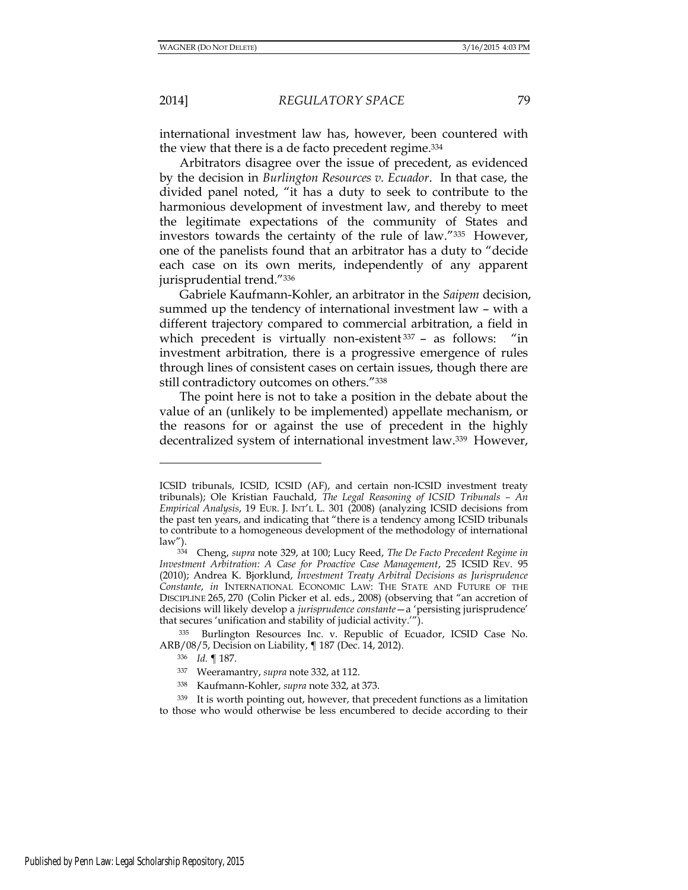international investment law has, however, been countered with the view that there is a de facto precedent regime.<sup>334</sup>

Arbitrators disagree over the issue of precedent, as evidenced by the decision in *Burlington Resources v. Ecuador*. In that case, the divided panel noted, "it has a duty to seek to contribute to the harmonious development of investment law, and thereby to meet the legitimate expectations of the community of States and investors towards the certainty of the rule of law."335 However, one of the panelists found that an arbitrator has a duty to "decide each case on its own merits, independently of any apparent jurisprudential trend."<sup>336</sup>

Gabriele Kaufmann-Kohler, an arbitrator in the *Saipem* decision, summed up the tendency of international investment law – with a different trajectory compared to commercial arbitration, a field in which precedent is virtually non-existent 337 - as follows: "in investment arbitration, there is a progressive emergence of rules through lines of consistent cases on certain issues, though there are still contradictory outcomes on others."<sup>338</sup>

The point here is not to take a position in the debate about the value of an (unlikely to be implemented) appellate mechanism, or the reasons for or against the use of precedent in the highly decentralized system of international investment law.339 However,

ICSID tribunals, ICSID, ICSID (AF), and certain non-ICSID investment treaty tribunals); Ole Kristian Fauchald, *The Legal Reasoning of ICSID Tribunals – An Empirical Analysis*, 19 EUR. J. INT'L L. 301 (2008) (analyzing ICSID decisions from the past ten years, and indicating that "there is a tendency among ICSID tribunals to contribute to a homogeneous development of the methodology of international  $\frac{\text{law''}}{\text{334}}$ .

<sup>334</sup> Cheng, *supra* note 329, at 100; Lucy Reed, *The De Facto Precedent Regime in Investment Arbitration: A Case for Proactive Case Management*, 25 ICSID REV. 95 (2010); Andrea K. Bjorklund, *Investment Treaty Arbitral Decisions as Jurisprudence Constante*, *in* INTERNATIONAL ECONOMIC LAW: THE STATE AND FUTURE OF THE DISCIPLINE 265, 270 (Colin Picker et al. eds., 2008) (observing that "an accretion of decisions will likely develop a *jurisprudence constante*—a 'persisting jurisprudence' that secures 'unification and stability of judicial activity.'").

<sup>335</sup> Burlington Resources Inc. v. Republic of Ecuador, ICSID Case No. ARB/08/5, Decision on Liability, ¶ 187 (Dec. 14, 2012).

<sup>336</sup> *Id.* ¶ 187.

<sup>337</sup> Weeramantry, *supra* note 332, at 112.

<sup>338</sup> Kaufmann-Kohler, *supra* note 332, at 373.

<sup>339</sup> It is worth pointing out, however, that precedent functions as a limitation to those who would otherwise be less encumbered to decide according to their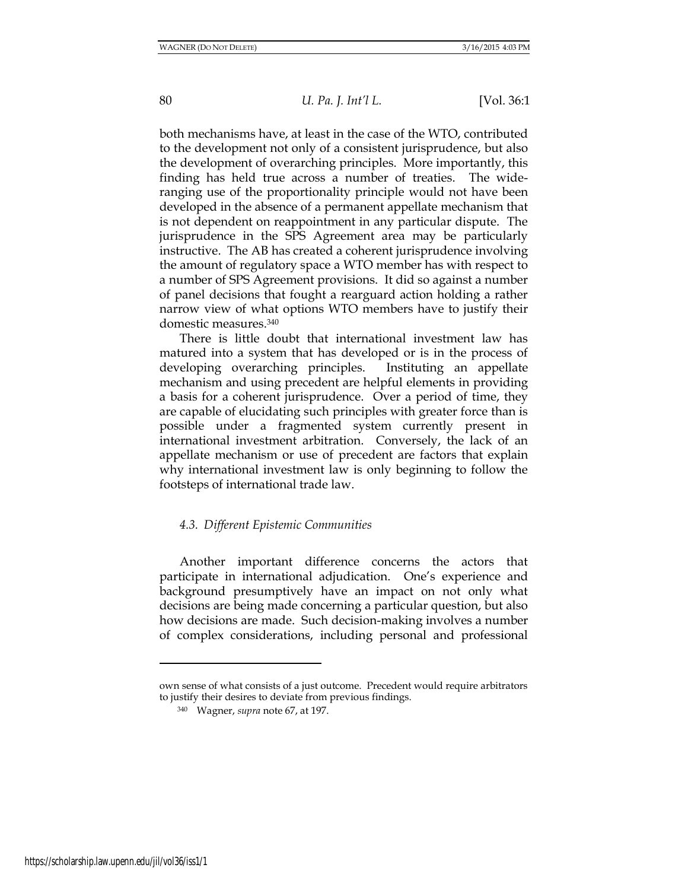both mechanisms have, at least in the case of the WTO, contributed to the development not only of a consistent jurisprudence, but also the development of overarching principles. More importantly, this finding has held true across a number of treaties. The wideranging use of the proportionality principle would not have been developed in the absence of a permanent appellate mechanism that is not dependent on reappointment in any particular dispute. The jurisprudence in the SPS Agreement area may be particularly instructive. The AB has created a coherent jurisprudence involving the amount of regulatory space a WTO member has with respect to a number of SPS Agreement provisions. It did so against a number of panel decisions that fought a rearguard action holding a rather narrow view of what options WTO members have to justify their domestic measures.<sup>340</sup>

There is little doubt that international investment law has matured into a system that has developed or is in the process of developing overarching principles. Instituting an appellate mechanism and using precedent are helpful elements in providing a basis for a coherent jurisprudence. Over a period of time, they are capable of elucidating such principles with greater force than is possible under a fragmented system currently present in international investment arbitration. Conversely, the lack of an appellate mechanism or use of precedent are factors that explain why international investment law is only beginning to follow the footsteps of international trade law.

# *4.3. Different Epistemic Communities*

Another important difference concerns the actors that participate in international adjudication. One's experience and background presumptively have an impact on not only what decisions are being made concerning a particular question, but also how decisions are made. Such decision-making involves a number of complex considerations, including personal and professional

own sense of what consists of a just outcome. Precedent would require arbitrators to justify their desires to deviate from previous findings.

<sup>340</sup> Wagner, *supra* note 67, at 197.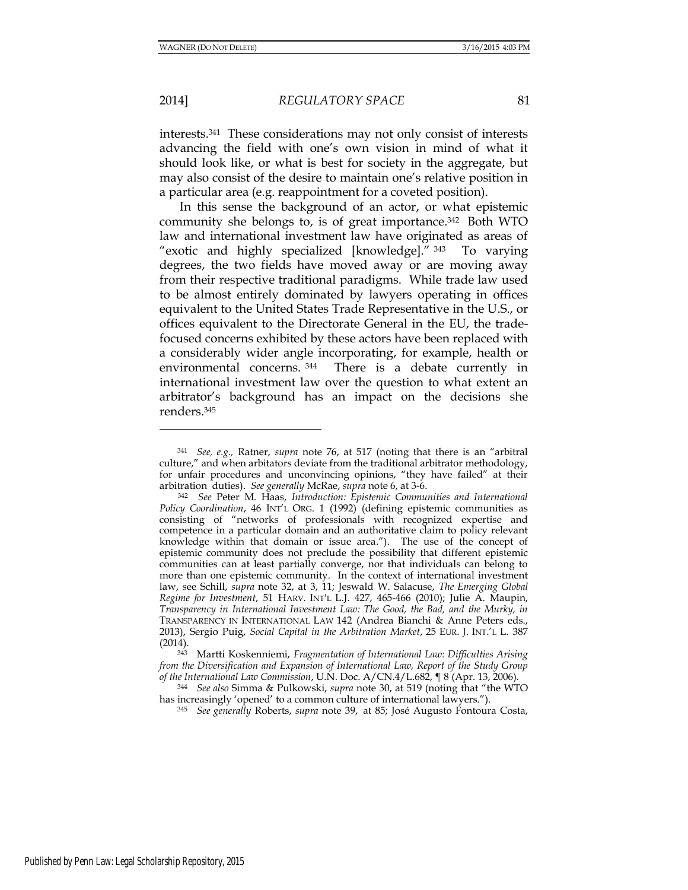2014] *REGULATORY SPACE* 81

interests.341 These considerations may not only consist of interests advancing the field with one's own vision in mind of what it should look like, or what is best for society in the aggregate, but may also consist of the desire to maintain one's relative position in a particular area (e.g. reappointment for a coveted position).

In this sense the background of an actor, or what epistemic community she belongs to, is of great importance.342 Both WTO law and international investment law have originated as areas of "exotic and highly specialized [knowledge]." <sup>343</sup> To varying degrees, the two fields have moved away or are moving away from their respective traditional paradigms. While trade law used to be almost entirely dominated by lawyers operating in offices equivalent to the United States Trade Representative in the U.S., or offices equivalent to the Directorate General in the EU, the tradefocused concerns exhibited by these actors have been replaced with a considerably wider angle incorporating, for example, health or environmental concerns.<sup>344</sup> There is a debate currently in international investment law over the question to what extent an arbitrator's background has an impact on the decisions she renders.<sup>345</sup>

<sup>343</sup> Martti Koskenniemi, *Fragmentation of International Law: Difficulties Arising from the Diversification and Expansion of International Law, Report of the Study Group of the International Law Commission*, U.N. Doc. A/CN.4/L.682, ¶ 8 (Apr. 13, 2006).

<sup>344</sup> *See also* Simma & Pulkowski, *supra* note 30, at 519 (noting that "the WTO has increasingly 'opened' to a common culture of international lawyers.").

<sup>345</sup> *See generally* Roberts, *supra* note 39, at 85; José Augusto Fontoura Costa,

<sup>341</sup> *See, e.g.,* Ratner, *supra* note 76, at 517 (noting that there is an "arbitral culture," and when arbitators deviate from the traditional arbitrator methodology, for unfair procedures and unconvincing opinions, "they have failed" at their arbitration duties). *See generally* McRae, *supra* note 6, at 3-6.

<sup>342</sup> *See* Peter M. Haas, *Introduction: Epistemic Communities and International Policy Coordination*, 46 INT'L ORG. 1 (1992) (defining epistemic communities as consisting of "networks of professionals with recognized expertise and competence in a particular domain and an authoritative claim to policy relevant knowledge within that domain or issue area."). The use of the concept of epistemic community does not preclude the possibility that different epistemic communities can at least partially converge, nor that individuals can belong to more than one epistemic community. In the context of international investment law, see Schill, *supra* note 32, at 3, 11; Jeswald W. Salacuse, *The Emerging Global Regime for Investment*, 51 HARV. INT'L L.J. 427, 465-466 (2010); Julie A. Maupin, *Transparency in International Investment Law: The Good, the Bad, and the Murky, in*  TRANSPARENCY IN INTERNATIONAL LAW 142 (Andrea Bianchi & Anne Peters eds., 2013), Sergio Puig, *Social Capital in the Arbitration Market*, 25 EUR. J. INT.'L L. 387 (2014).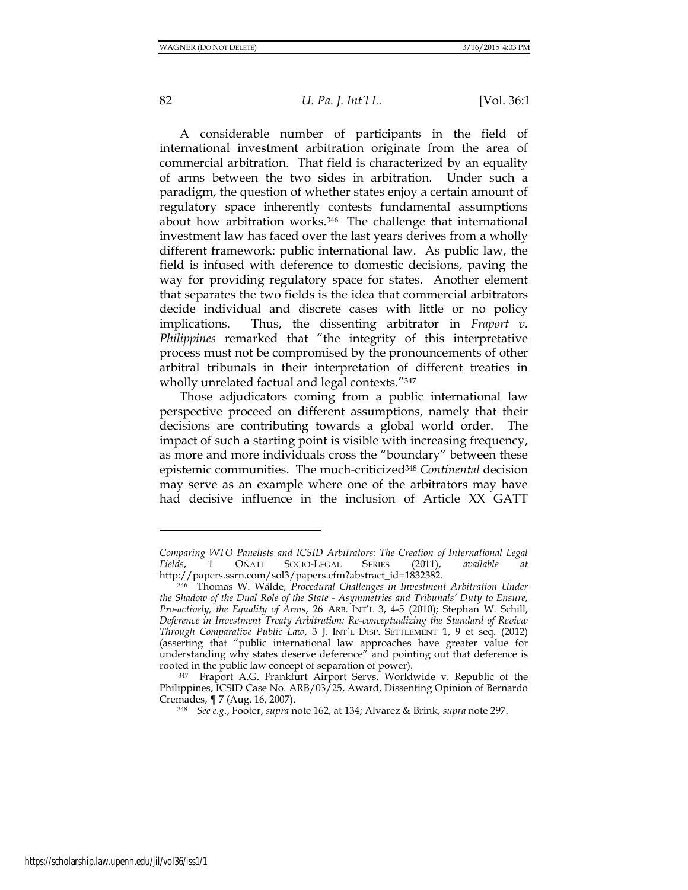82 *U. Pa. J. Int'l L.* [Vol. 36:1

A considerable number of participants in the field of international investment arbitration originate from the area of commercial arbitration. That field is characterized by an equality of arms between the two sides in arbitration. Under such a paradigm, the question of whether states enjoy a certain amount of regulatory space inherently contests fundamental assumptions about how arbitration works.<sup>346</sup> The challenge that international investment law has faced over the last years derives from a wholly different framework: public international law. As public law, the field is infused with deference to domestic decisions, paving the way for providing regulatory space for states. Another element that separates the two fields is the idea that commercial arbitrators decide individual and discrete cases with little or no policy implications. Thus, the dissenting arbitrator in *Fraport v. Philippines* remarked that "the integrity of this interpretative process must not be compromised by the pronouncements of other arbitral tribunals in their interpretation of different treaties in wholly unrelated factual and legal contexts."<sup>347</sup>

Those adjudicators coming from a public international law perspective proceed on different assumptions, namely that their decisions are contributing towards a global world order. The impact of such a starting point is visible with increasing frequency, as more and more individuals cross the "boundary" between these epistemic communities. The much-criticized<sup>348</sup> *Continental* decision may serve as an example where one of the arbitrators may have had decisive influence in the inclusion of Article XX GATT

*Comparing WTO Panelists and ICSID Arbitrators: The Creation of International Legal Fields*, 1 OÑATI SOCIO-LEGAL [http://papers.ssrn.com/sol3/papers.cfm?abstract\\_id=1832382](http://papers.ssrn.com/sol3/papers.cfm?abstract_id=1832382)*.*

<sup>346</sup> Thomas W. Wälde, *Procedural Challenges in Investment Arbitration Under the Shadow of the Dual Role of the State - Asymmetries and Tribunals' Duty to Ensure, Pro-actively, the Equality of Arms*, 26 ARB. INT'L 3, 4-5 (2010); Stephan W. Schill, *Deference in Investment Treaty Arbitration: Re-conceptualizing the Standard of Review Through Comparative Public Law*, 3 J. INT'L DISP. SETTLEMENT 1, 9 et seq. (2012) (asserting that "public international law approaches have greater value for understanding why states deserve deference" and pointing out that deference is rooted in the public law concept of separation of power).

<sup>347</sup> Fraport A.G. Frankfurt Airport Servs. Worldwide v. Republic of the Philippines, ICSID Case No. ARB/03/25, Award, Dissenting Opinion of Bernardo Cremades, ¶ 7 (Aug. 16, 2007).

<sup>348</sup> *See e.g.*, Footer, *supra* note 162, at 134; Alvarez & Brink, *supra* note 297.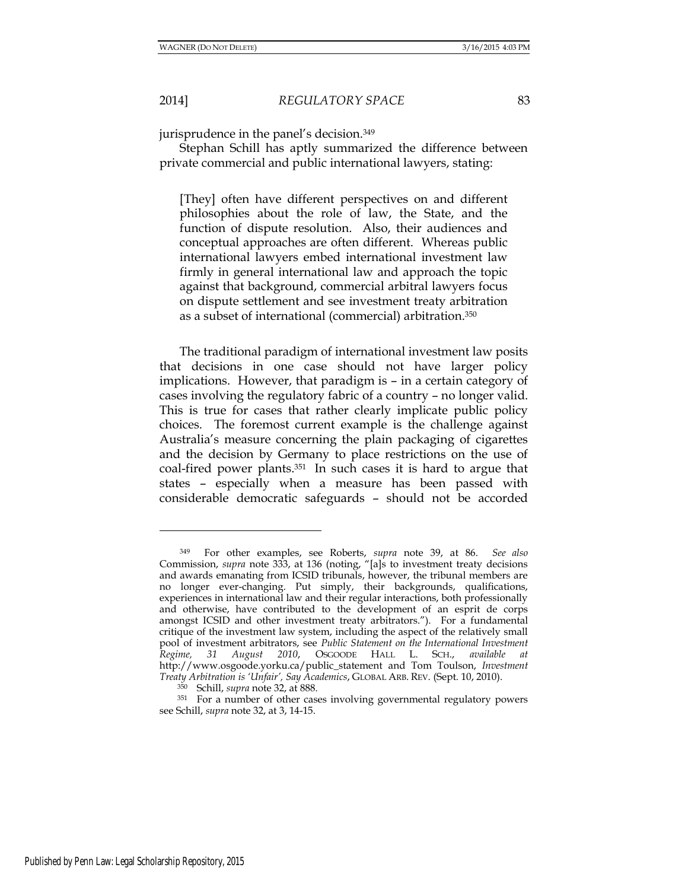jurisprudence in the panel's decision.<sup>349</sup>

Stephan Schill has aptly summarized the difference between private commercial and public international lawyers, stating:

[They] often have different perspectives on and different philosophies about the role of law, the State, and the function of dispute resolution. Also, their audiences and conceptual approaches are often different. Whereas public international lawyers embed international investment law firmly in general international law and approach the topic against that background, commercial arbitral lawyers focus on dispute settlement and see investment treaty arbitration as a subset of international (commercial) arbitration.<sup>350</sup>

The traditional paradigm of international investment law posits that decisions in one case should not have larger policy implications. However, that paradigm is – in a certain category of cases involving the regulatory fabric of a country – no longer valid. This is true for cases that rather clearly implicate public policy choices. The foremost current example is the challenge against Australia's measure concerning the plain packaging of cigarettes and the decision by Germany to place restrictions on the use of coal-fired power plants.351 In such cases it is hard to argue that states – especially when a measure has been passed with considerable democratic safeguards – should not be accorded

<sup>349</sup> For other examples, see Roberts, *supra* note 39, at 86. *See also*  Commission, *supra* note 333, at 136 (noting, "[a]s to investment treaty decisions and awards emanating from ICSID tribunals, however, the tribunal members are no longer ever-changing. Put simply, their backgrounds, qualifications, experiences in international law and their regular interactions, both professionally and otherwise, have contributed to the development of an esprit de corps amongst ICSID and other investment treaty arbitrators."). For a fundamental critique of the investment law system, including the aspect of the relatively small pool of investment arbitrators, see *Public Statement on the International Investment Regime, 31 August 2010*, OSGOODE HALL L. SCH., *available at* [http://www.osgoode.yorku.ca/public\\_statement](http://www.osgoode.yorku.ca/public_statement) and Tom Toulson, *Investment Treaty Arbitration is 'Unfair', Say Academics*, GLOBAL ARB. REV. (Sept. 10, 2010).

<sup>350</sup> Schill, *supra* note 32, at 888.

<sup>351</sup> For a number of other cases involving governmental regulatory powers see Schill, *supra* note 32, at 3, 14-15.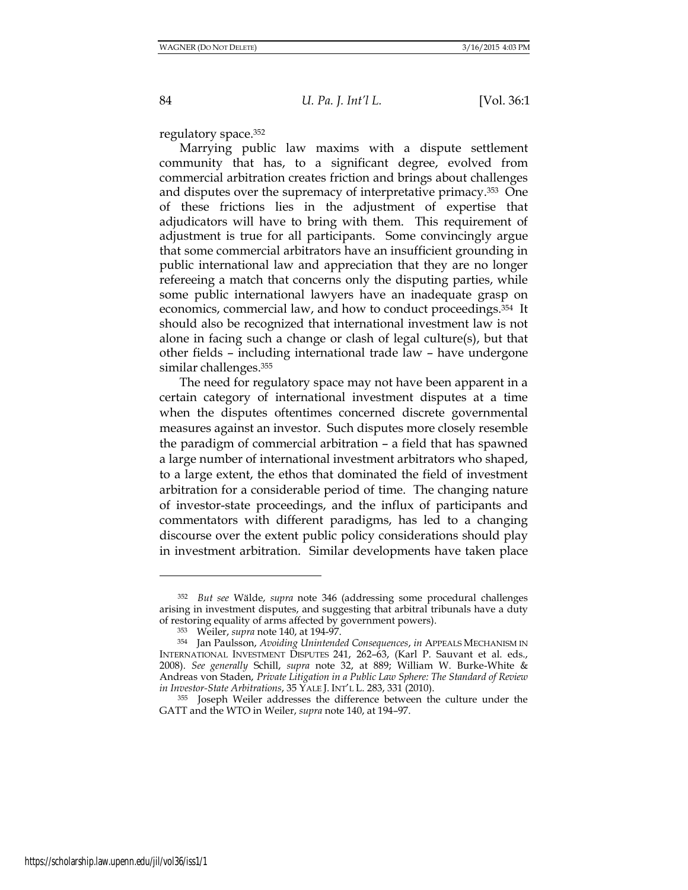regulatory space.<sup>352</sup>

Marrying public law maxims with a dispute settlement community that has, to a significant degree, evolved from commercial arbitration creates friction and brings about challenges and disputes over the supremacy of interpretative primacy.353 One of these frictions lies in the adjustment of expertise that adjudicators will have to bring with them. This requirement of adjustment is true for all participants. Some convincingly argue that some commercial arbitrators have an insufficient grounding in public international law and appreciation that they are no longer refereeing a match that concerns only the disputing parties, while some public international lawyers have an inadequate grasp on economics, commercial law, and how to conduct proceedings.354 It should also be recognized that international investment law is not alone in facing such a change or clash of legal culture(s), but that other fields – including international trade law – have undergone similar challenges.<sup>355</sup>

The need for regulatory space may not have been apparent in a certain category of international investment disputes at a time when the disputes oftentimes concerned discrete governmental measures against an investor. Such disputes more closely resemble the paradigm of commercial arbitration – a field that has spawned a large number of international investment arbitrators who shaped, to a large extent, the ethos that dominated the field of investment arbitration for a considerable period of time. The changing nature of investor-state proceedings, and the influx of participants and commentators with different paradigms, has led to a changing discourse over the extent public policy considerations should play in investment arbitration. Similar developments have taken place

<sup>352</sup> *But see* Wälde, *supra* note 346 (addressing some procedural challenges arising in investment disputes, and suggesting that arbitral tribunals have a duty of restoring equality of arms affected by government powers).

<sup>353</sup> Weiler, *supra* note 140, at 194-97.

<sup>354</sup> Jan Paulsson, *Avoiding Unintended Consequences*, *in* APPEALS MECHANISM IN INTERNATIONAL INVESTMENT DISPUTES 241, 262–63, (Karl P. Sauvant et al. eds., 2008). *See generally* Schill, *supra* note 32, at 889; William W. Burke-White & Andreas von Staden, *Private Litigation in a Public Law Sphere: The Standard of Review in Investor-State Arbitrations*, 35 YALE J. INT'L L. 283, 331 (2010).

<sup>355</sup> Joseph Weiler addresses the difference between the culture under the GATT and the WTO in Weiler, *supra* note 140, at 194–97.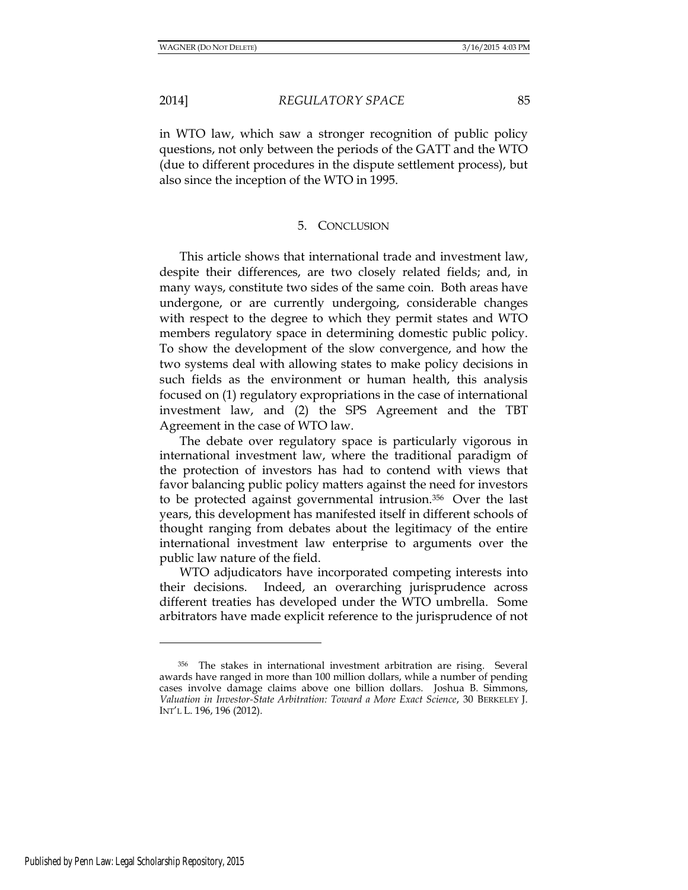in WTO law, which saw a stronger recognition of public policy questions, not only between the periods of the GATT and the WTO (due to different procedures in the dispute settlement process), but also since the inception of the WTO in 1995.

## 5. CONCLUSION

This article shows that international trade and investment law, despite their differences, are two closely related fields; and, in many ways, constitute two sides of the same coin. Both areas have undergone, or are currently undergoing, considerable changes with respect to the degree to which they permit states and WTO members regulatory space in determining domestic public policy. To show the development of the slow convergence, and how the two systems deal with allowing states to make policy decisions in such fields as the environment or human health, this analysis focused on (1) regulatory expropriations in the case of international investment law, and (2) the SPS Agreement and the TBT Agreement in the case of WTO law.

The debate over regulatory space is particularly vigorous in international investment law, where the traditional paradigm of the protection of investors has had to contend with views that favor balancing public policy matters against the need for investors to be protected against governmental intrusion.356 Over the last years, this development has manifested itself in different schools of thought ranging from debates about the legitimacy of the entire international investment law enterprise to arguments over the public law nature of the field.

WTO adjudicators have incorporated competing interests into their decisions. Indeed, an overarching jurisprudence across different treaties has developed under the WTO umbrella. Some arbitrators have made explicit reference to the jurisprudence of not

<sup>356</sup> The stakes in international investment arbitration are rising. Several awards have ranged in more than 100 million dollars, while a number of pending cases involve damage claims above one billion dollars. Joshua B. Simmons, *Valuation in Investor-State Arbitration: Toward a More Exact Science*, 30 BERKELEY J. INT'L L. 196, 196 (2012).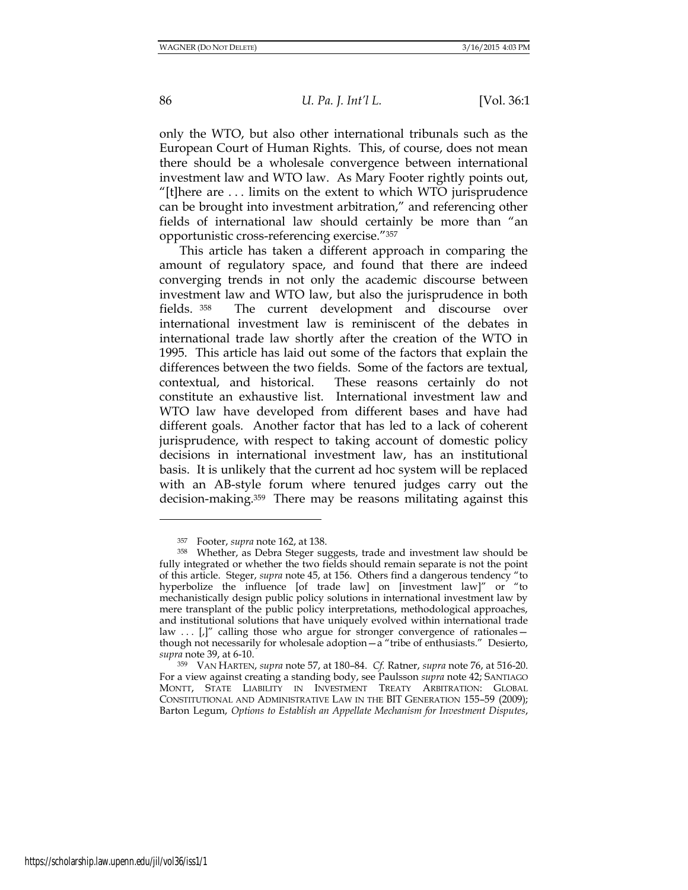only the WTO, but also other international tribunals such as the European Court of Human Rights. This, of course, does not mean there should be a wholesale convergence between international investment law and WTO law. As Mary Footer rightly points out, "[t]here are . . . limits on the extent to which WTO jurisprudence can be brought into investment arbitration," and referencing other fields of international law should certainly be more than "an opportunistic cross-referencing exercise."<sup>357</sup>

This article has taken a different approach in comparing the amount of regulatory space, and found that there are indeed converging trends in not only the academic discourse between investment law and WTO law, but also the jurisprudence in both fields. <sup>358</sup> The current development and discourse over international investment law is reminiscent of the debates in international trade law shortly after the creation of the WTO in 1995. This article has laid out some of the factors that explain the differences between the two fields. Some of the factors are textual, contextual, and historical. These reasons certainly do not constitute an exhaustive list. International investment law and WTO law have developed from different bases and have had different goals. Another factor that has led to a lack of coherent jurisprudence, with respect to taking account of domestic policy decisions in international investment law, has an institutional basis. It is unlikely that the current ad hoc system will be replaced with an AB-style forum where tenured judges carry out the decision-making.359 There may be reasons militating against this

l

<sup>357</sup> Footer, *supra* note 162, at 138.

<sup>358</sup> Whether, as Debra Steger suggests, trade and investment law should be fully integrated or whether the two fields should remain separate is not the point of this article. Steger, *supra* note 45, at 156. Others find a dangerous tendency "to hyperbolize the influence [of trade law] on [investment law]" or "to mechanistically design public policy solutions in international investment law by mere transplant of the public policy interpretations, methodological approaches, and institutional solutions that have uniquely evolved within international trade law  $\ldots$  [,]" calling those who argue for stronger convergence of rationales – though not necessarily for wholesale adoption—a "tribe of enthusiasts." Desierto, *supra* note 39, at 6-10.

<sup>359</sup> VAN HARTEN, *supra* note 57, at 180–84. *Cf.* Ratner, *supra* note 76, at 516-20. For a view against creating a standing body, see Paulsson *supra* note 42; SANTIAGO MONTT, STATE LIABILITY IN INVESTMENT TREATY ARBITRATION: GLOBAL CONSTITUTIONAL AND ADMINISTRATIVE LAW IN THE BIT GENERATION 155–59 (2009); Barton Legum, *Options to Establish an Appellate Mechanism for Investment Disputes*,